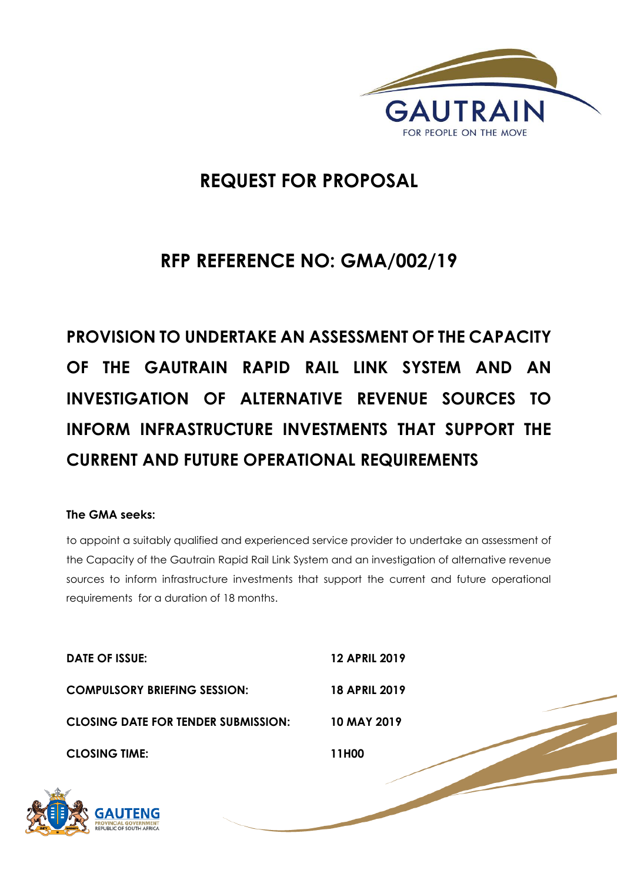

# **REQUEST FOR PROPOSAL**

# **RFP REFERENCE NO: GMA/002/19**

**PROVISION TO UNDERTAKE AN ASSESSMENT OF THE CAPACITY OF THE GAUTRAIN RAPID RAIL LINK SYSTEM AND AN INVESTIGATION OF ALTERNATIVE REVENUE SOURCES TO INFORM INFRASTRUCTURE INVESTMENTS THAT SUPPORT THE CURRENT AND FUTURE OPERATIONAL REQUIREMENTS**

# **The GMA seeks:**

to appoint a suitably qualified and experienced service provider to undertake an assessment of the Capacity of the Gautrain Rapid Rail Link System and an investigation of alternative revenue sources to inform infrastructure investments that support the current and future operational requirements for a duration of 18 months.

| DATE OF ISSUE:                             | <b>12 APRIL 2019</b> |
|--------------------------------------------|----------------------|
| <b>COMPULSORY BRIEFING SESSION:</b>        | <b>18 APRIL 2019</b> |
| <b>CLOSING DATE FOR TENDER SUBMISSION:</b> | 10 MAY 2019          |
| <b>CLOSING TIME:</b>                       | 11H00                |
|                                            |                      |

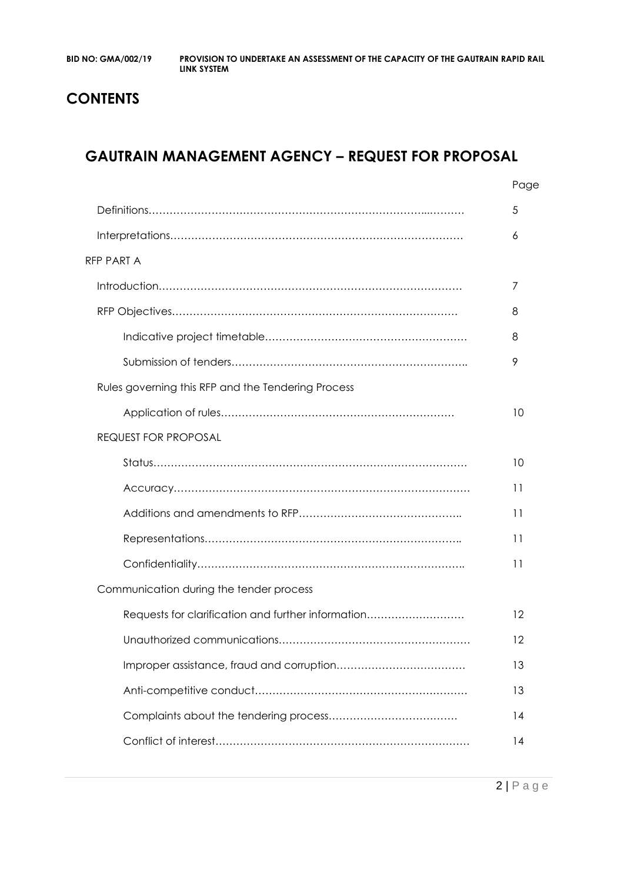# **CONTENTS**

# **GAUTRAIN MANAGEMENT AGENCY – REQUEST FOR PROPOSAL**

|                                                    | Page |
|----------------------------------------------------|------|
|                                                    | 5    |
|                                                    | 6    |
| <b>RFP PART A</b>                                  |      |
|                                                    | 7    |
|                                                    | 8    |
|                                                    | 8    |
|                                                    | 9    |
| Rules governing this RFP and the Tendering Process |      |
|                                                    | 10   |
| <b>REQUEST FOR PROPOSAL</b>                        |      |
|                                                    | 10   |
|                                                    | 11   |
|                                                    | 11   |
|                                                    | 11   |
|                                                    | 11   |
| Communication during the tender process            |      |
| Requests for clarification and further information | 12   |
|                                                    | 12   |
|                                                    | 13   |
|                                                    | 13   |
|                                                    | 14   |
|                                                    | 14   |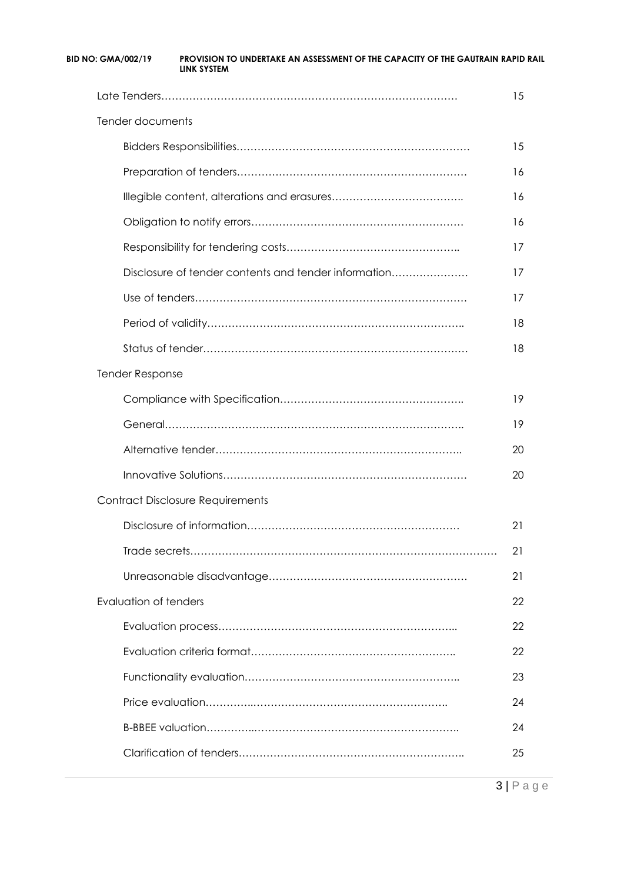|                                                      | 15 |
|------------------------------------------------------|----|
| Tender documents                                     |    |
|                                                      | 15 |
|                                                      | 16 |
|                                                      | 16 |
|                                                      | 16 |
|                                                      | 17 |
| Disclosure of tender contents and tender information | 17 |
|                                                      | 17 |
|                                                      | 18 |
|                                                      | 18 |
| <b>Tender Response</b>                               |    |
|                                                      | 19 |
|                                                      | 19 |
|                                                      | 20 |
|                                                      | 20 |
| <b>Contract Disclosure Requirements</b>              |    |
|                                                      | 21 |
|                                                      | 21 |
|                                                      | 21 |
| Evaluation of tenders                                | 22 |
|                                                      | 22 |
|                                                      | 22 |
|                                                      | 23 |
|                                                      | 24 |
|                                                      | 24 |
|                                                      | 25 |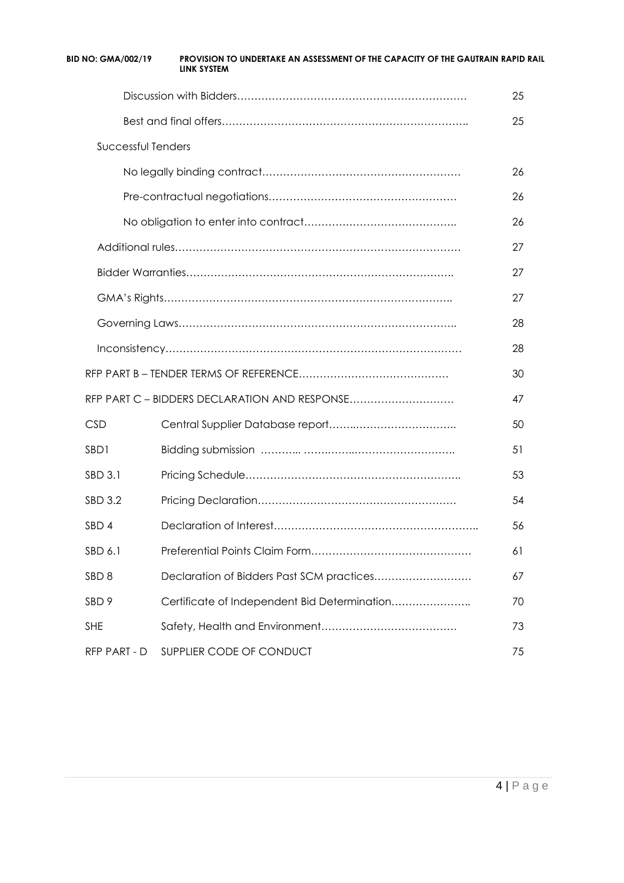| <b>BID NO: GMA/002/19</b> | PROVISION TO UNDERTAKE AN ASSESSMENT OF THE CAPACITY OF THE GAUTRAIN RAPID RAIL<br>LINK SYSTEM |    |
|---------------------------|------------------------------------------------------------------------------------------------|----|
|                           |                                                                                                | 25 |
|                           |                                                                                                | 25 |
| Successful Tenders        |                                                                                                |    |
|                           |                                                                                                | 26 |
|                           |                                                                                                | 26 |
|                           |                                                                                                | 26 |
|                           |                                                                                                | 27 |
|                           |                                                                                                | 27 |
|                           |                                                                                                | 27 |
|                           |                                                                                                | 28 |
|                           |                                                                                                | 28 |
|                           |                                                                                                | 30 |
|                           | RFP PART C - BIDDERS DECLARATION AND RESPONSE                                                  | 47 |
| <b>CSD</b>                |                                                                                                | 50 |
| SBD1                      |                                                                                                | 51 |
| SBD 3.1                   |                                                                                                | 53 |
| SBD 3.2                   |                                                                                                | 54 |
| SBD 4                     |                                                                                                | 56 |
| SBD 6.1                   |                                                                                                | 61 |
| SBD <sub>8</sub>          |                                                                                                | 67 |
| SBD <sub>9</sub>          | Certificate of Independent Bid Determination                                                   | 70 |
| <b>SHE</b>                |                                                                                                | 73 |
| RFP PART - D              | SUPPLIER CODE OF CONDUCT                                                                       | 75 |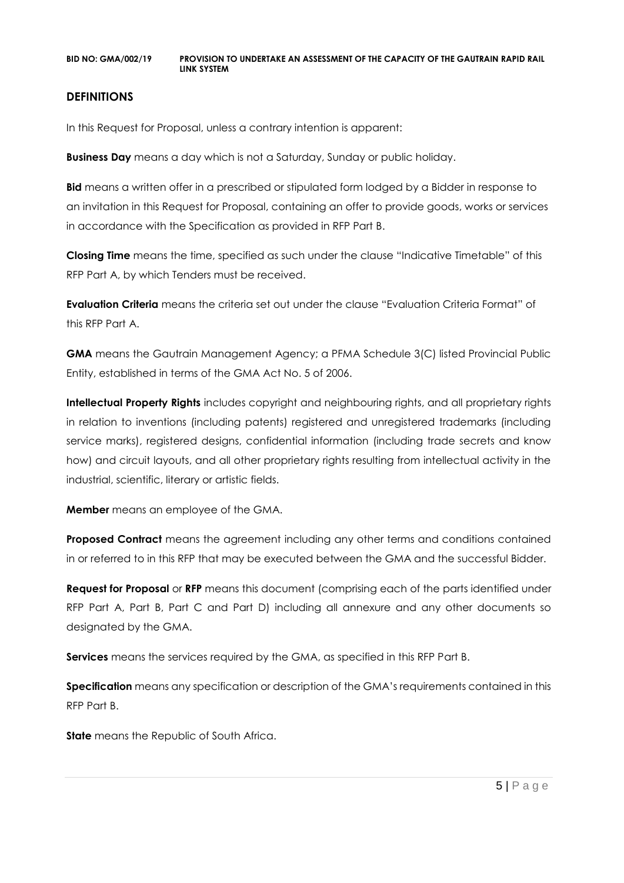# **DEFINITIONS**

In this Request for Proposal, unless a contrary intention is apparent:

**Business Day** means a day which is not a Saturday, Sunday or public holiday.

**Bid** means a written offer in a prescribed or stipulated form lodged by a Bidder in response to an invitation in this Request for Proposal, containing an offer to provide goods, works or services in accordance with the Specification as provided in RFP Part B.

**Closing Time** means the time, specified as such under the clause "Indicative Timetable" of this RFP Part A, by which Tenders must be received.

**Evaluation Criteria** means the criteria set out under the clause "Evaluation Criteria Format" of this RFP Part A.

**GMA** means the Gautrain Management Agency; a PFMA Schedule 3(C) listed Provincial Public Entity, established in terms of the GMA Act No. 5 of 2006.

**Intellectual Property Rights** includes copyright and neighbouring rights, and all proprietary rights in relation to inventions (including patents) registered and unregistered trademarks (including service marks), registered designs, confidential information (including trade secrets and know how) and circuit layouts, and all other proprietary rights resulting from intellectual activity in the industrial, scientific, literary or artistic fields.

**Member** means an employee of the GMA.

**Proposed Contract** means the agreement including any other terms and conditions contained in or referred to in this RFP that may be executed between the GMA and the successful Bidder.

**Request for Proposal** or **RFP** means this document (comprising each of the parts identified under RFP Part A, Part B, Part C and Part D) including all annexure and any other documents so designated by the GMA.

**Services** means the services required by the GMA, as specified in this RFP Part B.

**Specification** means any specification or description of the GMA's requirements contained in this RFP Part B.

**State** means the Republic of South Africa.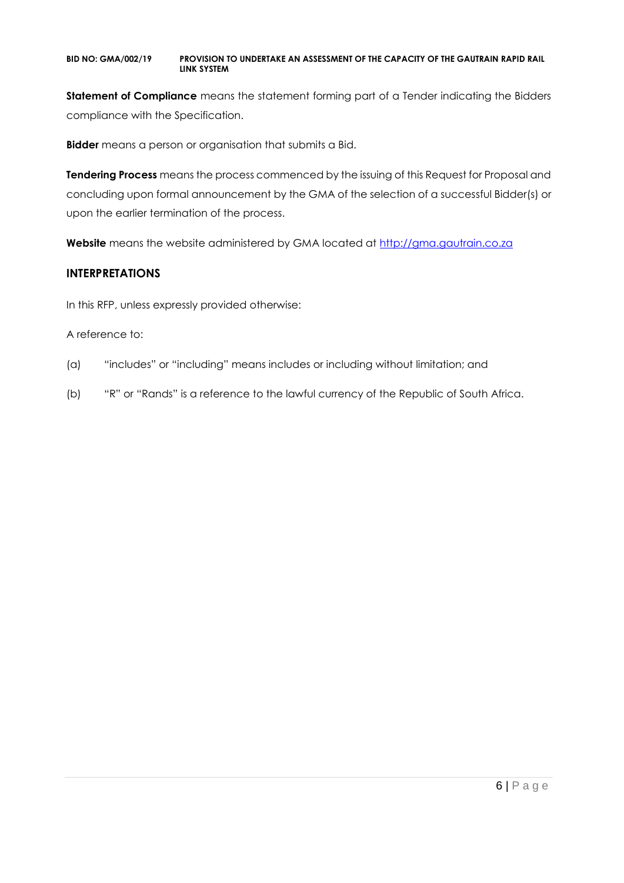**Statement of Compliance** means the statement forming part of a Tender indicating the Bidders compliance with the Specification.

**Bidder** means a person or organisation that submits a Bid.

**Tendering Process** means the process commenced by the issuing of this Request for Proposal and concluding upon formal announcement by the GMA of the selection of a successful Bidder(s) or upon the earlier termination of the process.

**Website** means the website administered by GMA located at [http://gma.gautrain.co.za](http://gma.gautrain.co.za/)

# **INTERPRETATIONS**

In this RFP, unless expressly provided otherwise:

### A reference to:

- (a) "includes" or "including" means includes or including without limitation; and
- (b) "R" or "Rands" is a reference to the lawful currency of the Republic of South Africa.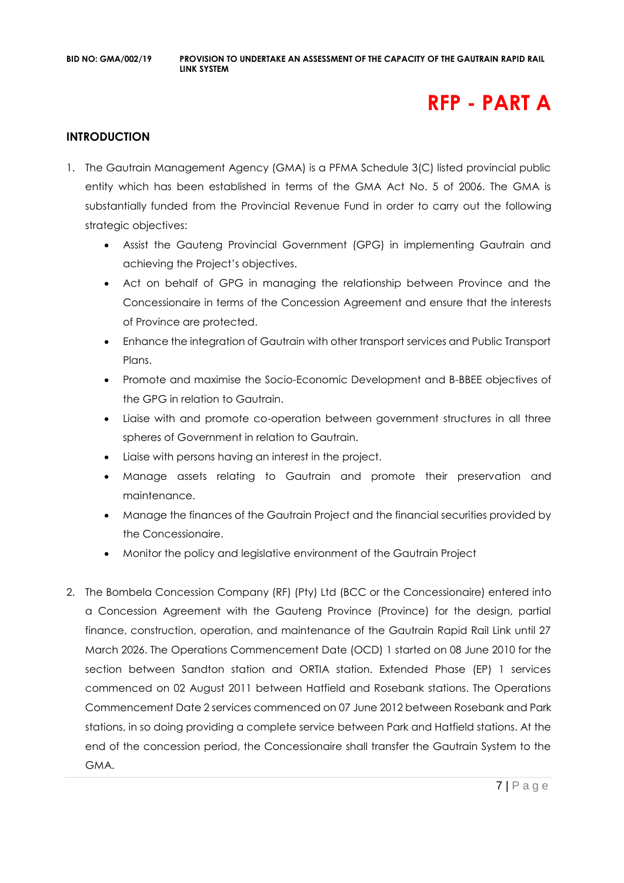# **RFP - PART A**

# **INTRODUCTION**

- 1. The Gautrain Management Agency (GMA) is a PFMA Schedule 3(C) listed provincial public entity which has been established in terms of the GMA Act No. 5 of 2006. The GMA is substantially funded from the Provincial Revenue Fund in order to carry out the following strategic objectives:
	- Assist the Gauteng Provincial Government (GPG) in implementing Gautrain and achieving the Project's objectives.
	- Act on behalf of GPG in managing the relationship between Province and the Concessionaire in terms of the Concession Agreement and ensure that the interests of Province are protected.
	- Enhance the integration of Gautrain with other transport services and Public Transport Plans.
	- Promote and maximise the Socio-Economic Development and B-BBEE objectives of the GPG in relation to Gautrain.
	- Liaise with and promote co-operation between government structures in all three spheres of Government in relation to Gautrain.
	- Liaise with persons having an interest in the project.
	- Manage assets relating to Gautrain and promote their preservation and maintenance.
	- Manage the finances of the Gautrain Project and the financial securities provided by the Concessionaire.
	- Monitor the policy and legislative environment of the Gautrain Project
- 2. The Bombela Concession Company (RF) (Pty) Ltd (BCC or the Concessionaire) entered into a Concession Agreement with the Gauteng Province (Province) for the design, partial finance, construction, operation, and maintenance of the Gautrain Rapid Rail Link until 27 March 2026. The Operations Commencement Date (OCD) 1 started on 08 June 2010 for the section between Sandton station and ORTIA station. Extended Phase (EP) 1 services commenced on 02 August 2011 between Hatfield and Rosebank stations. The Operations Commencement Date 2 services commenced on 07 June 2012 between Rosebank and Park stations, in so doing providing a complete service between Park and Hatfield stations. At the end of the concession period, the Concessionaire shall transfer the Gautrain System to the GMA.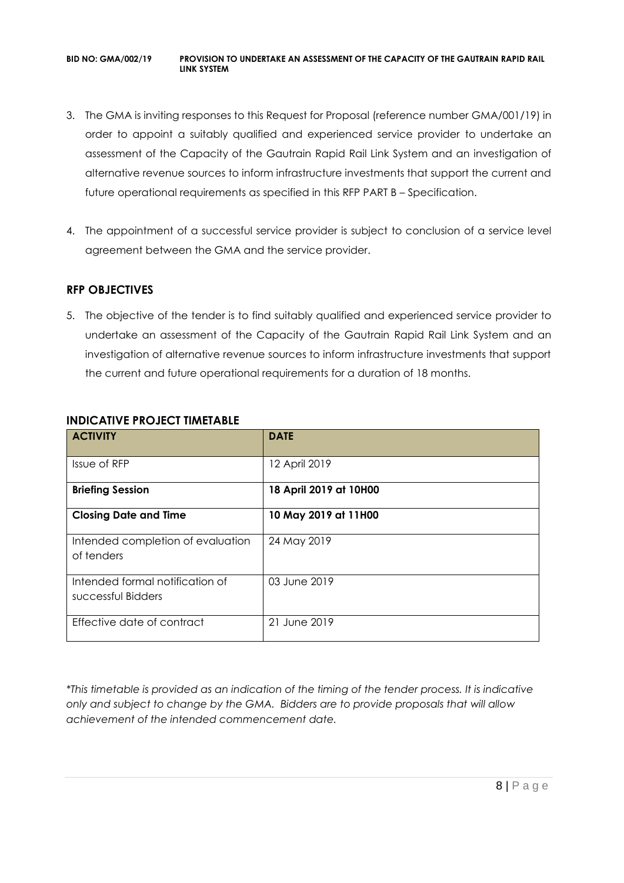- 3. The GMA is inviting responses to this Request for Proposal (reference number GMA/001/19) in order to appoint a suitably qualified and experienced service provider to undertake an assessment of the Capacity of the Gautrain Rapid Rail Link System and an investigation of alternative revenue sources to inform infrastructure investments that support the current and future operational requirements as specified in this RFP PART B – Specification.
- 4. The appointment of a successful service provider is subject to conclusion of a service level agreement between the GMA and the service provider.

# **RFP OBJECTIVES**

5. The objective of the tender is to find suitably qualified and experienced service provider to undertake an assessment of the Capacity of the Gautrain Rapid Rail Link System and an investigation of alternative revenue sources to inform infrastructure investments that support the current and future operational requirements for a duration of 18 months.

| <b>ACTIVITY</b>                                       | <b>DATE</b>            |
|-------------------------------------------------------|------------------------|
| Issue of RFP                                          | 12 April 2019          |
| <b>Briefing Session</b>                               | 18 April 2019 at 10H00 |
| <b>Closing Date and Time</b>                          | 10 May 2019 at 11H00   |
| Intended completion of evaluation<br>of tenders       | 24 May 2019            |
| Intended formal notification of<br>successful Bidders | 03 June 2019           |
| Effective date of contract                            | 21 June 2019           |

# **INDICATIVE PROJECT TIMETABLE**

*\*This timetable is provided as an indication of the timing of the tender process. It is indicative only and subject to change by the GMA. Bidders are to provide proposals that will allow achievement of the intended commencement date.*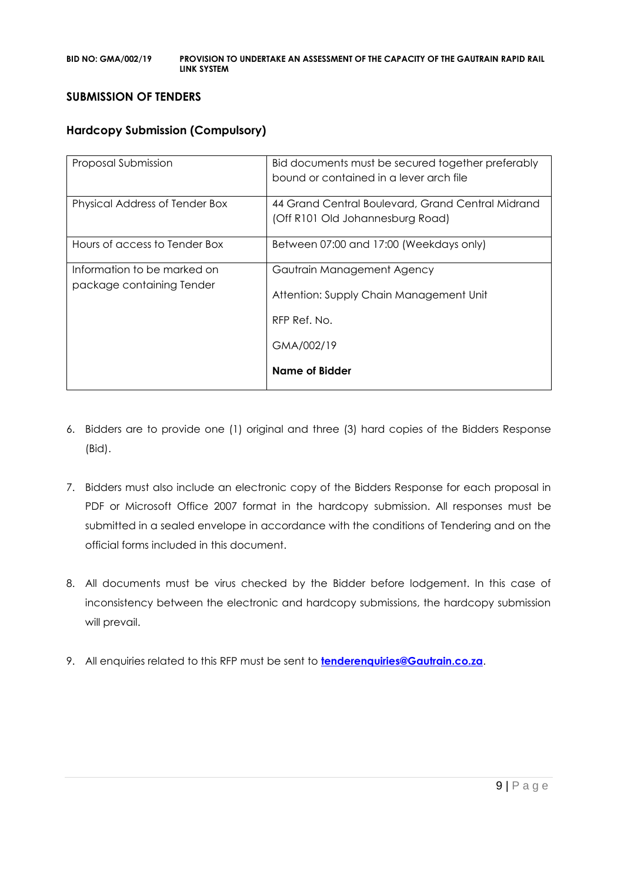### **SUBMISSION OF TENDERS**

# **Hardcopy Submission (Compulsory)**

| Proposal Submission                                      | Bid documents must be secured together preferably<br>bound or contained in a lever arch file        |
|----------------------------------------------------------|-----------------------------------------------------------------------------------------------------|
| Physical Address of Tender Box                           | 44 Grand Central Boulevard, Grand Central Midrand<br>(Off R101 Old Johannesburg Road)               |
| Hours of access to Tender Box                            | Between 07:00 and 17:00 (Weekdays only)                                                             |
| Information to be marked on<br>package containing Tender | Gautrain Management Agency<br>Attention: Supply Chain Management Unit<br>RFP Ref. No.<br>GMA/002/19 |
|                                                          | Name of Bidder                                                                                      |

- 6. Bidders are to provide one (1) original and three (3) hard copies of the Bidders Response (Bid).
- 7. Bidders must also include an electronic copy of the Bidders Response for each proposal in PDF or Microsoft Office 2007 format in the hardcopy submission. All responses must be submitted in a sealed envelope in accordance with the conditions of Tendering and on the official forms included in this document.
- 8. All documents must be virus checked by the Bidder before lodgement. In this case of inconsistency between the electronic and hardcopy submissions, the hardcopy submission will prevail.
- 9. All enquiries related to this RFP must be sent to **[tenderenquiries@Gautrain.co.za](mailto:tenderenquiries@Gautrain.co.za)**.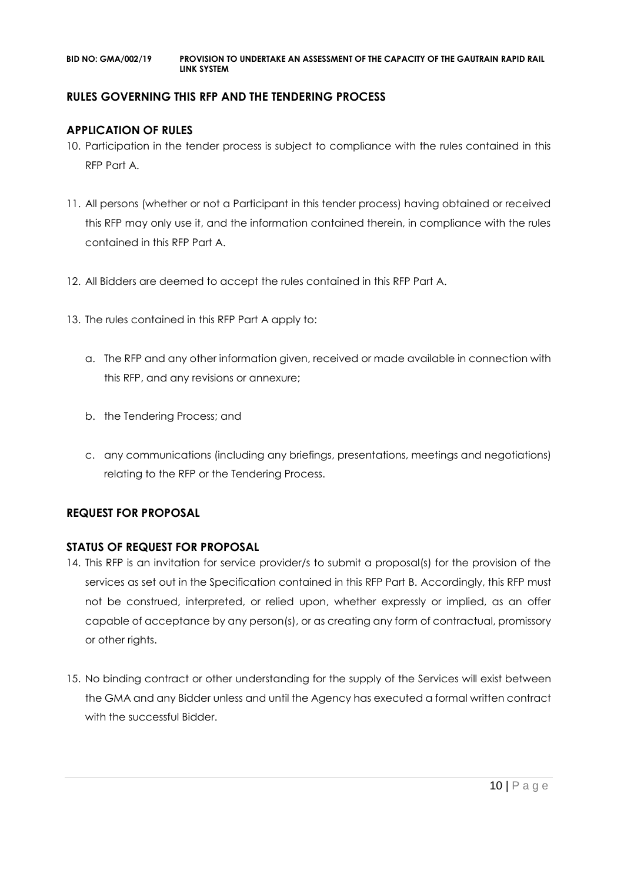# **RULES GOVERNING THIS RFP AND THE TENDERING PROCESS**

# **APPLICATION OF RULES**

- 10. Participation in the tender process is subject to compliance with the rules contained in this RFP Part A.
- 11. All persons (whether or not a Participant in this tender process) having obtained or received this RFP may only use it, and the information contained therein, in compliance with the rules contained in this RFP Part A.
- 12. All Bidders are deemed to accept the rules contained in this RFP Part A.
- 13. The rules contained in this RFP Part A apply to:
	- a. The RFP and any other information given, received or made available in connection with this RFP, and any revisions or annexure;
	- b. the Tendering Process; and
	- c. any communications (including any briefings, presentations, meetings and negotiations) relating to the RFP or the Tendering Process.

# **REQUEST FOR PROPOSAL**

# **STATUS OF REQUEST FOR PROPOSAL**

- 14. This RFP is an invitation for service provider/s to submit a proposal(s) for the provision of the services as set out in the Specification contained in this RFP Part B. Accordingly, this RFP must not be construed, interpreted, or relied upon, whether expressly or implied, as an offer capable of acceptance by any person(s), or as creating any form of contractual, promissory or other rights.
- 15. No binding contract or other understanding for the supply of the Services will exist between the GMA and any Bidder unless and until the Agency has executed a formal written contract with the successful Bidder.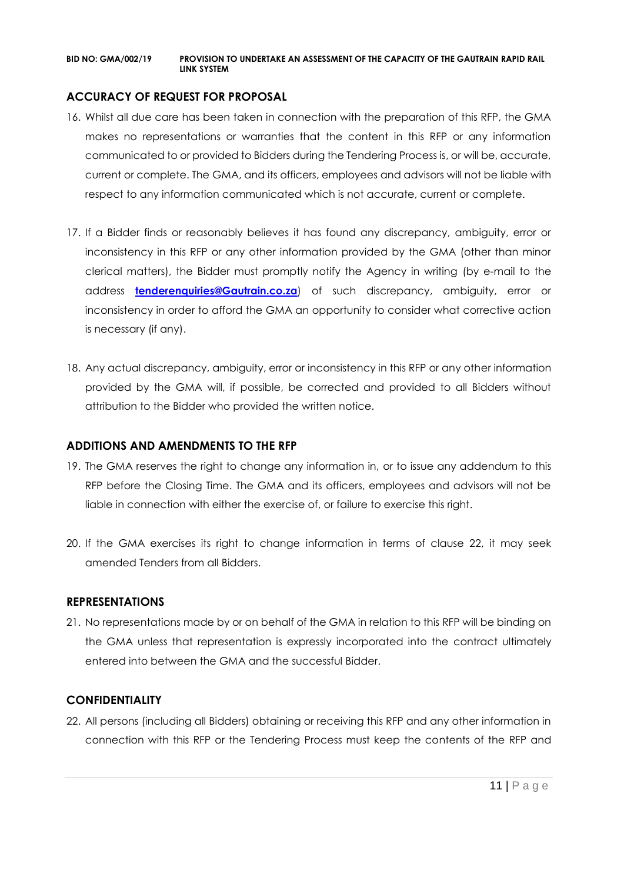# **ACCURACY OF REQUEST FOR PROPOSAL**

- 16. Whilst all due care has been taken in connection with the preparation of this RFP, the GMA makes no representations or warranties that the content in this RFP or any information communicated to or provided to Bidders during the Tendering Process is, or will be, accurate, current or complete. The GMA, and its officers, employees and advisors will not be liable with respect to any information communicated which is not accurate, current or complete.
- 17. If a Bidder finds or reasonably believes it has found any discrepancy, ambiguity, error or inconsistency in this RFP or any other information provided by the GMA (other than minor clerical matters), the Bidder must promptly notify the Agency in writing (by e-mail to the address **[tenderenquiries@Gautrain.co.za](mailto:tenderenquiries@gautrainpo.co.za)**) of such discrepancy, ambiguity, error or inconsistency in order to afford the GMA an opportunity to consider what corrective action is necessary (if any).
- 18. Any actual discrepancy, ambiguity, error or inconsistency in this RFP or any other information provided by the GMA will, if possible, be corrected and provided to all Bidders without attribution to the Bidder who provided the written notice.

### **ADDITIONS AND AMENDMENTS TO THE RFP**

- 19. The GMA reserves the right to change any information in, or to issue any addendum to this RFP before the Closing Time. The GMA and its officers, employees and advisors will not be liable in connection with either the exercise of, or failure to exercise this right.
- 20. If the GMA exercises its right to change information in terms of clause 22, it may seek amended Tenders from all Bidders.

### **REPRESENTATIONS**

21. No representations made by or on behalf of the GMA in relation to this RFP will be binding on the GMA unless that representation is expressly incorporated into the contract ultimately entered into between the GMA and the successful Bidder.

# **CONFIDENTIALITY**

22. All persons (including all Bidders) obtaining or receiving this RFP and any other information in connection with this RFP or the Tendering Process must keep the contents of the RFP and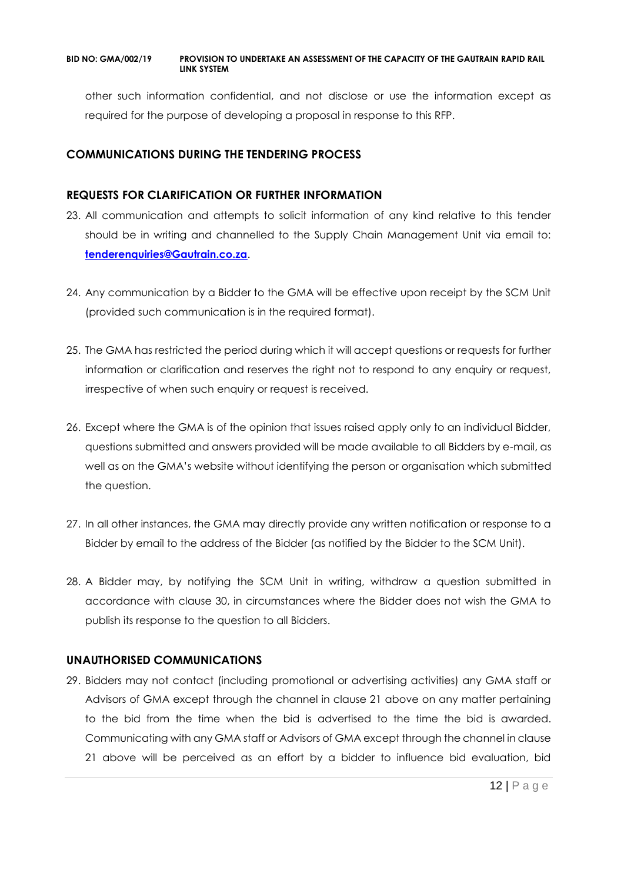other such information confidential, and not disclose or use the information except as required for the purpose of developing a proposal in response to this RFP.

# **COMMUNICATIONS DURING THE TENDERING PROCESS**

# **REQUESTS FOR CLARIFICATION OR FURTHER INFORMATION**

- 23. All communication and attempts to solicit information of any kind relative to this tender should be in writing and channelled to the Supply Chain Management Unit via email to: **[tenderenquiries@Gautrain.co.za](mailto:tenderenquiries@gautrainpo.co.za)**.
- 24. Any communication by a Bidder to the GMA will be effective upon receipt by the SCM Unit (provided such communication is in the required format).
- 25. The GMA has restricted the period during which it will accept questions or requests for further information or clarification and reserves the right not to respond to any enquiry or request, irrespective of when such enquiry or request is received.
- 26. Except where the GMA is of the opinion that issues raised apply only to an individual Bidder, questions submitted and answers provided will be made available to all Bidders by e-mail, as well as on the GMA's website without identifying the person or organisation which submitted the question.
- 27. In all other instances, the GMA may directly provide any written notification or response to a Bidder by email to the address of the Bidder (as notified by the Bidder to the SCM Unit).
- 28. A Bidder may, by notifying the SCM Unit in writing, withdraw a question submitted in accordance with clause 30, in circumstances where the Bidder does not wish the GMA to publish its response to the question to all Bidders.

# **UNAUTHORISED COMMUNICATIONS**

29. Bidders may not contact (including promotional or advertising activities) any GMA staff or Advisors of GMA except through the channel in clause 21 above on any matter pertaining to the bid from the time when the bid is advertised to the time the bid is awarded. Communicating with any GMA staff or Advisors of GMA except through the channel in clause 21 above will be perceived as an effort by a bidder to influence bid evaluation, bid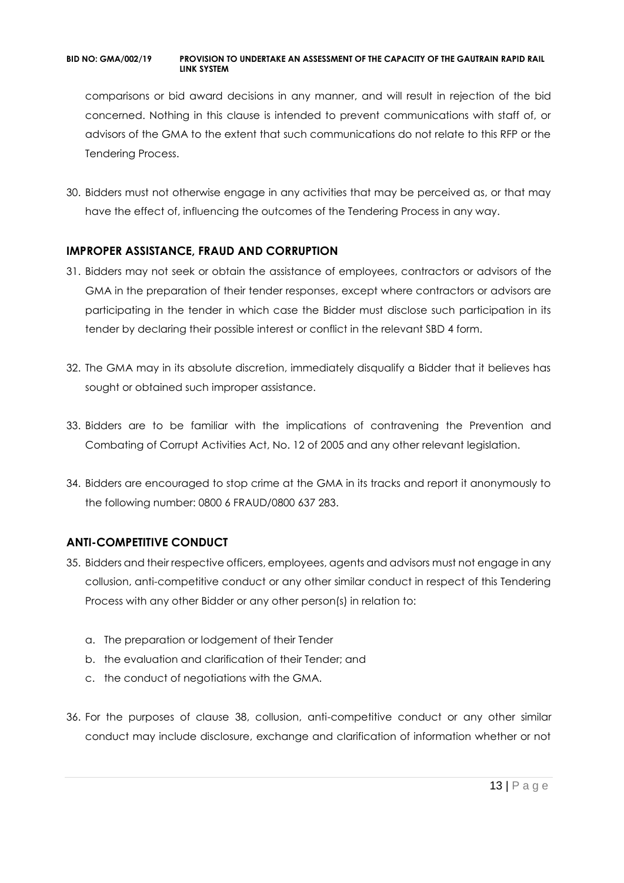comparisons or bid award decisions in any manner, and will result in rejection of the bid concerned. Nothing in this clause is intended to prevent communications with staff of, or advisors of the GMA to the extent that such communications do not relate to this RFP or the Tendering Process.

30. Bidders must not otherwise engage in any activities that may be perceived as, or that may have the effect of, influencing the outcomes of the Tendering Process in any way.

# **IMPROPER ASSISTANCE, FRAUD AND CORRUPTION**

- 31. Bidders may not seek or obtain the assistance of employees, contractors or advisors of the GMA in the preparation of their tender responses, except where contractors or advisors are participating in the tender in which case the Bidder must disclose such participation in its tender by declaring their possible interest or conflict in the relevant SBD 4 form.
- 32. The GMA may in its absolute discretion, immediately disqualify a Bidder that it believes has sought or obtained such improper assistance.
- 33. Bidders are to be familiar with the implications of contravening the Prevention and Combating of Corrupt Activities Act, No. 12 of 2005 and any other relevant legislation.
- 34. Bidders are encouraged to stop crime at the GMA in its tracks and report it anonymously to the following number: 0800 6 FRAUD/0800 637 283.

# **ANTI-COMPETITIVE CONDUCT**

- 35. Bidders and their respective officers, employees, agents and advisors must not engage in any collusion, anti-competitive conduct or any other similar conduct in respect of this Tendering Process with any other Bidder or any other person(s) in relation to:
	- a. The preparation or lodgement of their Tender
	- b. the evaluation and clarification of their Tender; and
	- c. the conduct of negotiations with the GMA.
- 36. For the purposes of clause 38, collusion, anti-competitive conduct or any other similar conduct may include disclosure, exchange and clarification of information whether or not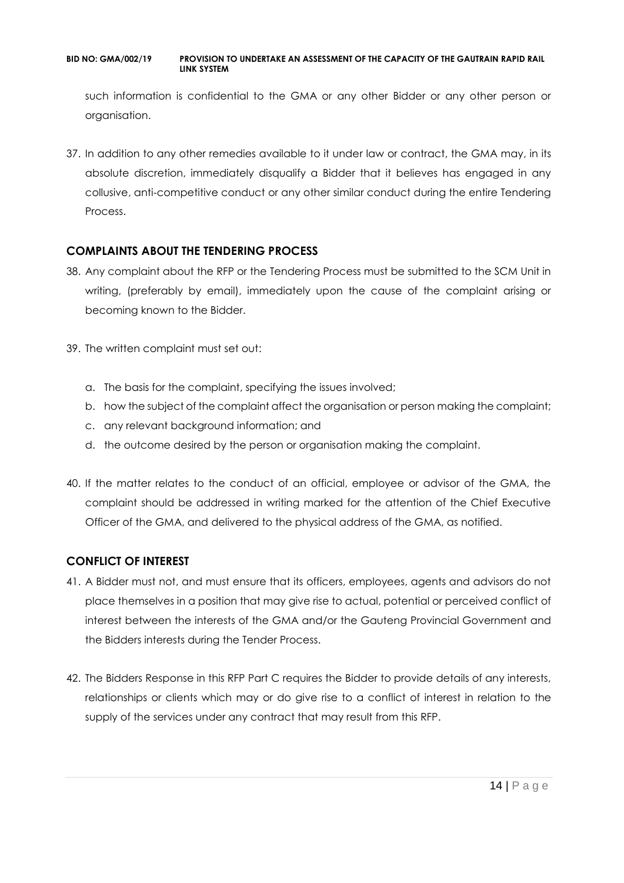such information is confidential to the GMA or any other Bidder or any other person or organisation.

37. In addition to any other remedies available to it under law or contract, the GMA may, in its absolute discretion, immediately disqualify a Bidder that it believes has engaged in any collusive, anti-competitive conduct or any other similar conduct during the entire Tendering Process.

# **COMPLAINTS ABOUT THE TENDERING PROCESS**

- 38. Any complaint about the RFP or the Tendering Process must be submitted to the SCM Unit in writing, (preferably by email), immediately upon the cause of the complaint arising or becoming known to the Bidder.
- 39. The written complaint must set out:
	- a. The basis for the complaint, specifying the issues involved;
	- b. how the subject of the complaint affect the organisation or person making the complaint;
	- c. any relevant background information; and
	- d. the outcome desired by the person or organisation making the complaint.
- 40. If the matter relates to the conduct of an official, employee or advisor of the GMA, the complaint should be addressed in writing marked for the attention of the Chief Executive Officer of the GMA, and delivered to the physical address of the GMA, as notified.

# **CONFLICT OF INTEREST**

- 41. A Bidder must not, and must ensure that its officers, employees, agents and advisors do not place themselves in a position that may give rise to actual, potential or perceived conflict of interest between the interests of the GMA and/or the Gauteng Provincial Government and the Bidders interests during the Tender Process.
- 42. The Bidders Response in this RFP Part C requires the Bidder to provide details of any interests, relationships or clients which may or do give rise to a conflict of interest in relation to the supply of the services under any contract that may result from this RFP.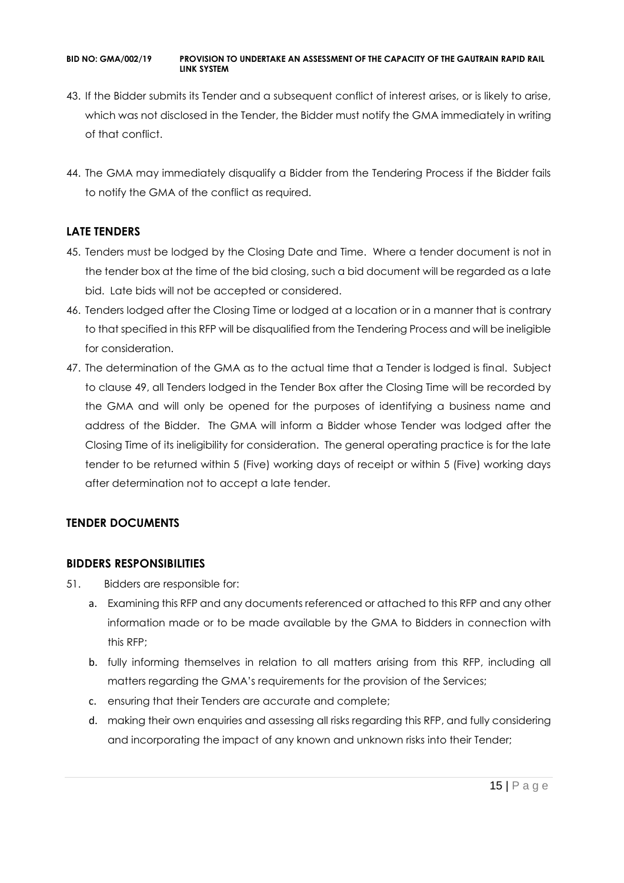- 43. If the Bidder submits its Tender and a subsequent conflict of interest arises, or is likely to arise, which was not disclosed in the Tender, the Bidder must notify the GMA immediately in writing of that conflict.
- 44. The GMA may immediately disqualify a Bidder from the Tendering Process if the Bidder fails to notify the GMA of the conflict as required.

# **LATE TENDERS**

- 45. Tenders must be lodged by the Closing Date and Time. Where a tender document is not in the tender box at the time of the bid closing, such a bid document will be regarded as a late bid. Late bids will not be accepted or considered.
- 46. Tenders lodged after the Closing Time or lodged at a location or in a manner that is contrary to that specified in this RFP will be disqualified from the Tendering Process and will be ineligible for consideration.
- 47. The determination of the GMA as to the actual time that a Tender is lodged is final. Subject to clause 49, all Tenders lodged in the Tender Box after the Closing Time will be recorded by the GMA and will only be opened for the purposes of identifying a business name and address of the Bidder. The GMA will inform a Bidder whose Tender was lodged after the Closing Time of its ineligibility for consideration. The general operating practice is for the late tender to be returned within 5 (Five) working days of receipt or within 5 (Five) working days after determination not to accept a late tender.

# **TENDER DOCUMENTS**

# **BIDDERS RESPONSIBILITIES**

- 51. Bidders are responsible for:
	- a. Examining this RFP and any documents referenced or attached to this RFP and any other information made or to be made available by the GMA to Bidders in connection with this RFP;
	- b. fully informing themselves in relation to all matters arising from this RFP, including all matters regarding the GMA's requirements for the provision of the Services;
	- c. ensuring that their Tenders are accurate and complete;
	- d. making their own enquiries and assessing all risks regarding this RFP, and fully considering and incorporating the impact of any known and unknown risks into their Tender;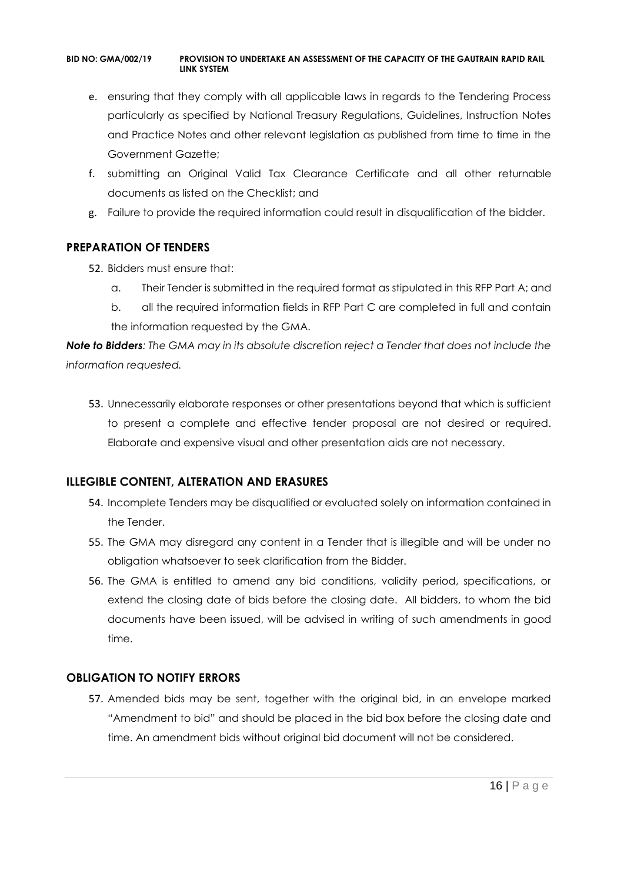- e. ensuring that they comply with all applicable laws in regards to the Tendering Process particularly as specified by National Treasury Regulations, Guidelines, Instruction Notes and Practice Notes and other relevant legislation as published from time to time in the Government Gazette;
- f. submitting an Original Valid Tax Clearance Certificate and all other returnable documents as listed on the Checklist; and
- g. Failure to provide the required information could result in disqualification of the bidder.

# **PREPARATION OF TENDERS**

- 52. Bidders must ensure that:
	- a. Their Tender is submitted in the required format as stipulated in this RFP Part A; and
	- b. all the required information fields in RFP Part C are completed in full and contain the information requested by the GMA.

*Note to Bidders: The GMA may in its absolute discretion reject a Tender that does not include the information requested.*

53. Unnecessarily elaborate responses or other presentations beyond that which is sufficient to present a complete and effective tender proposal are not desired or required. Elaborate and expensive visual and other presentation aids are not necessary.

# **ILLEGIBLE CONTENT, ALTERATION AND ERASURES**

- 54. Incomplete Tenders may be disqualified or evaluated solely on information contained in the Tender.
- 55. The GMA may disregard any content in a Tender that is illegible and will be under no obligation whatsoever to seek clarification from the Bidder.
- 56. The GMA is entitled to amend any bid conditions, validity period, specifications, or extend the closing date of bids before the closing date. All bidders, to whom the bid documents have been issued, will be advised in writing of such amendments in good time.

# **OBLIGATION TO NOTIFY ERRORS**

57. Amended bids may be sent, together with the original bid, in an envelope marked "Amendment to bid" and should be placed in the bid box before the closing date and time. An amendment bids without original bid document will not be considered.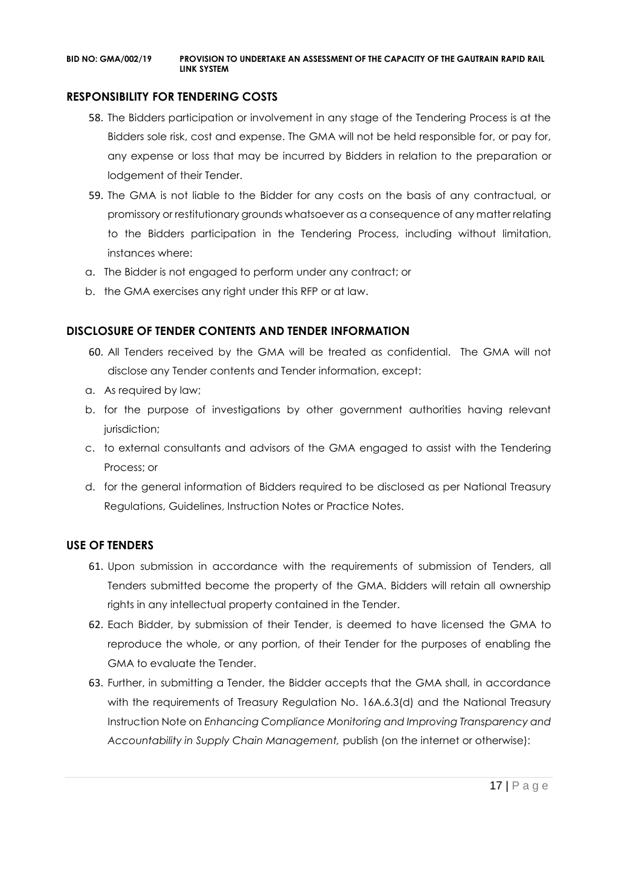# **RESPONSIBILITY FOR TENDERING COSTS**

- 58. The Bidders participation or involvement in any stage of the Tendering Process is at the Bidders sole risk, cost and expense. The GMA will not be held responsible for, or pay for, any expense or loss that may be incurred by Bidders in relation to the preparation or lodgement of their Tender.
- 59. The GMA is not liable to the Bidder for any costs on the basis of any contractual, or promissory or restitutionary grounds whatsoever as a consequence of any matter relating to the Bidders participation in the Tendering Process, including without limitation, instances where:
- a. The Bidder is not engaged to perform under any contract; or
- b. the GMA exercises any right under this RFP or at law.

# **DISCLOSURE OF TENDER CONTENTS AND TENDER INFORMATION**

- 60. All Tenders received by the GMA will be treated as confidential. The GMA will not disclose any Tender contents and Tender information, except:
- a. As required by law;
- b. for the purpose of investigations by other government authorities having relevant jurisdiction;
- c. to external consultants and advisors of the GMA engaged to assist with the Tendering Process; or
- d. for the general information of Bidders required to be disclosed as per National Treasury Regulations, Guidelines, Instruction Notes or Practice Notes.

# **USE OF TENDERS**

- 61. Upon submission in accordance with the requirements of submission of Tenders, all Tenders submitted become the property of the GMA. Bidders will retain all ownership rights in any intellectual property contained in the Tender.
- 62. Each Bidder, by submission of their Tender, is deemed to have licensed the GMA to reproduce the whole, or any portion, of their Tender for the purposes of enabling the GMA to evaluate the Tender.
- 63. Further, in submitting a Tender, the Bidder accepts that the GMA shall, in accordance with the requirements of Treasury Regulation No. 16A.6.3(d) and the National Treasury Instruction Note on *Enhancing Compliance Monitoring and Improving Transparency and Accountability in Supply Chain Management,* publish (on the internet or otherwise):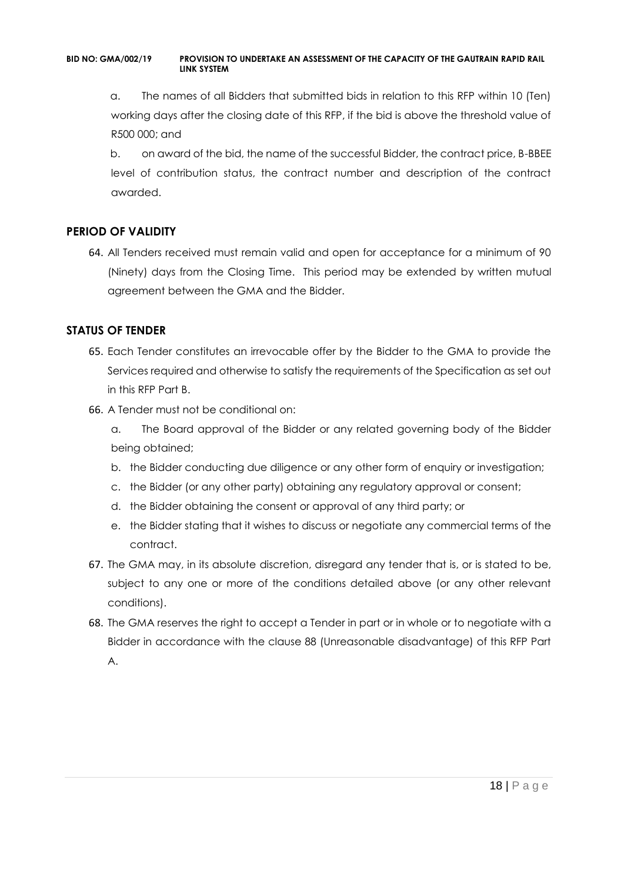a. The names of all Bidders that submitted bids in relation to this RFP within 10 (Ten) working days after the closing date of this RFP, if the bid is above the threshold value of R500 000; and

b. on award of the bid, the name of the successful Bidder, the contract price, B-BBEE level of contribution status, the contract number and description of the contract awarded.

# **PERIOD OF VALIDITY**

64. All Tenders received must remain valid and open for acceptance for a minimum of 90 (Ninety) days from the Closing Time. This period may be extended by written mutual agreement between the GMA and the Bidder.

# **STATUS OF TENDER**

- 65. Each Tender constitutes an irrevocable offer by the Bidder to the GMA to provide the Services required and otherwise to satisfy the requirements of the Specification as set out in this RFP Part B.
- 66. A Tender must not be conditional on:
	- a. The Board approval of the Bidder or any related governing body of the Bidder being obtained;
	- b. the Bidder conducting due diligence or any other form of enquiry or investigation;
	- c. the Bidder (or any other party) obtaining any regulatory approval or consent;
	- d. the Bidder obtaining the consent or approval of any third party; or
	- e. the Bidder stating that it wishes to discuss or negotiate any commercial terms of the contract.
- 67. The GMA may, in its absolute discretion, disregard any tender that is, or is stated to be, subject to any one or more of the conditions detailed above (or any other relevant conditions).
- 68. The GMA reserves the right to accept a Tender in part or in whole or to negotiate with a Bidder in accordance with the clause 88 (Unreasonable disadvantage) of this RFP Part A.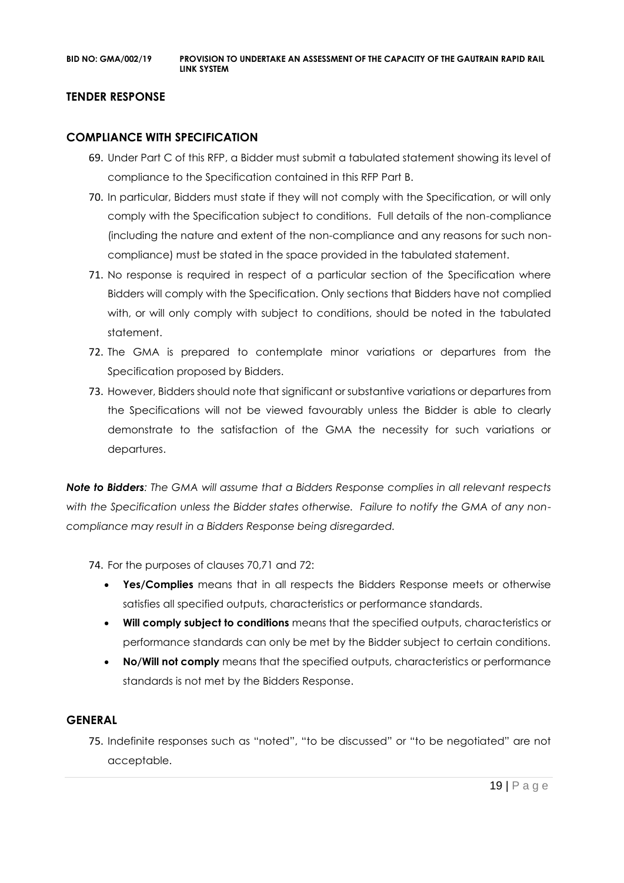# **TENDER RESPONSE**

# **COMPLIANCE WITH SPECIFICATION**

- 69. Under Part C of this RFP, a Bidder must submit a tabulated statement showing its level of compliance to the Specification contained in this RFP Part B.
- 70. In particular, Bidders must state if they will not comply with the Specification, or will only comply with the Specification subject to conditions. Full details of the non-compliance (including the nature and extent of the non-compliance and any reasons for such noncompliance) must be stated in the space provided in the tabulated statement.
- 71. No response is required in respect of a particular section of the Specification where Bidders will comply with the Specification. Only sections that Bidders have not complied with, or will only comply with subject to conditions, should be noted in the tabulated statement.
- 72. The GMA is prepared to contemplate minor variations or departures from the Specification proposed by Bidders.
- 73. However, Bidders should note that significant or substantive variations or departures from the Specifications will not be viewed favourably unless the Bidder is able to clearly demonstrate to the satisfaction of the GMA the necessity for such variations or departures.

*Note to Bidders: The GMA will assume that a Bidders Response complies in all relevant respects with the Specification unless the Bidder states otherwise. Failure to notify the GMA of any noncompliance may result in a Bidders Response being disregarded.*

74. For the purposes of clauses 70,71 and 72:

- **Yes/Complies** means that in all respects the Bidders Response meets or otherwise satisfies all specified outputs, characteristics or performance standards.
- **Will comply subject to conditions** means that the specified outputs, characteristics or performance standards can only be met by the Bidder subject to certain conditions.
- **No/Will not comply** means that the specified outputs, characteristics or performance standards is not met by the Bidders Response.

# **GENERAL**

75. Indefinite responses such as "noted", "to be discussed" or "to be negotiated" are not acceptable.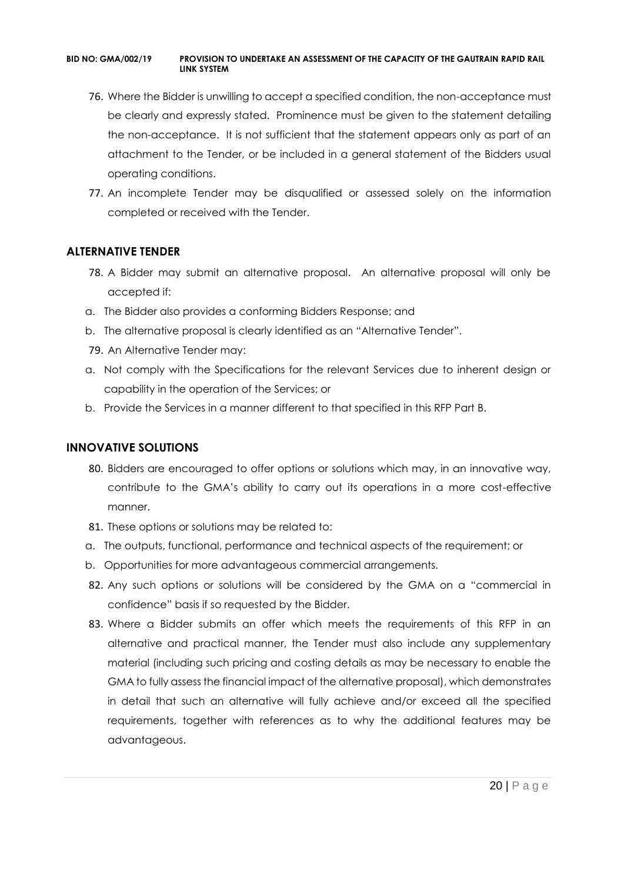- 76. Where the Bidder is unwilling to accept a specified condition, the non-acceptance must be clearly and expressly stated. Prominence must be given to the statement detailing the non-acceptance. It is not sufficient that the statement appears only as part of an attachment to the Tender, or be included in a general statement of the Bidders usual operating conditions.
- 77. An incomplete Tender may be disqualified or assessed solely on the information completed or received with the Tender.

# **ALTERNATIVE TENDER**

- 78. A Bidder may submit an alternative proposal. An alternative proposal will only be accepted if:
- a. The Bidder also provides a conforming Bidders Response; and
- b. The alternative proposal is clearly identified as an "Alternative Tender".
- 79. An Alternative Tender may:
- a. Not comply with the Specifications for the relevant Services due to inherent design or capability in the operation of the Services; or
- b. Provide the Services in a manner different to that specified in this RFP Part B.

# **INNOVATIVE SOLUTIONS**

- 80. Bidders are encouraged to offer options or solutions which may, in an innovative way, contribute to the GMA's ability to carry out its operations in a more cost-effective manner.
- 81. These options or solutions may be related to:
- a. The outputs, functional, performance and technical aspects of the requirement; or
- b. Opportunities for more advantageous commercial arrangements.
- 82. Any such options or solutions will be considered by the GMA on a "commercial in confidence" basis if so requested by the Bidder.
- 83. Where a Bidder submits an offer which meets the requirements of this RFP in an alternative and practical manner, the Tender must also include any supplementary material (including such pricing and costing details as may be necessary to enable the GMA to fully assess the financial impact of the alternative proposal), which demonstrates in detail that such an alternative will fully achieve and/or exceed all the specified requirements, together with references as to why the additional features may be advantageous.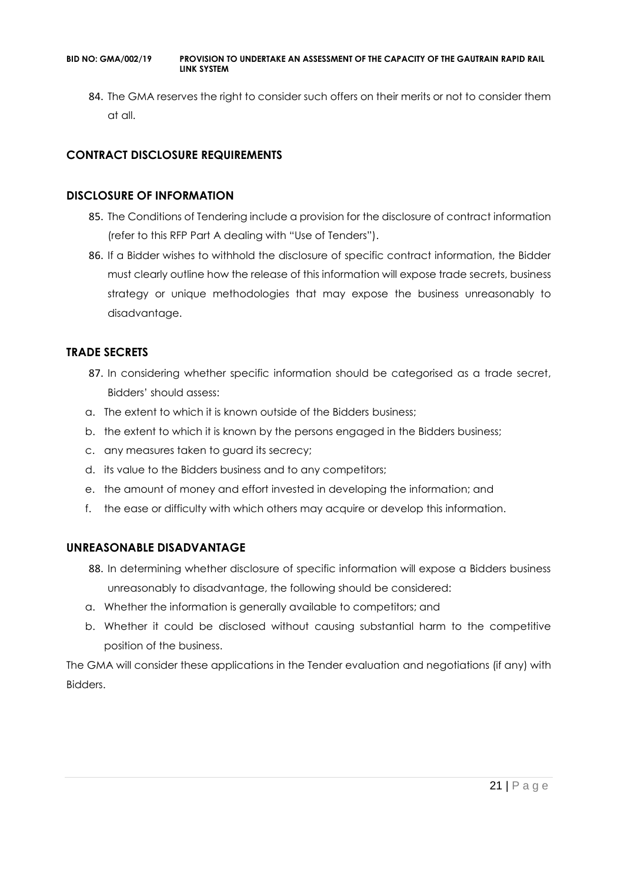84. The GMA reserves the right to consider such offers on their merits or not to consider them at all.

# **CONTRACT DISCLOSURE REQUIREMENTS**

# **DISCLOSURE OF INFORMATION**

- 85. The Conditions of Tendering include a provision for the disclosure of contract information (refer to this RFP Part A dealing with "Use of Tenders").
- 86. If a Bidder wishes to withhold the disclosure of specific contract information, the Bidder must clearly outline how the release of this information will expose trade secrets, business strategy or unique methodologies that may expose the business unreasonably to disadvantage.

# **TRADE SECRETS**

- 87. In considering whether specific information should be categorised as a trade secret, Bidders' should assess:
- a. The extent to which it is known outside of the Bidders business;
- b. the extent to which it is known by the persons engaged in the Bidders business;
- c. any measures taken to guard its secrecy;
- d. its value to the Bidders business and to any competitors;
- e. the amount of money and effort invested in developing the information; and
- f. the ease or difficulty with which others may acquire or develop this information.

# **UNREASONABLE DISADVANTAGE**

- 88. In determining whether disclosure of specific information will expose a Bidders business unreasonably to disadvantage, the following should be considered:
- a. Whether the information is generally available to competitors; and
- b. Whether it could be disclosed without causing substantial harm to the competitive position of the business.

The GMA will consider these applications in the Tender evaluation and negotiations (if any) with Bidders.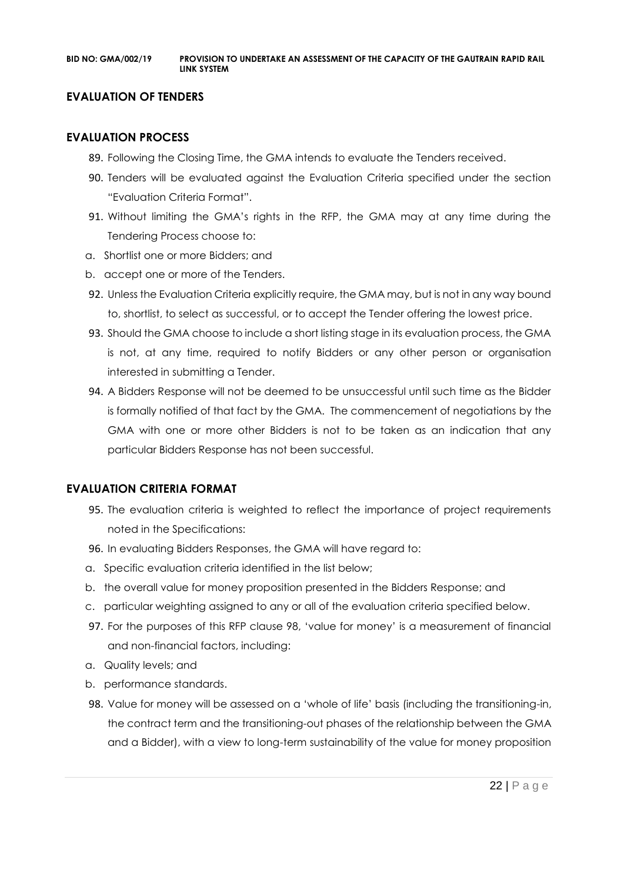# **EVALUATION OF TENDERS**

# **EVALUATION PROCESS**

- 89. Following the Closing Time, the GMA intends to evaluate the Tenders received.
- 90. Tenders will be evaluated against the Evaluation Criteria specified under the section "Evaluation Criteria Format".
- 91. Without limiting the GMA's rights in the RFP, the GMA may at any time during the Tendering Process choose to:
- a. Shortlist one or more Bidders; and
- b. accept one or more of the Tenders.
- 92. Unless the Evaluation Criteria explicitly require, the GMA may, but is not in any way bound to, shortlist, to select as successful, or to accept the Tender offering the lowest price.
- 93. Should the GMA choose to include a short listing stage in its evaluation process, the GMA is not, at any time, required to notify Bidders or any other person or organisation interested in submitting a Tender.
- 94. A Bidders Response will not be deemed to be unsuccessful until such time as the Bidder is formally notified of that fact by the GMA. The commencement of negotiations by the GMA with one or more other Bidders is not to be taken as an indication that any particular Bidders Response has not been successful.

# **EVALUATION CRITERIA FORMAT**

- 95. The evaluation criteria is weighted to reflect the importance of project requirements noted in the Specifications:
- 96. In evaluating Bidders Responses, the GMA will have regard to:
- a. Specific evaluation criteria identified in the list below;
- b. the overall value for money proposition presented in the Bidders Response; and
- c. particular weighting assigned to any or all of the evaluation criteria specified below.
- 97. For the purposes of this RFP clause 98, 'value for money' is a measurement of financial and non-financial factors, including:
- a. Quality levels; and
- b. performance standards.
- 98. Value for money will be assessed on a 'whole of life' basis (including the transitioning-in, the contract term and the transitioning-out phases of the relationship between the GMA and a Bidder), with a view to long-term sustainability of the value for money proposition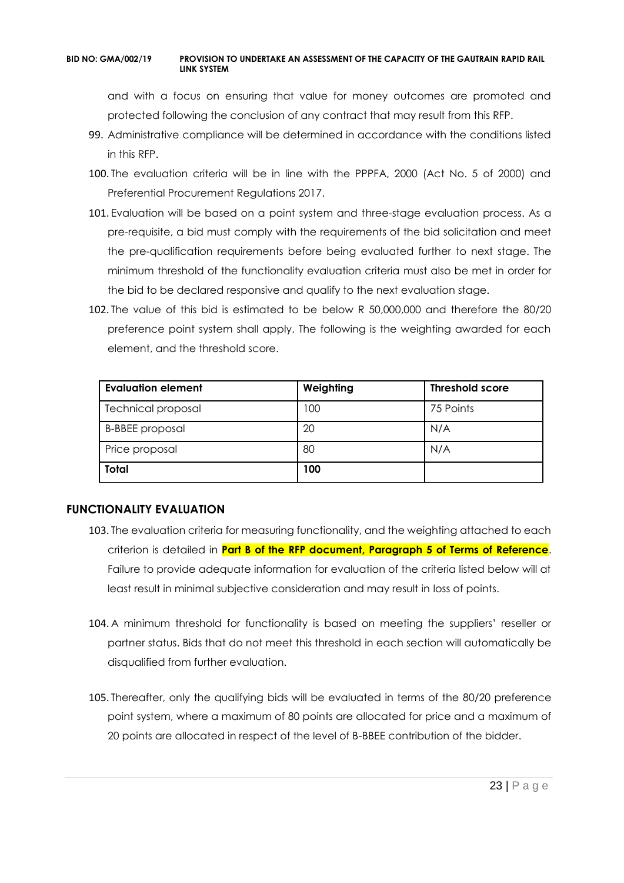and with a focus on ensuring that value for money outcomes are promoted and protected following the conclusion of any contract that may result from this RFP.

- 99. Administrative compliance will be determined in accordance with the conditions listed in this RFP.
- 100. The evaluation criteria will be in line with the PPPFA, 2000 (Act No. 5 of 2000) and Preferential Procurement Regulations 2017.
- 101. Evaluation will be based on a point system and three-stage evaluation process. As a pre-requisite, a bid must comply with the requirements of the bid solicitation and meet the pre-qualification requirements before being evaluated further to next stage. The minimum threshold of the functionality evaluation criteria must also be met in order for the bid to be declared responsive and qualify to the next evaluation stage.
- 102. The value of this bid is estimated to be below R 50,000,000 and therefore the 80/20 preference point system shall apply. The following is the weighting awarded for each element, and the threshold score.

| <b>Evaluation element</b> | Weighting | <b>Threshold score</b> |
|---------------------------|-----------|------------------------|
| <b>Technical proposal</b> | 100       | 75 Points              |
| <b>B-BBEE</b> proposal    | 20        | N/A                    |
| Price proposal            | 80        | N/A                    |
| <b>Total</b>              | 100       |                        |

# **FUNCTIONALITY EVALUATION**

- 103. The evaluation criteria for measuring functionality, and the weighting attached to each criterion is detailed in **Part B of the RFP document, Paragraph 5 of Terms of Reference**. Failure to provide adequate information for evaluation of the criteria listed below will at least result in minimal subjective consideration and may result in loss of points.
- 104. A minimum threshold for functionality is based on meeting the suppliers' reseller or partner status. Bids that do not meet this threshold in each section will automatically be disqualified from further evaluation.
- 105. Thereafter, only the qualifying bids will be evaluated in terms of the 80/20 preference point system, where a maximum of 80 points are allocated for price and a maximum of 20 points are allocated in respect of the level of B-BBEE contribution of the bidder.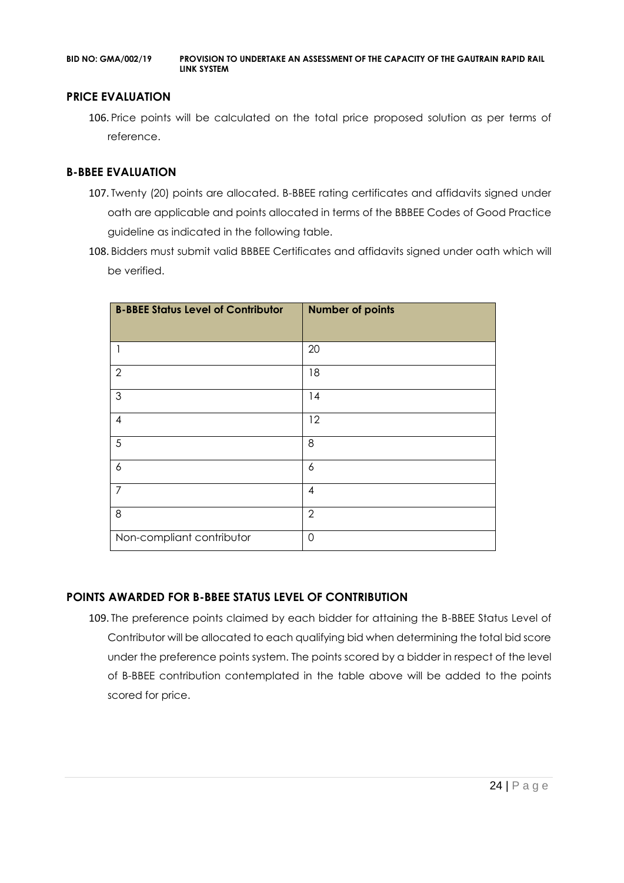### **PRICE EVALUATION**

106. Price points will be calculated on the total price proposed solution as per terms of reference.

### **B-BBEE EVALUATION**

- 107. Twenty (20) points are allocated. B-BBEE rating certificates and affidavits signed under oath are applicable and points allocated in terms of the BBBEE Codes of Good Practice guideline as indicated in the following table.
- 108. Bidders must submit valid BBBEE Certificates and affidavits signed under oath which will be verified.

| <b>B-BBEE Status Level of Contributor</b> | <b>Number of points</b> |
|-------------------------------------------|-------------------------|
| 1                                         | 20                      |
| $\overline{2}$                            | 18                      |
| 3                                         | 14                      |
| 4                                         | 12                      |
| 5                                         | 8                       |
| 6                                         | 6                       |
| 7                                         | $\overline{4}$          |
| 8                                         | $\overline{2}$          |
| Non-compliant contributor                 | $\Omega$                |

# **POINTS AWARDED FOR B-BBEE STATUS LEVEL OF CONTRIBUTION**

109. The preference points claimed by each bidder for attaining the B-BBEE Status Level of Contributor will be allocated to each qualifying bid when determining the total bid score under the preference points system. The points scored by a bidder in respect of the level of B-BBEE contribution contemplated in the table above will be added to the points scored for price.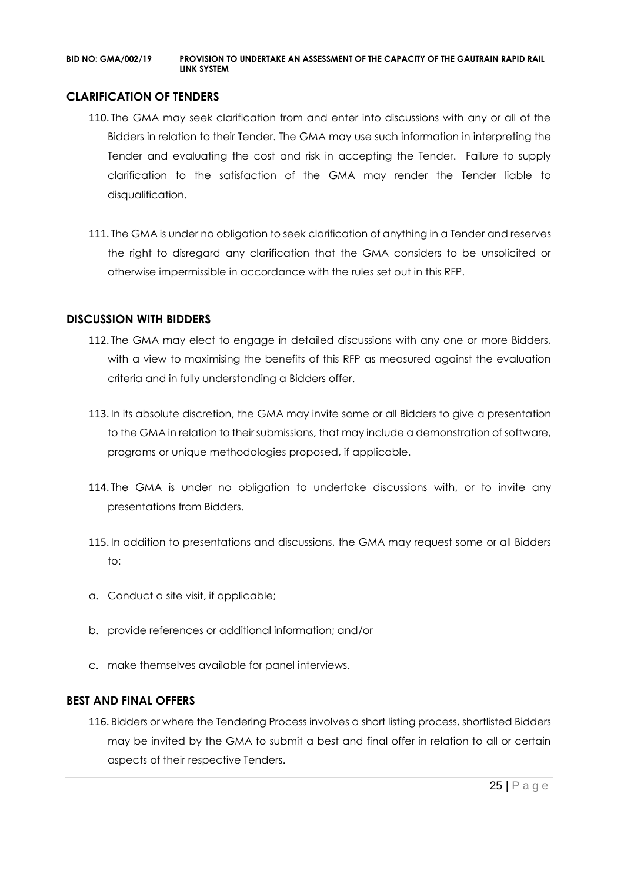### **CLARIFICATION OF TENDERS**

- 110. The GMA may seek clarification from and enter into discussions with any or all of the Bidders in relation to their Tender. The GMA may use such information in interpreting the Tender and evaluating the cost and risk in accepting the Tender. Failure to supply clarification to the satisfaction of the GMA may render the Tender liable to disqualification.
- 111. The GMA is under no obligation to seek clarification of anything in a Tender and reserves the right to disregard any clarification that the GMA considers to be unsolicited or otherwise impermissible in accordance with the rules set out in this RFP.

### **DISCUSSION WITH BIDDERS**

- 112. The GMA may elect to engage in detailed discussions with any one or more Bidders, with a view to maximising the benefits of this RFP as measured against the evaluation criteria and in fully understanding a Bidders offer.
- 113. In its absolute discretion, the GMA may invite some or all Bidders to give a presentation to the GMA in relation to their submissions, that may include a demonstration of software, programs or unique methodologies proposed, if applicable.
- 114. The GMA is under no obligation to undertake discussions with, or to invite any presentations from Bidders.
- 115. In addition to presentations and discussions, the GMA may request some or all Bidders to:
- a. Conduct a site visit, if applicable;
- b. provide references or additional information; and/or
- c. make themselves available for panel interviews.

#### **BEST AND FINAL OFFERS**

116. Bidders or where the Tendering Process involves a short listing process, shortlisted Bidders may be invited by the GMA to submit a best and final offer in relation to all or certain aspects of their respective Tenders.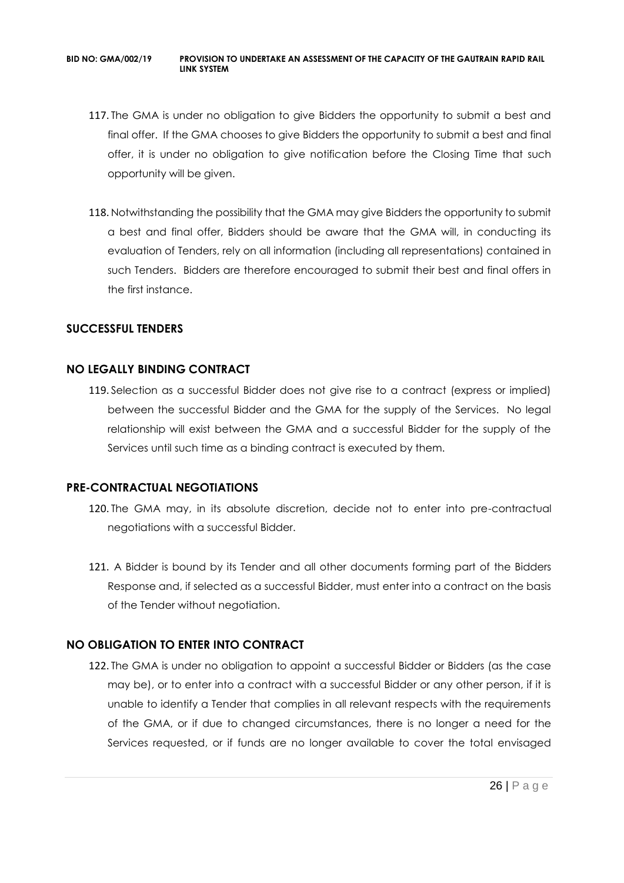- 117. The GMA is under no obligation to give Bidders the opportunity to submit a best and final offer. If the GMA chooses to give Bidders the opportunity to submit a best and final offer, it is under no obligation to give notification before the Closing Time that such opportunity will be given.
- 118. Notwithstanding the possibility that the GMA may give Bidders the opportunity to submit a best and final offer, Bidders should be aware that the GMA will, in conducting its evaluation of Tenders, rely on all information (including all representations) contained in such Tenders. Bidders are therefore encouraged to submit their best and final offers in the first instance.

# **SUCCESSFUL TENDERS**

# **NO LEGALLY BINDING CONTRACT**

119. Selection as a successful Bidder does not give rise to a contract (express or implied) between the successful Bidder and the GMA for the supply of the Services. No legal relationship will exist between the GMA and a successful Bidder for the supply of the Services until such time as a binding contract is executed by them.

# **PRE-CONTRACTUAL NEGOTIATIONS**

- 120. The GMA may, in its absolute discretion, decide not to enter into pre-contractual negotiations with a successful Bidder.
- 121. A Bidder is bound by its Tender and all other documents forming part of the Bidders Response and, if selected as a successful Bidder, must enter into a contract on the basis of the Tender without negotiation.

# **NO OBLIGATION TO ENTER INTO CONTRACT**

122. The GMA is under no obligation to appoint a successful Bidder or Bidders (as the case may be), or to enter into a contract with a successful Bidder or any other person, if it is unable to identify a Tender that complies in all relevant respects with the requirements of the GMA, or if due to changed circumstances, there is no longer a need for the Services requested, or if funds are no longer available to cover the total envisaged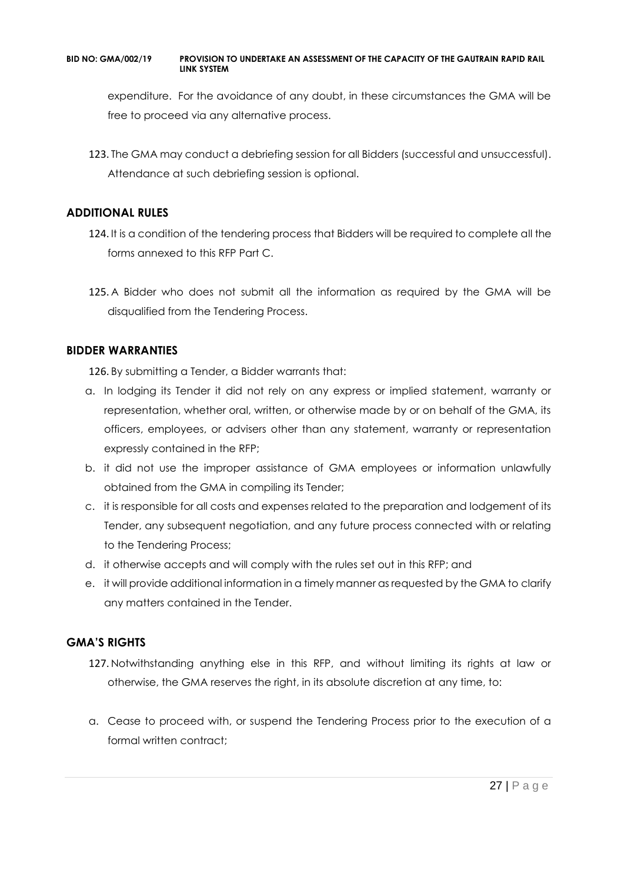expenditure. For the avoidance of any doubt, in these circumstances the GMA will be free to proceed via any alternative process.

123. The GMA may conduct a debriefing session for all Bidders (successful and unsuccessful). Attendance at such debriefing session is optional.

# **ADDITIONAL RULES**

- 124. It is a condition of the tendering process that Bidders will be required to complete all the forms annexed to this RFP Part C.
- 125. A Bidder who does not submit all the information as required by the GMA will be disqualified from the Tendering Process.

# **BIDDER WARRANTIES**

126. By submitting a Tender, a Bidder warrants that:

- a. In lodging its Tender it did not rely on any express or implied statement, warranty or representation, whether oral, written, or otherwise made by or on behalf of the GMA, its officers, employees, or advisers other than any statement, warranty or representation expressly contained in the RFP;
- b. it did not use the improper assistance of GMA employees or information unlawfully obtained from the GMA in compiling its Tender;
- c. it is responsible for all costs and expenses related to the preparation and lodgement of its Tender, any subsequent negotiation, and any future process connected with or relating to the Tendering Process;
- d. it otherwise accepts and will comply with the rules set out in this RFP; and
- e. it will provide additional information in a timely manner as requested by the GMA to clarify any matters contained in the Tender.

# **GMA'S RIGHTS**

- 127. Notwithstanding anything else in this RFP, and without limiting its rights at law or otherwise, the GMA reserves the right, in its absolute discretion at any time, to:
- a. Cease to proceed with, or suspend the Tendering Process prior to the execution of a formal written contract: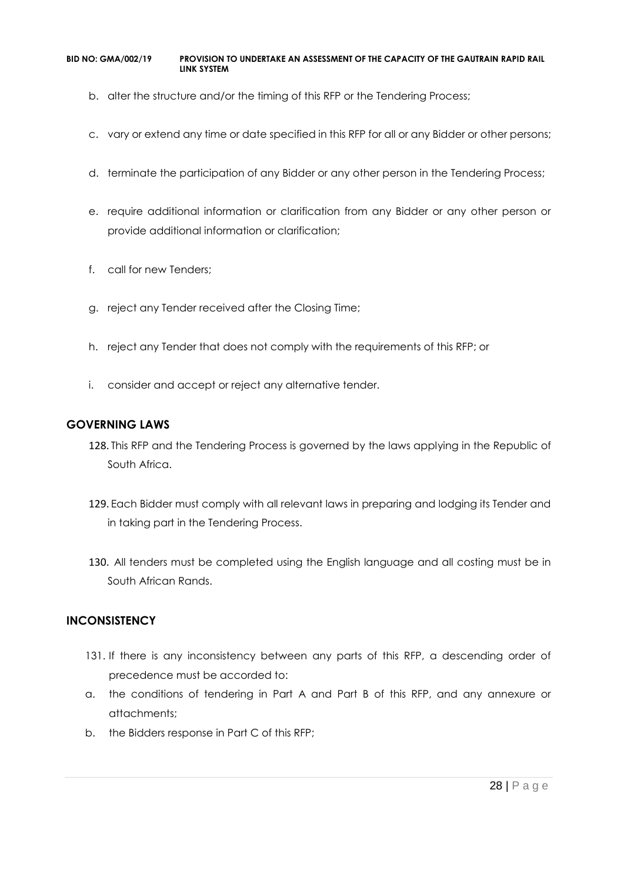- b. alter the structure and/or the timing of this RFP or the Tendering Process;
- c. vary or extend any time or date specified in this RFP for all or any Bidder or other persons;
- d. terminate the participation of any Bidder or any other person in the Tendering Process;
- e. require additional information or clarification from any Bidder or any other person or provide additional information or clarification;
- f. call for new Tenders;
- g. reject any Tender received after the Closing Time;
- h. reject any Tender that does not comply with the requirements of this RFP; or
- i. consider and accept or reject any alternative tender.

# **GOVERNING LAWS**

- 128. This RFP and the Tendering Process is governed by the laws applying in the Republic of South Africa.
- 129. Each Bidder must comply with all relevant laws in preparing and lodging its Tender and in taking part in the Tendering Process.
- 130. All tenders must be completed using the English language and all costing must be in South African Rands.

# **INCONSISTENCY**

- 131. If there is any inconsistency between any parts of this RFP, a descending order of precedence must be accorded to:
- a. the conditions of tendering in Part A and Part B of this RFP, and any annexure or attachments;
- b. the Bidders response in Part C of this RFP;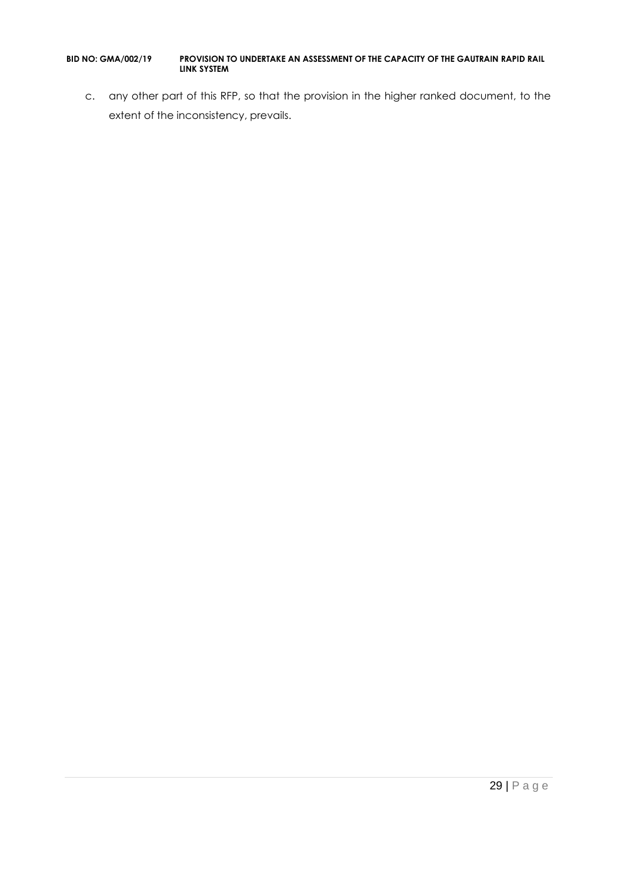c. any other part of this RFP, so that the provision in the higher ranked document, to the extent of the inconsistency, prevails.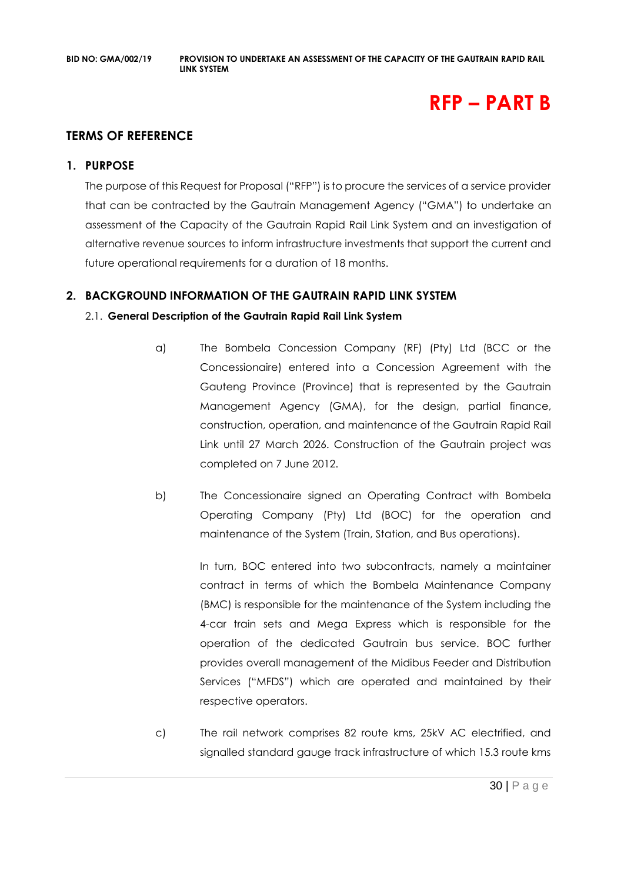# **RFP – PART B**

# **TERMS OF REFERENCE**

### **1. PURPOSE**

The purpose of this Request for Proposal ("RFP") is to procure the services of a service provider that can be contracted by the Gautrain Management Agency ("GMA") to undertake an assessment of the Capacity of the Gautrain Rapid Rail Link System and an investigation of alternative revenue sources to inform infrastructure investments that support the current and future operational requirements for a duration of 18 months.

# **2. BACKGROUND INFORMATION OF THE GAUTRAIN RAPID LINK SYSTEM**

### 2.1. **General Description of the Gautrain Rapid Rail Link System**

- a) The Bombela Concession Company (RF) (Pty) Ltd (BCC or the Concessionaire) entered into a Concession Agreement with the Gauteng Province (Province) that is represented by the Gautrain Management Agency (GMA), for the design, partial finance, construction, operation, and maintenance of the Gautrain Rapid Rail Link until 27 March 2026. Construction of the Gautrain project was completed on 7 June 2012.
- b) The Concessionaire signed an Operating Contract with Bombela Operating Company (Pty) Ltd (BOC) for the operation and maintenance of the System (Train, Station, and Bus operations).

In turn, BOC entered into two subcontracts, namely a maintainer contract in terms of which the Bombela Maintenance Company (BMC) is responsible for the maintenance of the System including the 4-car train sets and Mega Express which is responsible for the operation of the dedicated Gautrain bus service. BOC further provides overall management of the Midibus Feeder and Distribution Services ("MFDS") which are operated and maintained by their respective operators.

c) The rail network comprises 82 route kms, 25kV AC electrified, and signalled standard gauge track infrastructure of which 15.3 route kms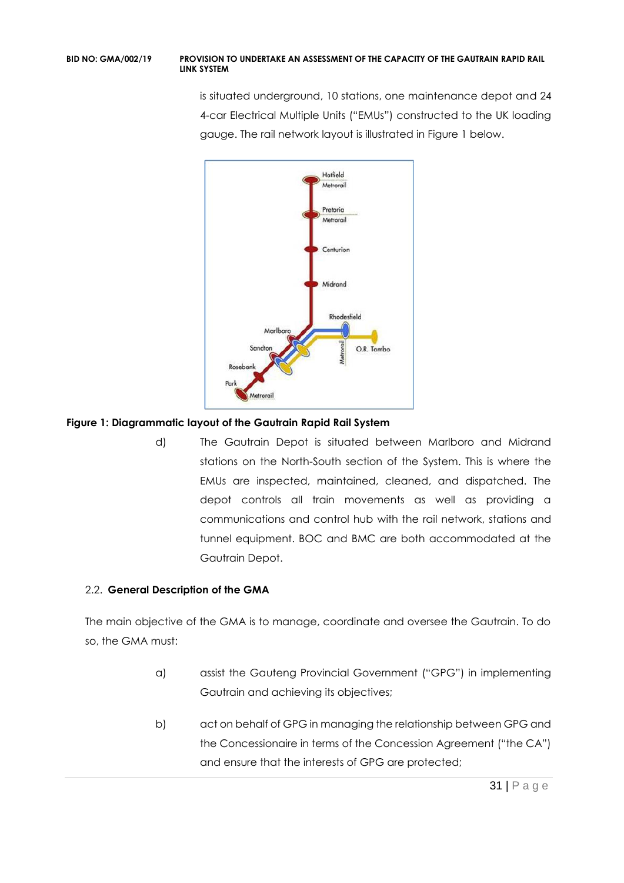is situated underground, 10 stations, one maintenance depot and 24 4-car Electrical Multiple Units ("EMUs") constructed to the UK loading gauge. The rail network layout is illustrated in Figure 1 below.



# **Figure 1: Diagrammatic layout of the Gautrain Rapid Rail System**

d) The Gautrain Depot is situated between Marlboro and Midrand stations on the North-South section of the System. This is where the EMUs are inspected, maintained, cleaned, and dispatched. The depot controls all train movements as well as providing a communications and control hub with the rail network, stations and tunnel equipment. BOC and BMC are both accommodated at the Gautrain Depot.

# 2.2. **General Description of the GMA**

The main objective of the GMA is to manage, coordinate and oversee the Gautrain. To do so, the GMA must:

- a) assist the Gauteng Provincial Government ("GPG") in implementing Gautrain and achieving its objectives;
- b) act on behalf of GPG in managing the relationship between GPG and the Concessionaire in terms of the Concession Agreement ("the CA") and ensure that the interests of GPG are protected;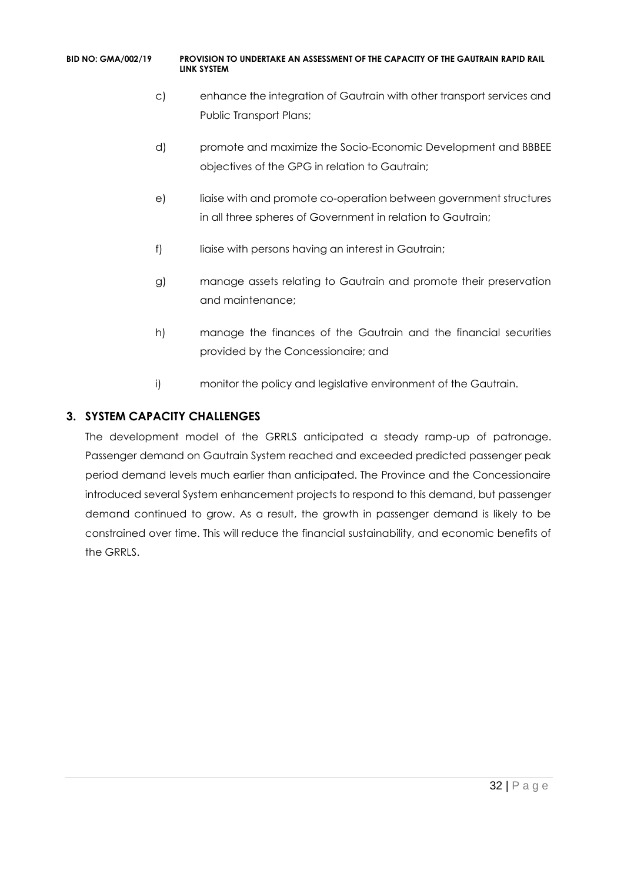- c) enhance the integration of Gautrain with other transport services and Public Transport Plans;
- d) promote and maximize the Socio-Economic Development and BBBEE objectives of the GPG in relation to Gautrain;
- e) liaise with and promote co-operation between government structures in all three spheres of Government in relation to Gautrain;
- f) liaise with persons having an interest in Gautrain;
- g) manage assets relating to Gautrain and promote their preservation and maintenance;
- h) manage the finances of the Gautrain and the financial securities provided by the Concessionaire; and
- i) monitor the policy and legislative environment of the Gautrain.

# **3. SYSTEM CAPACITY CHALLENGES**

The development model of the GRRLS anticipated a steady ramp-up of patronage. Passenger demand on Gautrain System reached and exceeded predicted passenger peak period demand levels much earlier than anticipated. The Province and the Concessionaire introduced several System enhancement projects to respond to this demand, but passenger demand continued to grow. As a result, the growth in passenger demand is likely to be constrained over time. This will reduce the financial sustainability, and economic benefits of the GRRLS.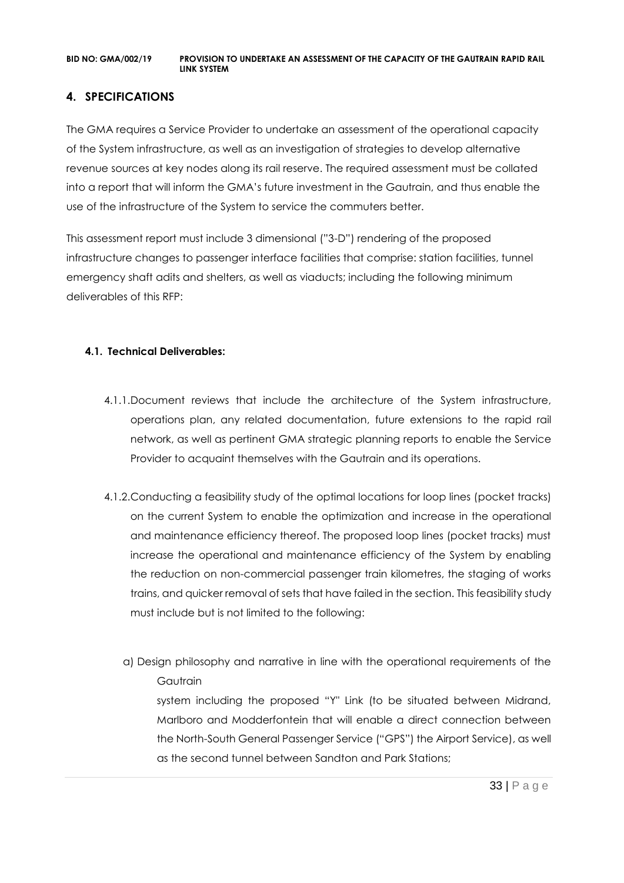# **4. SPECIFICATIONS**

The GMA requires a Service Provider to undertake an assessment of the operational capacity of the System infrastructure, as well as an investigation of strategies to develop alternative revenue sources at key nodes along its rail reserve. The required assessment must be collated into a report that will inform the GMA's future investment in the Gautrain, and thus enable the use of the infrastructure of the System to service the commuters better.

This assessment report must include 3 dimensional ("3-D") rendering of the proposed infrastructure changes to passenger interface facilities that comprise: station facilities, tunnel emergency shaft adits and shelters, as well as viaducts; including the following minimum deliverables of this RFP:

### **4.1. Technical Deliverables:**

- 4.1.1.Document reviews that include the architecture of the System infrastructure, operations plan, any related documentation, future extensions to the rapid rail network, as well as pertinent GMA strategic planning reports to enable the Service Provider to acquaint themselves with the Gautrain and its operations.
- 4.1.2.Conducting a feasibility study of the optimal locations for loop lines (pocket tracks) on the current System to enable the optimization and increase in the operational and maintenance efficiency thereof. The proposed loop lines (pocket tracks) must increase the operational and maintenance efficiency of the System by enabling the reduction on non-commercial passenger train kilometres, the staging of works trains, and quicker removal of sets that have failed in the section. This feasibility study must include but is not limited to the following:
	- a) Design philosophy and narrative in line with the operational requirements of the **Gautrain**

system including the proposed "Y" Link (to be situated between Midrand, Marlboro and Modderfontein that will enable a direct connection between the North-South General Passenger Service ("GPS") the Airport Service), as well as the second tunnel between Sandton and Park Stations;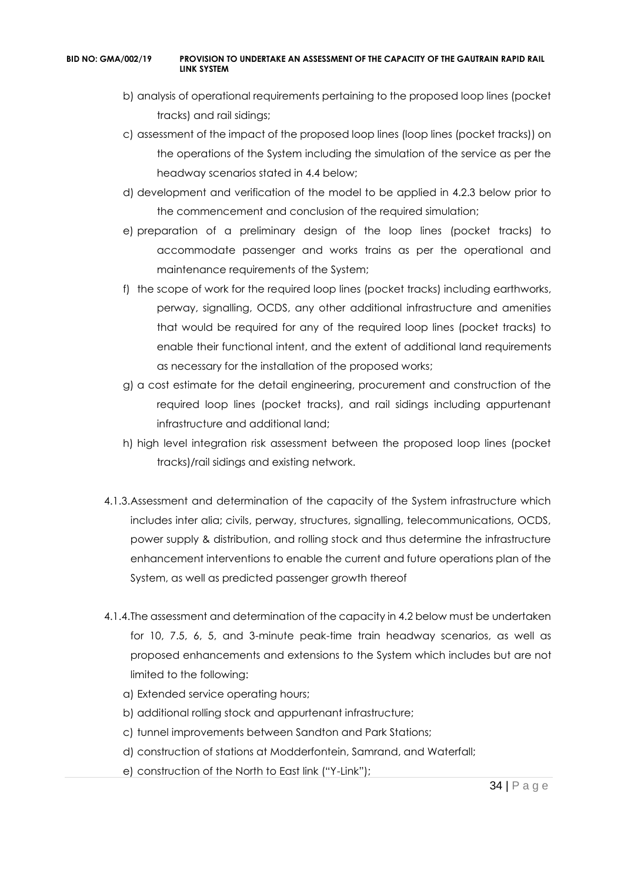- b) analysis of operational requirements pertaining to the proposed loop lines (pocket tracks) and rail sidings;
- c) assessment of the impact of the proposed loop lines (loop lines (pocket tracks)) on the operations of the System including the simulation of the service as per the headway scenarios stated in 4.4 below;
- d) development and verification of the model to be applied in 4.2.3 below prior to the commencement and conclusion of the required simulation;
- e) preparation of a preliminary design of the loop lines (pocket tracks) to accommodate passenger and works trains as per the operational and maintenance requirements of the System;
- f) the scope of work for the required loop lines (pocket tracks) including earthworks, perway, signalling, OCDS, any other additional infrastructure and amenities that would be required for any of the required loop lines (pocket tracks) to enable their functional intent, and the extent of additional land requirements as necessary for the installation of the proposed works;
- g) a cost estimate for the detail engineering, procurement and construction of the required loop lines (pocket tracks), and rail sidings including appurtenant infrastructure and additional land;
- h) high level integration risk assessment between the proposed loop lines (pocket tracks)/rail sidings and existing network.
- 4.1.3.Assessment and determination of the capacity of the System infrastructure which includes inter alia; civils, perway, structures, signalling, telecommunications, OCDS, power supply & distribution, and rolling stock and thus determine the infrastructure enhancement interventions to enable the current and future operations plan of the System, as well as predicted passenger growth thereof
- 4.1.4.The assessment and determination of the capacity in 4.2 below must be undertaken for 10, 7.5, 6, 5, and 3-minute peak-time train headway scenarios, as well as proposed enhancements and extensions to the System which includes but are not limited to the following:
	- a) Extended service operating hours;
	- b) additional rolling stock and appurtenant infrastructure;
	- c) tunnel improvements between Sandton and Park Stations;
	- d) construction of stations at Modderfontein, Samrand, and Waterfall;
	- e) construction of the North to East link ("Y-Link");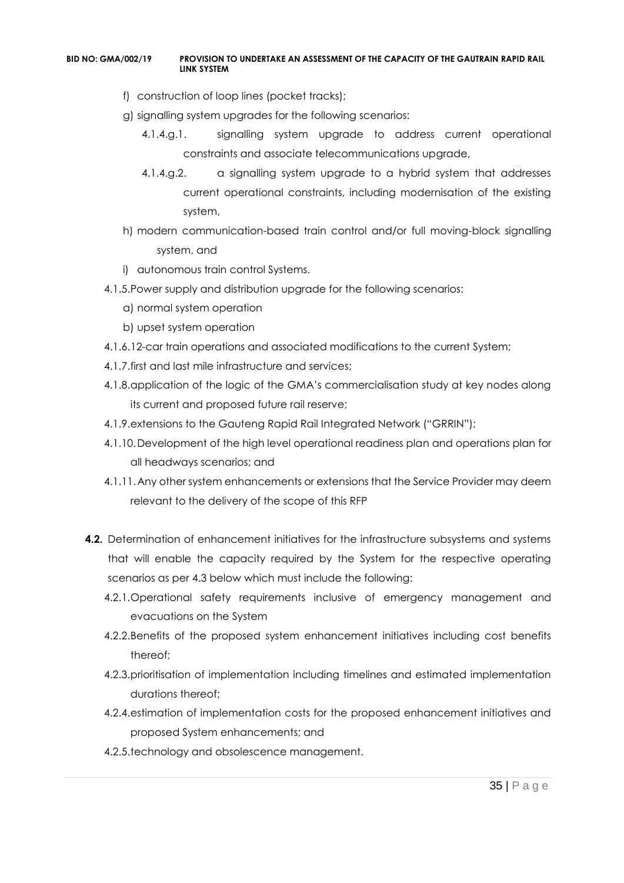- f) construction of loop lines (pocket tracks);
- g) signalling system upgrades for the following scenarios:
	- 4.1.4.g.1. signalling system upgrade to address current operational constraints and associate telecommunications upgrade,
	- 4.1.4.g.2. a signalling system upgrade to a hybrid system that addresses current operational constraints, including modernisation of the existing system,
- h) modern communication-based train control and/or full moving-block signalling system, and
- i) autonomous train control Systems.
- 4.1.5.Power supply and distribution upgrade for the following scenarios:
	- a) normal system operation
	- b) upset system operation
- 4.1.6.12-car train operations and associated modifications to the current System;
- 4.1.7.first and last mile infrastructure and services;
- 4.1.8.application of the logic of the GMA's commercialisation study at key nodes along its current and proposed future rail reserve;
- 4.1.9.extensions to the Gauteng Rapid Rail Integrated Network ("GRRIN");
- 4.1.10.Development of the high level operational readiness plan and operations plan for all headways scenarios; and
- 4.1.11.Any other system enhancements or extensions that the Service Provider may deem relevant to the delivery of the scope of this RFP
- **4.2.** Determination of enhancement initiatives for the infrastructure subsystems and systems that will enable the capacity required by the System for the respective operating scenarios as per 4.3 below which must include the following:
	- 4.2.1.Operational safety requirements inclusive of emergency management and evacuations on the System
	- 4.2.2.Benefits of the proposed system enhancement initiatives including cost benefits thereof;
	- 4.2.3.prioritisation of implementation including timelines and estimated implementation durations thereof;
	- 4.2.4.estimation of implementation costs for the proposed enhancement initiatives and proposed System enhancements; and
	- 4.2.5.technology and obsolescence management.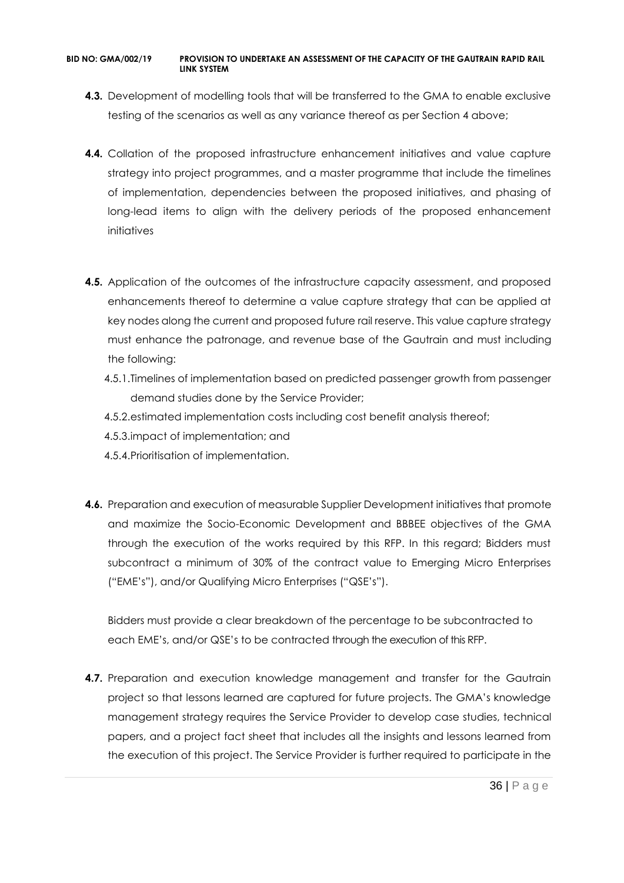- **4.3.** Development of modelling tools that will be transferred to the GMA to enable exclusive testing of the scenarios as well as any variance thereof as per Section 4 above;
- **4.4.** Collation of the proposed infrastructure enhancement initiatives and value capture strategy into project programmes, and a master programme that include the timelines of implementation, dependencies between the proposed initiatives, and phasing of long-lead items to align with the delivery periods of the proposed enhancement initiatives
- **4.5.** Application of the outcomes of the infrastructure capacity assessment, and proposed enhancements thereof to determine a value capture strategy that can be applied at key nodes along the current and proposed future rail reserve. This value capture strategy must enhance the patronage, and revenue base of the Gautrain and must including the following:
	- 4.5.1.Timelines of implementation based on predicted passenger growth from passenger demand studies done by the Service Provider;
	- 4.5.2.estimated implementation costs including cost benefit analysis thereof;
	- 4.5.3.impact of implementation; and
	- 4.5.4.Prioritisation of implementation.
- **4.6.** Preparation and execution of measurable Supplier Development initiatives that promote and maximize the Socio-Economic Development and BBBEE objectives of the GMA through the execution of the works required by this RFP. In this regard; Bidders must subcontract a minimum of 30% of the contract value to Emerging Micro Enterprises ("EME's"), and/or Qualifying Micro Enterprises ("QSE's").

Bidders must provide a clear breakdown of the percentage to be subcontracted to each EME's, and/or QSE's to be contracted through the execution of this RFP.

**4.7.** Preparation and execution knowledge management and transfer for the Gautrain project so that lessons learned are captured for future projects. The GMA's knowledge management strategy requires the Service Provider to develop case studies, technical papers, and a project fact sheet that includes all the insights and lessons learned from the execution of this project. The Service Provider is further required to participate in the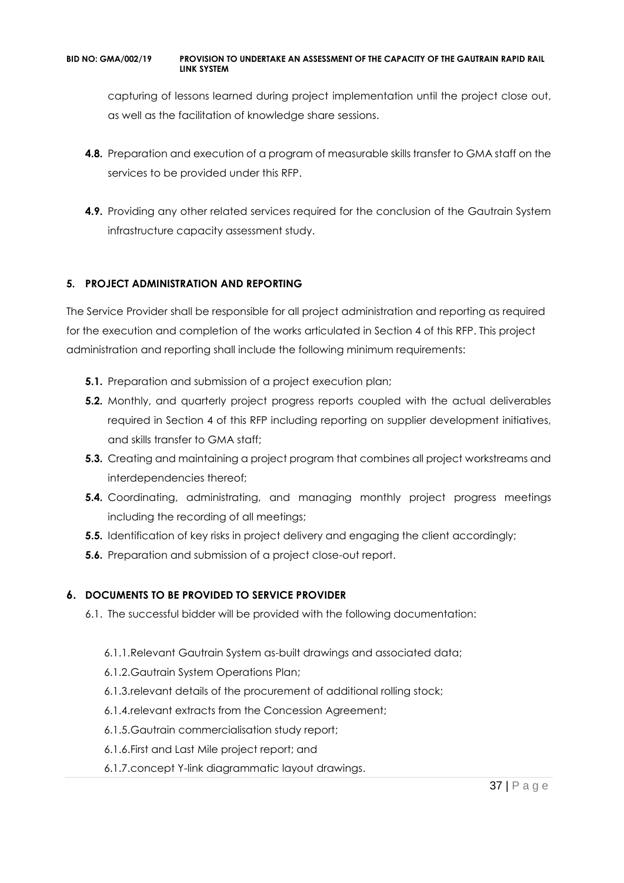capturing of lessons learned during project implementation until the project close out, as well as the facilitation of knowledge share sessions.

- **4.8.** Preparation and execution of a program of measurable skills transfer to GMA staff on the services to be provided under this RFP.
- **4.9.** Providing any other related services required for the conclusion of the Gautrain System infrastructure capacity assessment study.

# **5. PROJECT ADMINISTRATION AND REPORTING**

The Service Provider shall be responsible for all project administration and reporting as required for the execution and completion of the works articulated in Section 4 of this RFP. This project administration and reporting shall include the following minimum requirements:

- **5.1.** Preparation and submission of a project execution plan;
- **5.2.** Monthly, and quarterly project progress reports coupled with the actual deliverables required in Section 4 of this RFP including reporting on supplier development initiatives, and skills transfer to GMA staff;
- **5.3.** Creating and maintaining a project program that combines all project workstreams and interdependencies thereof;
- **5.4.** Coordinating, administrating, and managing monthly project progress meetings including the recording of all meetings;
- **5.5.** Identification of key risks in project delivery and engaging the client accordingly;
- **5.6.** Preparation and submission of a project close-out report.

# **6. DOCUMENTS TO BE PROVIDED TO SERVICE PROVIDER**

- 6.1. The successful bidder will be provided with the following documentation:
	- 6.1.1.Relevant Gautrain System as-built drawings and associated data;
	- 6.1.2.Gautrain System Operations Plan;
	- 6.1.3.relevant details of the procurement of additional rolling stock;
	- 6.1.4.relevant extracts from the Concession Agreement;
	- 6.1.5.Gautrain commercialisation study report;
	- 6.1.6.First and Last Mile project report; and
	- 6.1.7.concept Y-link diagrammatic layout drawings.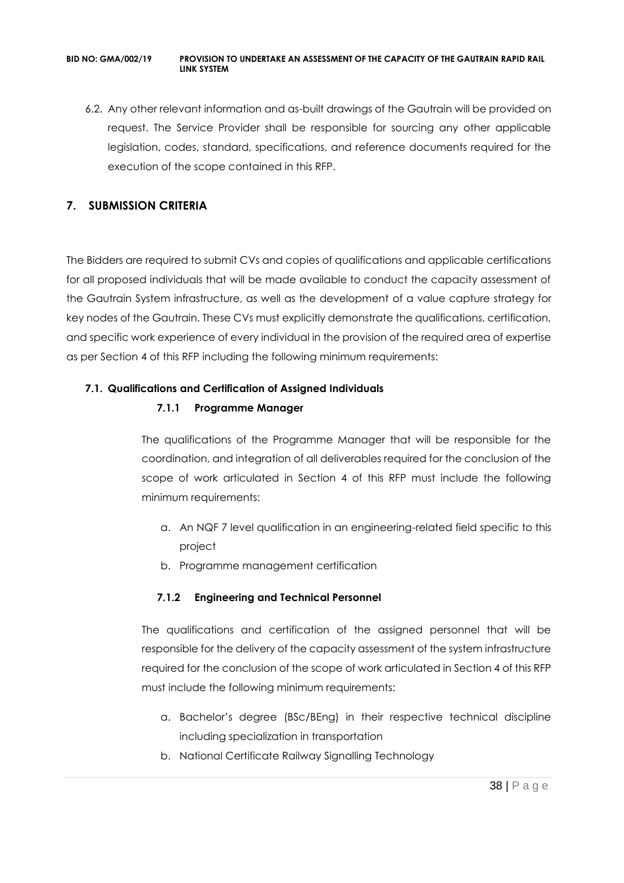6.2. Any other relevant information and as-built drawings of the Gautrain will be provided on request. The Service Provider shall be responsible for sourcing any other applicable legislation, codes, standard, specifications, and reference documents required for the execution of the scope contained in this RFP.

# **7. SUBMISSION CRITERIA**

The Bidders are required to submit CVs and copies of qualifications and applicable certifications for all proposed individuals that will be made available to conduct the capacity assessment of the Gautrain System infrastructure, as well as the development of a value capture strategy for key nodes of the Gautrain. These CVs must explicitly demonstrate the qualifications, certification, and specific work experience of every individual in the provision of the required area of expertise as per Section 4 of this RFP including the following minimum requirements:

# **7.1. Qualifications and Certification of Assigned Individuals**

# **7.1.1 Programme Manager**

The qualifications of the Programme Manager that will be responsible for the coordination, and integration of all deliverables required for the conclusion of the scope of work articulated in Section 4 of this RFP must include the following minimum requirements:

- a. An NQF 7 level qualification in an engineering-related field specific to this project
- b. Programme management certification

# **7.1.2 Engineering and Technical Personnel**

The qualifications and certification of the assigned personnel that will be responsible for the delivery of the capacity assessment of the system infrastructure required for the conclusion of the scope of work articulated in Section 4 of this RFP must include the following minimum requirements:

- a. Bachelor's degree (BSc/BEng) in their respective technical discipline including specialization in transportation
- b. National Certificate Railway Signalling Technology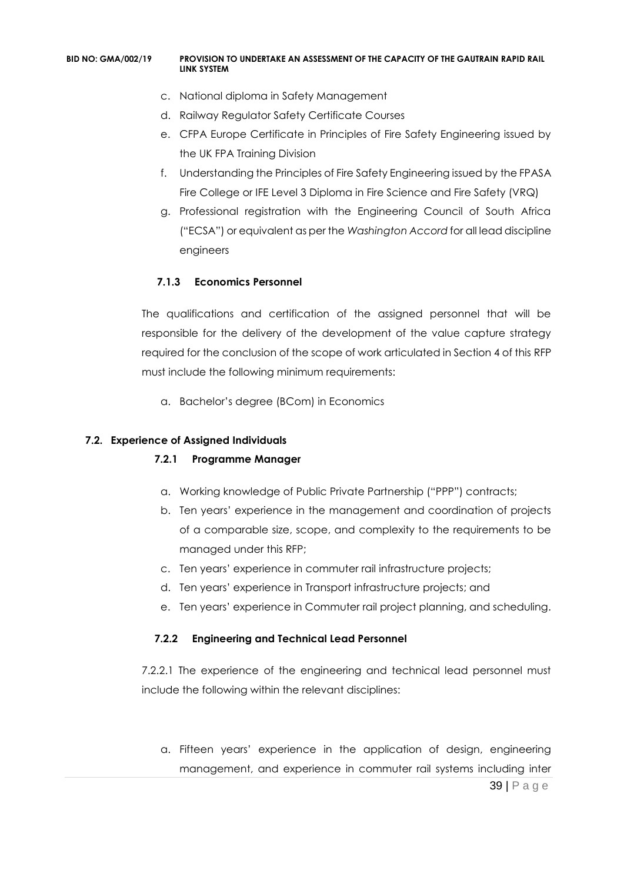- c. National diploma in Safety Management
- d. Railway Regulator Safety Certificate Courses
- e. CFPA Europe Certificate in Principles of Fire Safety Engineering issued by the UK FPA Training Division
- f. Understanding the Principles of Fire Safety Engineering issued by the FPASA Fire College or IFE Level 3 Diploma in Fire Science and Fire Safety (VRQ)
- g. Professional registration with the Engineering Council of South Africa ("ECSA") or equivalent as per the *Washington Accord* for all lead discipline engineers

# **7.1.3 Economics Personnel**

The qualifications and certification of the assigned personnel that will be responsible for the delivery of the development of the value capture strategy required for the conclusion of the scope of work articulated in Section 4 of this RFP must include the following minimum requirements:

a. Bachelor's degree (BCom) in Economics

# **7.2. Experience of Assigned Individuals**

# **7.2.1 Programme Manager**

- a. Working knowledge of Public Private Partnership ("PPP") contracts;
- b. Ten years' experience in the management and coordination of projects of a comparable size, scope, and complexity to the requirements to be managed under this RFP;
- c. Ten years' experience in commuter rail infrastructure projects;
- d. Ten years' experience in Transport infrastructure projects; and
- e. Ten years' experience in Commuter rail project planning, and scheduling.

# **7.2.2 Engineering and Technical Lead Personnel**

7.2.2.1 The experience of the engineering and technical lead personnel must include the following within the relevant disciplines:

39 | P a g e a. Fifteen years' experience in the application of design, engineering management, and experience in commuter rail systems including inter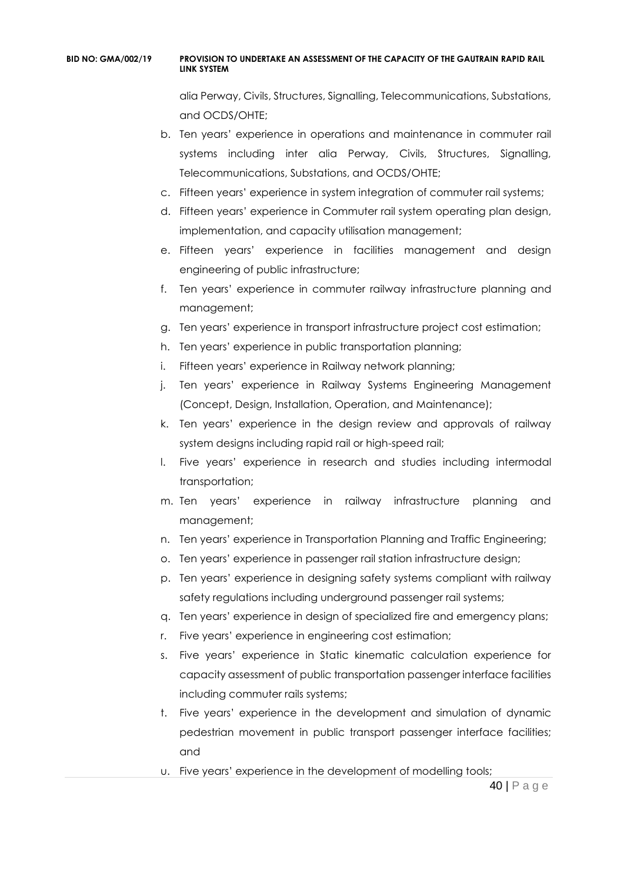alia Perway, Civils, Structures, Signalling, Telecommunications, Substations, and OCDS/OHTE;

- b. Ten years' experience in operations and maintenance in commuter rail systems including inter alia Perway, Civils, Structures, Signalling, Telecommunications, Substations, and OCDS/OHTE;
- c. Fifteen years' experience in system integration of commuter rail systems;
- d. Fifteen years' experience in Commuter rail system operating plan design, implementation, and capacity utilisation management;
- e. Fifteen years' experience in facilities management and design engineering of public infrastructure;
- f. Ten years' experience in commuter railway infrastructure planning and management;
- g. Ten years' experience in transport infrastructure project cost estimation;
- h. Ten years' experience in public transportation planning;
- i. Fifteen years' experience in Railway network planning;
- j. Ten years' experience in Railway Systems Engineering Management (Concept, Design, Installation, Operation, and Maintenance);
- k. Ten years' experience in the design review and approvals of railway system designs including rapid rail or high-speed rail;
- l. Five years' experience in research and studies including intermodal transportation;
- m. Ten years' experience in railway infrastructure planning and management;
- n. Ten years' experience in Transportation Planning and Traffic Engineering;
- o. Ten years' experience in passenger rail station infrastructure design;
- p. Ten years' experience in designing safety systems compliant with railway safety regulations including underground passenger rail systems;
- q. Ten years' experience in design of specialized fire and emergency plans;
- r. Five years' experience in engineering cost estimation;
- s. Five years' experience in Static kinematic calculation experience for capacity assessment of public transportation passenger interface facilities including commuter rails systems;
- t. Five years' experience in the development and simulation of dynamic pedestrian movement in public transport passenger interface facilities; and
- u. Five years' experience in the development of modelling tools;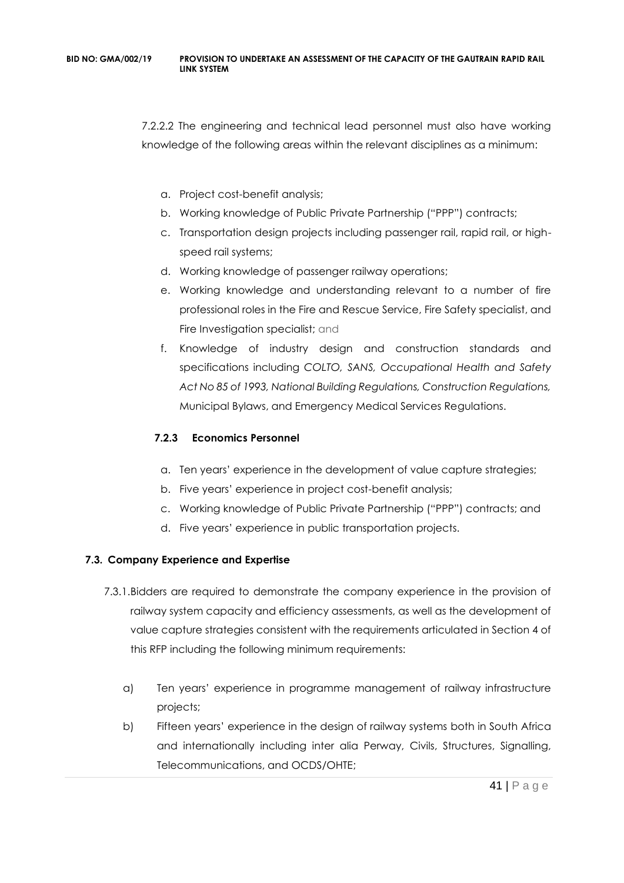7.2.2.2 The engineering and technical lead personnel must also have working knowledge of the following areas within the relevant disciplines as a minimum:

- a. Project cost-benefit analysis;
- b. Working knowledge of Public Private Partnership ("PPP") contracts;
- c. Transportation design projects including passenger rail, rapid rail, or highspeed rail systems;
- d. Working knowledge of passenger railway operations;
- e. Working knowledge and understanding relevant to a number of fire professional roles in the Fire and Rescue Service, Fire Safety specialist, and Fire Investigation specialist; and
- f. Knowledge of industry design and construction standards and specifications including *COLTO, SANS, Occupational Health and Safety Act No 85 of 1993, National Building Regulations, Construction Regulations,*  Municipal Bylaws, and Emergency Medical Services Regulations.

# **7.2.3 Economics Personnel**

- a. Ten years' experience in the development of value capture strategies;
- b. Five years' experience in project cost-benefit analysis;
- c. Working knowledge of Public Private Partnership ("PPP") contracts; and
- d. Five years' experience in public transportation projects.

# **7.3. Company Experience and Expertise**

- 7.3.1.Bidders are required to demonstrate the company experience in the provision of railway system capacity and efficiency assessments, as well as the development of value capture strategies consistent with the requirements articulated in Section 4 of this RFP including the following minimum requirements:
	- a) Ten years' experience in programme management of railway infrastructure projects;
	- b) Fifteen years' experience in the design of railway systems both in South Africa and internationally including inter alia Perway, Civils, Structures, Signalling, Telecommunications, and OCDS/OHTE;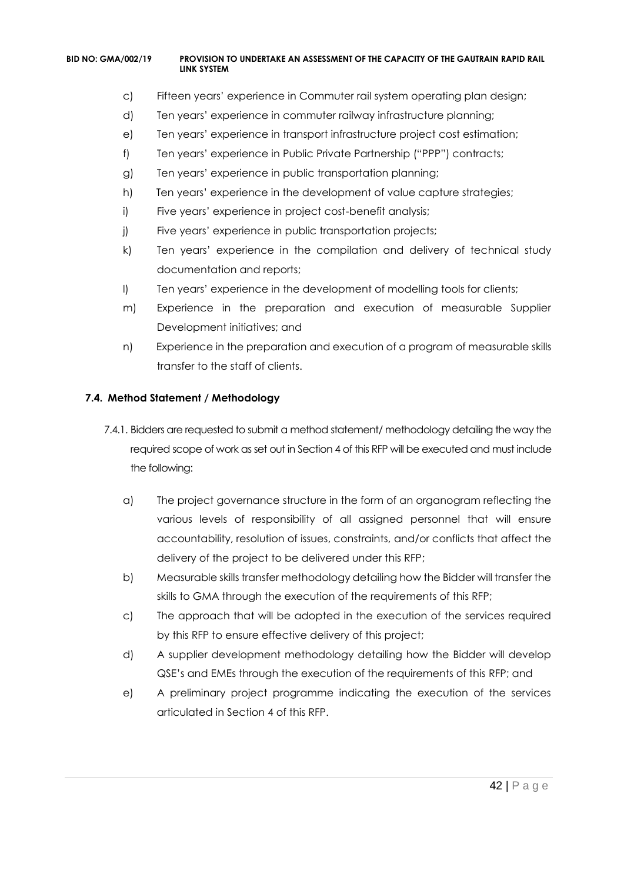- c) Fifteen years' experience in Commuter rail system operating plan design;
- d) Ten years' experience in commuter railway infrastructure planning;
- e) Ten years' experience in transport infrastructure project cost estimation;
- f) Ten years' experience in Public Private Partnership ("PPP") contracts;
- g) Ten years' experience in public transportation planning;
- h) Ten years' experience in the development of value capture strategies;
- i) Five years' experience in project cost-benefit analysis;
- j) Five years' experience in public transportation projects;
- k) Ten years' experience in the compilation and delivery of technical study documentation and reports;
- l) Ten years' experience in the development of modelling tools for clients;
- m) Experience in the preparation and execution of measurable Supplier Development initiatives; and
- n) Experience in the preparation and execution of a program of measurable skills transfer to the staff of clients.

### **7.4. Method Statement / Methodology**

- 7.4.1. Bidders are requested to submit a method statement/ methodology detailing the way the required scope of work as set out in Section 4 of this RFP will be executed and must include the following:
	- a) The project governance structure in the form of an organogram reflecting the various levels of responsibility of all assigned personnel that will ensure accountability, resolution of issues, constraints, and/or conflicts that affect the delivery of the project to be delivered under this RFP;
	- b) Measurable skills transfer methodology detailing how the Bidder will transfer the skills to GMA through the execution of the requirements of this RFP;
	- c) The approach that will be adopted in the execution of the services required by this RFP to ensure effective delivery of this project;
	- d) A supplier development methodology detailing how the Bidder will develop QSE's and EMEs through the execution of the requirements of this RFP; and
	- e) A preliminary project programme indicating the execution of the services articulated in Section 4 of this RFP.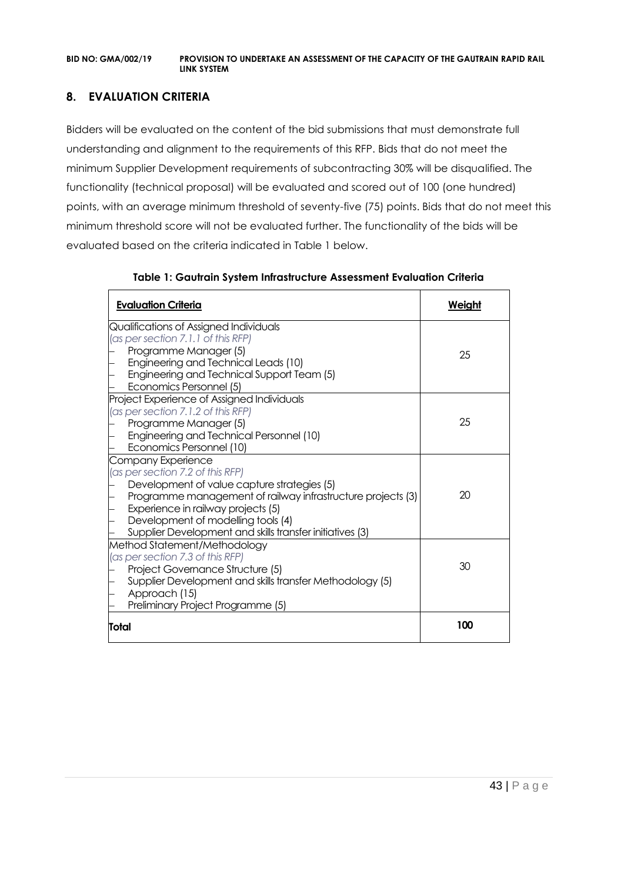# **8. EVALUATION CRITERIA**

Bidders will be evaluated on the content of the bid submissions that must demonstrate full understanding and alignment to the requirements of this RFP. Bids that do not meet the minimum Supplier Development requirements of subcontracting 30% will be disqualified. The functionality (technical proposal) will be evaluated and scored out of 100 (one hundred) points, with an average minimum threshold of seventy-five (75) points. Bids that do not meet this minimum threshold score will not be evaluated further. The functionality of the bids will be evaluated based on the criteria indicated in Table 1 below.

| <b>Evaluation Criteria</b>                                  | Weiaht |
|-------------------------------------------------------------|--------|
| Qualifications of Assigned Individuals                      |        |
| (as per section 7.1.1 of this RFP)                          |        |
| Programme Manager (5)                                       | 25     |
| Engineering and Technical Leads (10)                        |        |
| Engineering and Technical Support Team (5)                  |        |
| Economics Personnel (5)                                     |        |
| Project Experience of Assigned Individuals                  |        |
| (as per section 7.1.2 of this RFP)                          |        |
| Programme Manager (5)                                       | 25     |
| Engineering and Technical Personnel (10)                    |        |
| Economics Personnel (10)                                    |        |
| Company Experience                                          |        |
| (as per section 7.2 of this RFP)                            |        |
| Development of value capture strategies (5)                 |        |
| Programme management of railway infrastructure projects (3) | 20     |
| Experience in railway projects (5)                          |        |
| Development of modelling tools (4)                          |        |
| Supplier Development and skills transfer initiatives (3)    |        |
| Method Statement/Methodology                                |        |
| (as per section 7.3 of this RFP)                            |        |
| Project Governance Structure (5)                            | 30     |
| Supplier Development and skills transfer Methodology (5)    |        |
| Approach (15)                                               |        |
| Preliminary Project Programme (5)                           |        |
| Total                                                       | 100    |

**Table 1: Gautrain System Infrastructure Assessment Evaluation Criteria**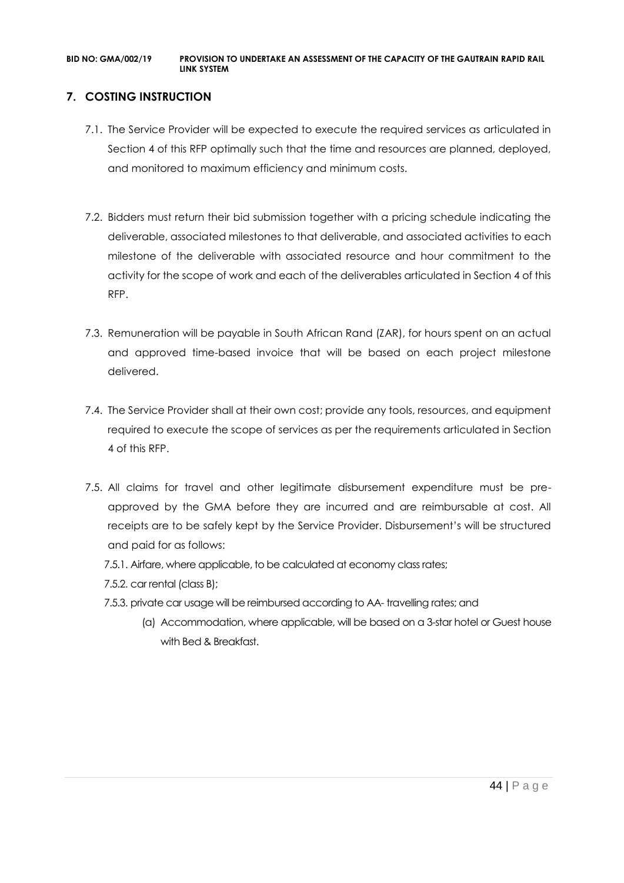# **7. COSTING INSTRUCTION**

- 7.1. The Service Provider will be expected to execute the required services as articulated in Section 4 of this RFP optimally such that the time and resources are planned, deployed, and monitored to maximum efficiency and minimum costs.
- 7.2. Bidders must return their bid submission together with a pricing schedule indicating the deliverable, associated milestones to that deliverable, and associated activities to each milestone of the deliverable with associated resource and hour commitment to the activity for the scope of work and each of the deliverables articulated in Section 4 of this RFP.
- 7.3. Remuneration will be payable in South African Rand (ZAR), for hours spent on an actual and approved time-based invoice that will be based on each project milestone delivered.
- 7.4. The Service Provider shall at their own cost; provide any tools, resources, and equipment required to execute the scope of services as per the requirements articulated in Section 4 of this RFP.
- 7.5. All claims for travel and other legitimate disbursement expenditure must be preapproved by the GMA before they are incurred and are reimbursable at cost. All receipts are to be safely kept by the Service Provider. Disbursement's will be structured and paid for as follows:
	- 7.5.1. Airfare, where applicable, to be calculated at economy class rates;
	- 7.5.2. car rental (class B);
	- 7.5.3. private car usage will be reimbursed according to AA- travelling rates; and
		- (a) Accommodation, where applicable, will be based on a 3-star hotel or Guest house with Bed & Breakfast.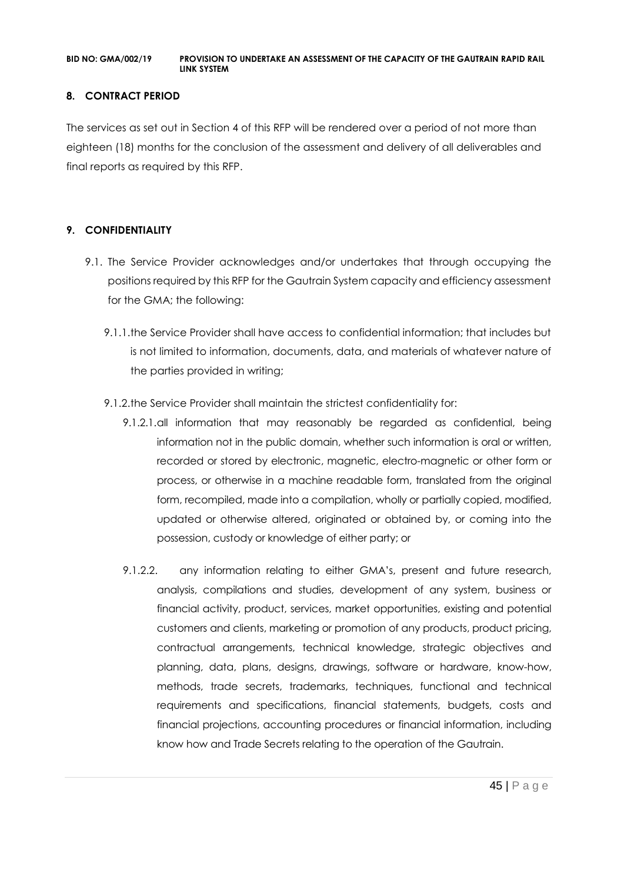### **8. CONTRACT PERIOD**

The services as set out in Section 4 of this RFP will be rendered over a period of not more than eighteen (18) months for the conclusion of the assessment and delivery of all deliverables and final reports as required by this RFP.

# **9. CONFIDENTIALITY**

- 9.1. The Service Provider acknowledges and/or undertakes that through occupying the positions required by this RFP for the Gautrain System capacity and efficiency assessment for the GMA; the following:
	- 9.1.1.the Service Provider shall have access to confidential information; that includes but is not limited to information, documents, data, and materials of whatever nature of the parties provided in writing;
	- 9.1.2.the Service Provider shall maintain the strictest confidentiality for:
		- 9.1.2.1.all information that may reasonably be regarded as confidential, being information not in the public domain, whether such information is oral or written, recorded or stored by electronic, magnetic, electro-magnetic or other form or process, or otherwise in a machine readable form, translated from the original form, recompiled, made into a compilation, wholly or partially copied, modified, updated or otherwise altered, originated or obtained by, or coming into the possession, custody or knowledge of either party; or
		- 9.1.2.2. any information relating to either GMA's, present and future research, analysis, compilations and studies, development of any system, business or financial activity, product, services, market opportunities, existing and potential customers and clients, marketing or promotion of any products, product pricing, contractual arrangements, technical knowledge, strategic objectives and planning, data, plans, designs, drawings, software or hardware, know-how, methods, trade secrets, trademarks, techniques, functional and technical requirements and specifications, financial statements, budgets, costs and financial projections, accounting procedures or financial information, including know how and Trade Secrets relating to the operation of the Gautrain.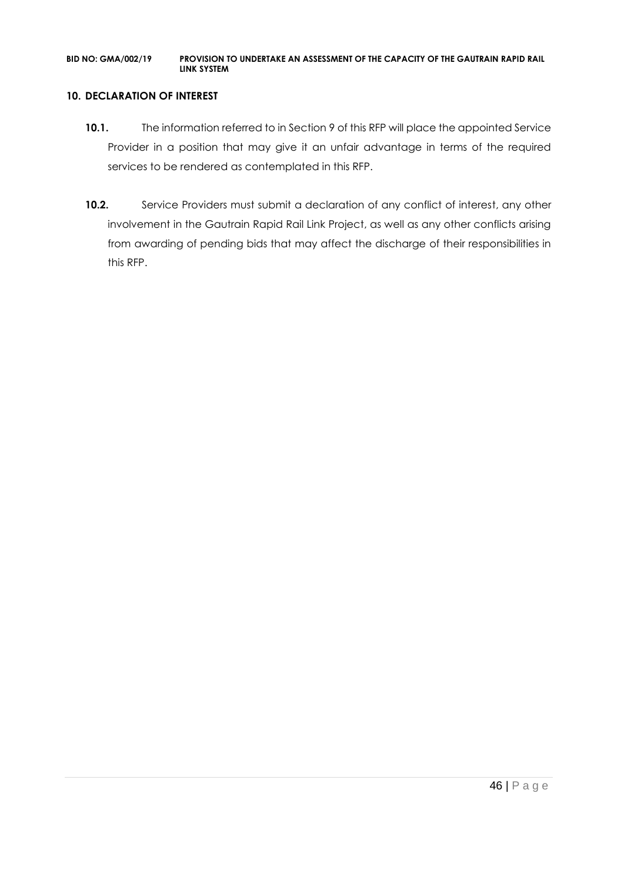#### **10. DECLARATION OF INTEREST**

- 10.1. The information referred to in Section 9 of this RFP will place the appointed Service Provider in a position that may give it an unfair advantage in terms of the required services to be rendered as contemplated in this RFP.
- **10.2.** Service Providers must submit a declaration of any conflict of interest, any other involvement in the Gautrain Rapid Rail Link Project, as well as any other conflicts arising from awarding of pending bids that may affect the discharge of their responsibilities in this RFP.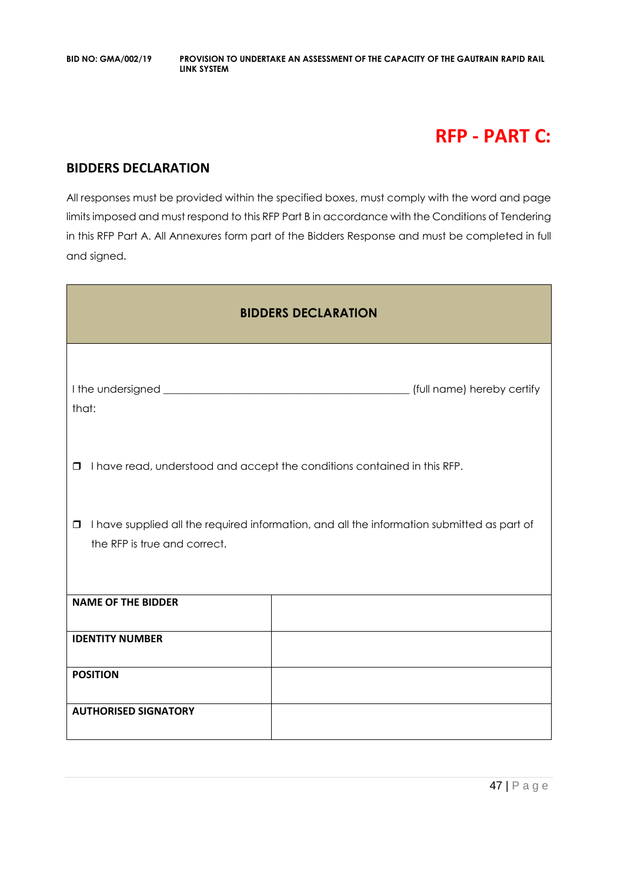# **RFP - PART C:**

# **BIDDERS DECLARATION**

All responses must be provided within the specified boxes, must comply with the word and page limits imposed and must respond to this RFP Part B in accordance with the Conditions of Tendering in this RFP Part A. All Annexures form part of the Bidders Response and must be completed in full and signed.

| <b>BIDDERS DECLARATION</b>                                                                                                           |                                                                          |  |  |  |
|--------------------------------------------------------------------------------------------------------------------------------------|--------------------------------------------------------------------------|--|--|--|
| that:                                                                                                                                | [full name) hereby certify                                               |  |  |  |
| $\Box$                                                                                                                               | I have read, understood and accept the conditions contained in this RFP. |  |  |  |
| I have supplied all the required information, and all the information submitted as part of<br>$\Box$<br>the RFP is true and correct. |                                                                          |  |  |  |
| <b>NAME OF THE BIDDER</b>                                                                                                            |                                                                          |  |  |  |
| <b>IDENTITY NUMBER</b>                                                                                                               |                                                                          |  |  |  |
| <b>POSITION</b>                                                                                                                      |                                                                          |  |  |  |
| <b>AUTHORISED SIGNATORY</b>                                                                                                          |                                                                          |  |  |  |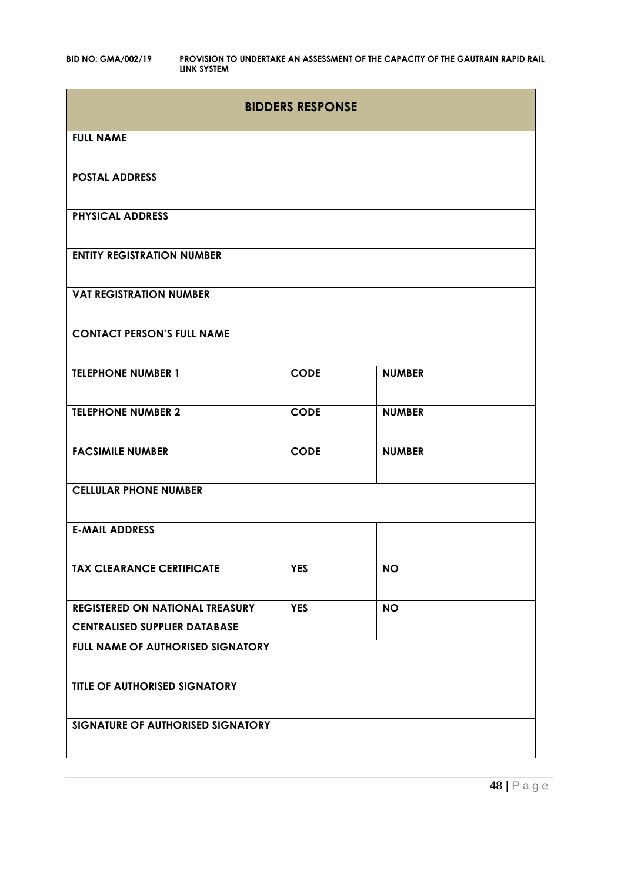| <b>BIDDERS RESPONSE</b>                |             |               |  |  |
|----------------------------------------|-------------|---------------|--|--|
| <b>FULL NAME</b>                       |             |               |  |  |
| <b>POSTAL ADDRESS</b>                  |             |               |  |  |
| <b>PHYSICAL ADDRESS</b>                |             |               |  |  |
| <b>ENTITY REGISTRATION NUMBER</b>      |             |               |  |  |
| <b>VAT REGISTRATION NUMBER</b>         |             |               |  |  |
| <b>CONTACT PERSON'S FULL NAME</b>      |             |               |  |  |
| <b>TELEPHONE NUMBER 1</b>              | <b>CODE</b> | <b>NUMBER</b> |  |  |
| <b>TELEPHONE NUMBER 2</b>              | <b>CODE</b> | <b>NUMBER</b> |  |  |
| <b>FACSIMILE NUMBER</b>                | <b>CODE</b> | <b>NUMBER</b> |  |  |
| <b>CELLULAR PHONE NUMBER</b>           |             |               |  |  |
| <b>E-MAIL ADDRESS</b>                  |             |               |  |  |
| <b>TAX CLEARANCE CERTIFICATE</b>       | <b>YES</b>  | <b>NO</b>     |  |  |
| <b>REGISTERED ON NATIONAL TREASURY</b> | <b>YES</b>  | <b>NO</b>     |  |  |
| <b>CENTRALISED SUPPLIER DATABASE</b>   |             |               |  |  |
| FULL NAME OF AUTHORISED SIGNATORY      |             |               |  |  |
| <b>TITLE OF AUTHORISED SIGNATORY</b>   |             |               |  |  |
| SIGNATURE OF AUTHORISED SIGNATORY      |             |               |  |  |

48 | P a g e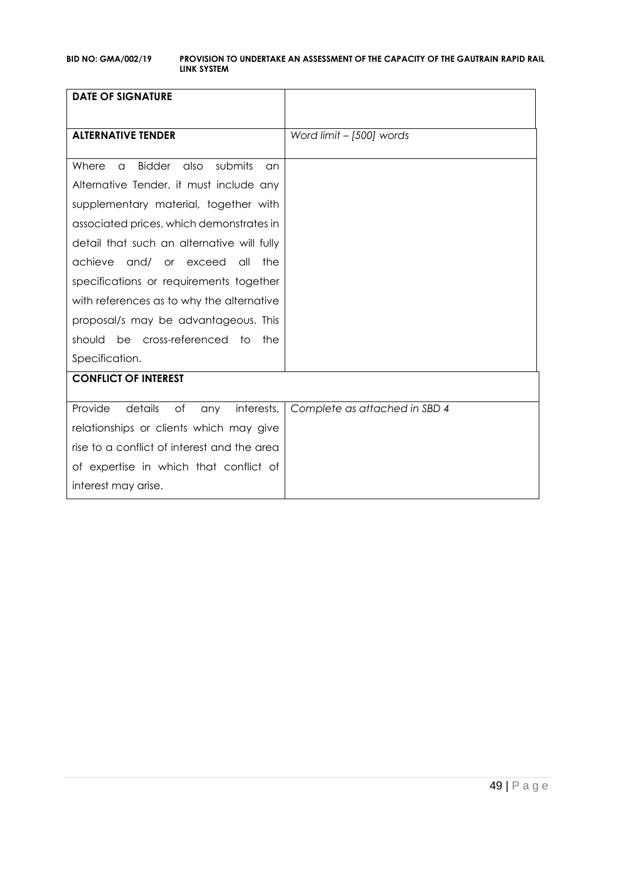| <b>DATE OF SIGNATURE</b>                                    |                               |
|-------------------------------------------------------------|-------------------------------|
|                                                             |                               |
| <b>ALTERNATIVE TENDER</b>                                   | Word limit - [500] words      |
|                                                             |                               |
| <b>Bidder</b><br>submits<br>Where<br>also<br>$\alpha$<br>an |                               |
| Alternative Tender, it must include any                     |                               |
| supplementary material, together with                       |                               |
| associated prices, which demonstrates in                    |                               |
| detail that such an alternative will fully                  |                               |
| achieve<br>and/<br>or exceed<br>the<br>all                  |                               |
| specifications or requirements together                     |                               |
| with references as to why the alternative                   |                               |
| proposal/s may be advantageous. This                        |                               |
| be cross-referenced to<br>should<br>the                     |                               |
| Specification.                                              |                               |
| <b>CONFLICT OF INTEREST</b>                                 |                               |
| Provide<br>details<br>of<br>interests,                      | Complete as attached in SBD 4 |
| any                                                         |                               |
| relationships or clients which may give                     |                               |
| rise to a conflict of interest and the area                 |                               |
| of expertise in which that conflict of                      |                               |
| interest may arise.                                         |                               |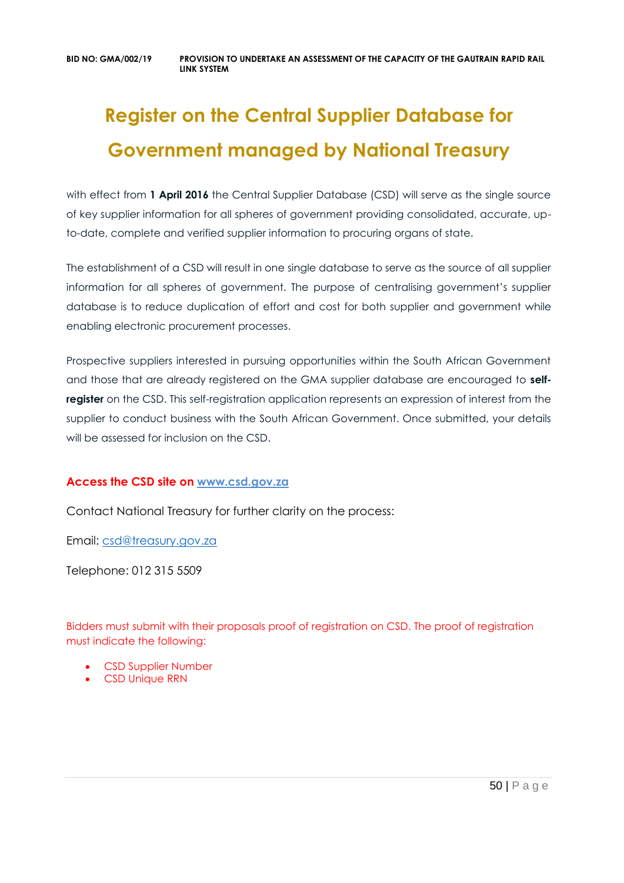# **Register on the Central Supplier Database for Government managed by National Treasury**

with effect from 1 April 2016 the Central Supplier Database (CSD) will serve as the single source of key supplier information for all spheres of government providing consolidated, accurate, upto-date, complete and verified supplier information to procuring organs of state.

The establishment of a CSD will result in one single database to serve as the source of all supplier information for all spheres of government. The purpose of centralising government's supplier database is to reduce duplication of effort and cost for both supplier and government while enabling electronic procurement processes.

Prospective suppliers interested in pursuing opportunities within the South African Government and those that are already registered on the GMA supplier database are encouraged to **selfregister** on the CSD. This self-registration application represents an expression of interest from the supplier to conduct business with the South African Government. Once submitted, your details will be assessed for inclusion on the CSD.

# **Access the CSD site on [www.csd.gov.za](http://www.csd.gov.za/)**

Contact National Treasury for further clarity on the process:

Email: [csd@treasury.gov.za](mailto:csd@treasury.gov.za)

Telephone: 012 315 5509

Bidders must submit with their proposals proof of registration on CSD. The proof of registration must indicate the following:

- CSD Supplier Number
- CSD Unique RRN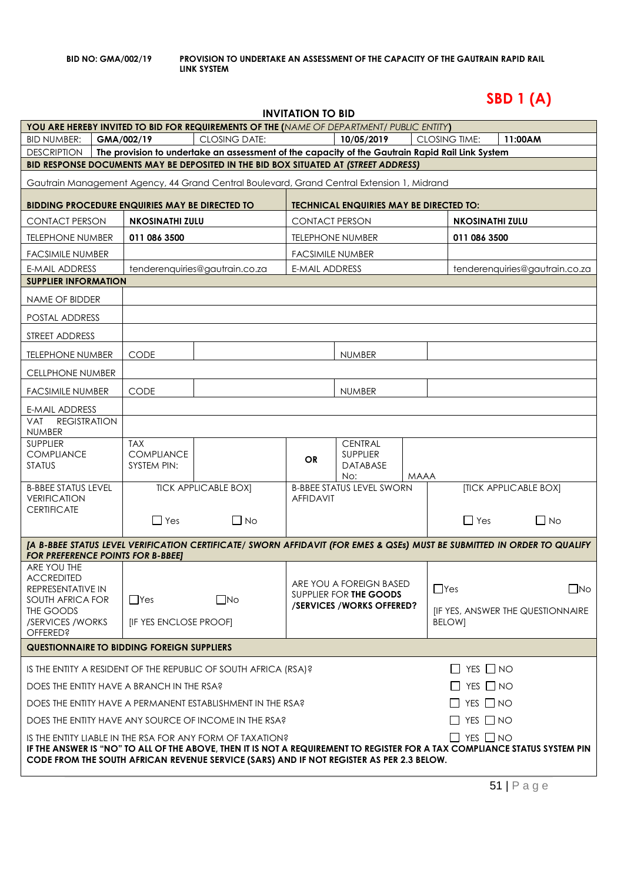# **SBD 1 (A)**

| <b>INVITATION TO BID</b>                                                                                                                                                                                                                                                                                    |                                                                               |                                                       |                                                                                                                                                                                        |                       |                                                |      |                        |                                   |              |
|-------------------------------------------------------------------------------------------------------------------------------------------------------------------------------------------------------------------------------------------------------------------------------------------------------------|-------------------------------------------------------------------------------|-------------------------------------------------------|----------------------------------------------------------------------------------------------------------------------------------------------------------------------------------------|-----------------------|------------------------------------------------|------|------------------------|-----------------------------------|--------------|
|                                                                                                                                                                                                                                                                                                             |                                                                               |                                                       | YOU ARE HEREBY INVITED TO BID FOR REQUIREMENTS OF THE (NAME OF DEPARTMENT/ PUBLIC ENTITY)                                                                                              |                       |                                                |      |                        |                                   |              |
| <b>BID NUMBER:</b>                                                                                                                                                                                                                                                                                          |                                                                               | GMA/002/19                                            | <b>CLOSING DATE:</b>                                                                                                                                                                   |                       | 10/05/2019                                     |      | <b>CLOSING TIME:</b>   | 11:00AM                           |              |
| <b>DESCRIPTION</b>                                                                                                                                                                                                                                                                                          |                                                                               |                                                       | The provision to undertake an assessment of the capacity of the Gautrain Rapid Rail Link System<br>BID RESPONSE DOCUMENTS MAY BE DEPOSITED IN THE BID BOX SITUATED AT (STREET ADDRESS) |                       |                                                |      |                        |                                   |              |
|                                                                                                                                                                                                                                                                                                             |                                                                               |                                                       |                                                                                                                                                                                        |                       |                                                |      |                        |                                   |              |
|                                                                                                                                                                                                                                                                                                             |                                                                               |                                                       | Gautrain Management Agency, 44 Grand Central Boulevard, Grand Central Extension 1, Midrand                                                                                             |                       |                                                |      |                        |                                   |              |
|                                                                                                                                                                                                                                                                                                             |                                                                               | <b>BIDDING PROCEDURE ENQUIRIES MAY BE DIRECTED TO</b> |                                                                                                                                                                                        |                       | <b>TECHNICAL ENQUIRIES MAY BE DIRECTED TO:</b> |      |                        |                                   |              |
| <b>CONTACT PERSON</b>                                                                                                                                                                                                                                                                                       |                                                                               | <b>NKOSINATHI ZULU</b>                                |                                                                                                                                                                                        | <b>CONTACT PERSON</b> |                                                |      | <b>NKOSINATHI ZULU</b> |                                   |              |
| <b>TELEPHONE NUMBER</b>                                                                                                                                                                                                                                                                                     |                                                                               | 011 086 3500                                          |                                                                                                                                                                                        |                       | <b>TELEPHONE NUMBER</b>                        |      | 011 086 3500           |                                   |              |
| <b>FACSIMILE NUMBER</b>                                                                                                                                                                                                                                                                                     |                                                                               |                                                       |                                                                                                                                                                                        |                       | <b>FACSIMILE NUMBER</b>                        |      |                        |                                   |              |
| <b>E-MAIL ADDRESS</b>                                                                                                                                                                                                                                                                                       |                                                                               |                                                       | tenderenquiries@gautrain.co.za                                                                                                                                                         | E-MAIL ADDRESS        |                                                |      |                        | tenderenquiries@gautrain.co.za    |              |
| <b>SUPPLIER INFORMATION</b>                                                                                                                                                                                                                                                                                 |                                                                               |                                                       |                                                                                                                                                                                        |                       |                                                |      |                        |                                   |              |
| NAME OF BIDDER                                                                                                                                                                                                                                                                                              |                                                                               |                                                       |                                                                                                                                                                                        |                       |                                                |      |                        |                                   |              |
| POSTAL ADDRESS                                                                                                                                                                                                                                                                                              |                                                                               |                                                       |                                                                                                                                                                                        |                       |                                                |      |                        |                                   |              |
| STREET ADDRESS                                                                                                                                                                                                                                                                                              |                                                                               |                                                       |                                                                                                                                                                                        |                       |                                                |      |                        |                                   |              |
| <b>TELEPHONE NUMBER</b>                                                                                                                                                                                                                                                                                     |                                                                               | <b>CODE</b>                                           |                                                                                                                                                                                        |                       | <b>NUMBER</b>                                  |      |                        |                                   |              |
| <b>CELLPHONE NUMBER</b>                                                                                                                                                                                                                                                                                     |                                                                               |                                                       |                                                                                                                                                                                        |                       |                                                |      |                        |                                   |              |
| <b>FACSIMILE NUMBER</b>                                                                                                                                                                                                                                                                                     |                                                                               | <b>CODE</b>                                           |                                                                                                                                                                                        |                       | <b>NUMBER</b>                                  |      |                        |                                   |              |
| E-MAIL ADDRESS                                                                                                                                                                                                                                                                                              |                                                                               |                                                       |                                                                                                                                                                                        |                       |                                                |      |                        |                                   |              |
| <b>REGISTRATION</b><br><b>VAT</b><br><b>NUMBER</b>                                                                                                                                                                                                                                                          |                                                                               |                                                       |                                                                                                                                                                                        |                       |                                                |      |                        |                                   |              |
| <b>SUPPLIER</b><br><b>COMPLIANCE</b>                                                                                                                                                                                                                                                                        |                                                                               | <b>TAX</b><br><b>COMPLIANCE</b>                       |                                                                                                                                                                                        | <b>OR</b>             | <b>CENTRAL</b><br><b>SUPPLIER</b>              |      |                        |                                   |              |
| <b>STATUS</b>                                                                                                                                                                                                                                                                                               |                                                                               | SYSTEM PIN:                                           |                                                                                                                                                                                        |                       | <b>DATABASE</b><br>No:                         | MAAA |                        |                                   |              |
| <b>B-BBEE STATUS LEVEL</b><br><b>VERIFICATION</b>                                                                                                                                                                                                                                                           |                                                                               |                                                       | <b>TICK APPLICABLE BOX]</b>                                                                                                                                                            | <b>AFFIDAVIT</b>      | <b>B-BBEE STATUS LEVEL SWORN</b>               |      |                        | [TICK APPLICABLE BOX]             |              |
| <b>CERTIFICATE</b>                                                                                                                                                                                                                                                                                          |                                                                               | $\Box$ Yes                                            | $\Box$ No                                                                                                                                                                              |                       |                                                |      | $\Box$ Yes             |                                   | $\Box$ No    |
|                                                                                                                                                                                                                                                                                                             |                                                                               |                                                       | [A B-BBEE STATUS LEVEL VERIFICATION CERTIFICATE/ SWORN AFFIDAVIT (FOR EMES & QSEs) MUST BE SUBMITTED IN ORDER TO QUALIFY                                                               |                       |                                                |      |                        |                                   |              |
| <b>FOR PREFERENCE POINTS FOR B-BBEET</b><br>ARE YOU THE                                                                                                                                                                                                                                                     |                                                                               |                                                       |                                                                                                                                                                                        |                       |                                                |      |                        |                                   |              |
| <b>ACCREDITED</b>                                                                                                                                                                                                                                                                                           |                                                                               |                                                       |                                                                                                                                                                                        |                       | ARE YOU A FOREIGN BASED                        |      |                        |                                   |              |
| REPRESENTATIVE IN<br>SOUTH AFRICA FOR                                                                                                                                                                                                                                                                       |                                                                               | $\Box$ Yes                                            | $\square$ No                                                                                                                                                                           |                       | SUPPLIER FOR THE GOODS                         |      | $\Box$ Yes             |                                   | $\square$ No |
| THE GOODS<br>/SERVICES / WORKS                                                                                                                                                                                                                                                                              |                                                                               | [IF YES ENCLOSE PROOF]                                |                                                                                                                                                                                        |                       | /SERVICES/WORKS OFFERED?                       |      | <b>BELOWI</b>          | [IF YES, ANSWER THE QUESTIONNAIRE |              |
| <b>OFFERED?</b>                                                                                                                                                                                                                                                                                             |                                                                               |                                                       |                                                                                                                                                                                        |                       |                                                |      |                        |                                   |              |
| <b>QUESTIONNAIRE TO BIDDING FOREIGN SUPPLIERS</b>                                                                                                                                                                                                                                                           |                                                                               |                                                       |                                                                                                                                                                                        |                       |                                                |      |                        |                                   |              |
| $\Box$ YES $\Box$ NO<br>IS THE ENTITY A RESIDENT OF THE REPUBLIC OF SOUTH AFRICA (RSA)?                                                                                                                                                                                                                     |                                                                               |                                                       |                                                                                                                                                                                        |                       |                                                |      |                        |                                   |              |
| $\Box$ YES $\Box$ NO<br>DOES THE ENTITY HAVE A BRANCH IN THE RSA?                                                                                                                                                                                                                                           |                                                                               |                                                       |                                                                                                                                                                                        |                       |                                                |      |                        |                                   |              |
| $\Box$ YES $\Box$ NO<br>DOES THE ENTITY HAVE A PERMANENT ESTABLISHMENT IN THE RSA?                                                                                                                                                                                                                          |                                                                               |                                                       |                                                                                                                                                                                        |                       |                                                |      |                        |                                   |              |
|                                                                                                                                                                                                                                                                                                             | $\Box$ YES $\Box$ NO<br>DOES THE ENTITY HAVE ANY SOURCE OF INCOME IN THE RSA? |                                                       |                                                                                                                                                                                        |                       |                                                |      |                        |                                   |              |
| $\Box$ YES $\Box$ NO<br>IS THE ENTITY LIABLE IN THE RSA FOR ANY FORM OF TAXATION?<br>IF THE ANSWER IS "NO" TO ALL OF THE ABOVE, THEN IT IS NOT A REQUIREMENT TO REGISTER FOR A TAX COMPLIANCE STATUS SYSTEM PIN<br>CODE FROM THE SOUTH AFRICAN REVENUE SERVICE (SARS) AND IF NOT REGISTER AS PER 2.3 BELOW. |                                                                               |                                                       |                                                                                                                                                                                        |                       |                                                |      |                        |                                   |              |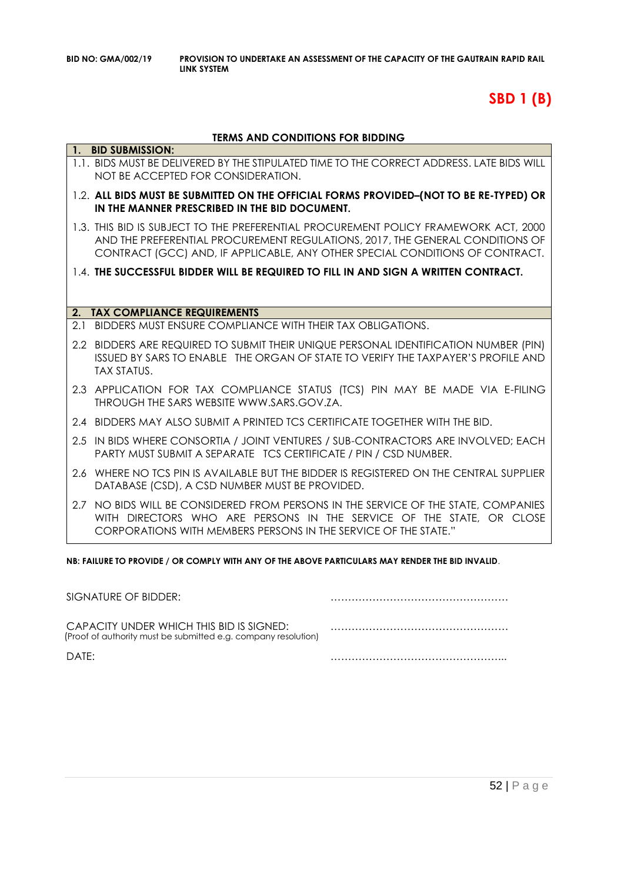# **SBD 1 (B)**

#### **TERMS AND CONDITIONS FOR BIDDING**

|     | 1. BID SUBMISSION:                                                                                                                                                                                                                                   |
|-----|------------------------------------------------------------------------------------------------------------------------------------------------------------------------------------------------------------------------------------------------------|
|     | 1.1. BIDS MUST BE DELIVERED BY THE STIPULATED TIME TO THE CORRECT ADDRESS. LATE BIDS WILL<br>NOT BE ACCEPTED FOR CONSIDERATION.                                                                                                                      |
|     | 1.2. ALL BIDS MUST BE SUBMITTED ON THE OFFICIAL FORMS PROVIDED-(NOT TO BE RE-TYPED) OR<br>IN THE MANNER PRESCRIBED IN THE BID DOCUMENT.                                                                                                              |
|     | 1.3. THIS BID IS SUBJECT TO THE PREFERENTIAL PROCUREMENT POLICY FRAMEWORK ACT, 2000<br>AND THE PREFERENTIAL PROCUREMENT REGULATIONS, 2017, THE GENERAL CONDITIONS OF<br>CONTRACT (GCC) AND, IF APPLICABLE, ANY OTHER SPECIAL CONDITIONS OF CONTRACT. |
|     | 1.4. THE SUCCESSFUL BIDDER WILL BE REQUIRED TO FILL IN AND SIGN A WRITTEN CONTRACT.                                                                                                                                                                  |
|     |                                                                                                                                                                                                                                                      |
| 2.  | <b>TAX COMPLIANCE REQUIREMENTS</b>                                                                                                                                                                                                                   |
| 2.1 | BIDDERS MUST ENSURE COMPLIANCE WITH THEIR TAX OBLIGATIONS.                                                                                                                                                                                           |
|     | 2.2 BIDDERS ARE REQUIRED TO SUBMIT THEIR UNIQUE PERSONAL IDENTIFICATION NUMBER (PIN)<br>ISSUED BY SARS TO ENABLE THE ORGAN OF STATE TO VERIFY THE TAXPAYER'S PROFILE AND<br><b>TAX STATUS.</b>                                                       |
|     | 2.3 APPLICATION FOR TAX COMPLIANCE STATUS (TCS) PIN MAY BE MADE VIA E-FILING<br>THROUGH THE SARS WEBSITE WWW.SARS.GOV.ZA.                                                                                                                            |
|     | 2.4 BIDDERS MAY ALSO SUBMIT A PRINTED TCS CERTIFICATE TOGETHER WITH THE BID.                                                                                                                                                                         |
|     | 2.5 IN BIDS WHERE CONSORTIA / JOINT VENTURES / SUB-CONTRACTORS ARE INVOLVED; EACH<br>PARTY MUST SUBMIT A SEPARATE TCS CERTIFICATE / PIN / CSD NUMBER.                                                                                                |
|     | 2.6 WHERE NO TCS PIN IS AVAILABLE BUT THE BIDDER IS REGISTERED ON THE CENTRAL SUPPLIER<br>DATABASE (CSD), A CSD NUMBER MUST BE PROVIDED.                                                                                                             |
| 2.7 | NO BIDS WILL BE CONSIDERED FROM PERSONS IN THE SERVICE OF THE STATE, COMPANIES<br>WITH DIRECTORS WHO ARE PERSONS IN THE SERVICE OF THE STATE, OR CLOSE<br>CORPORATIONS WITH MEMBERS PERSONS IN THE SERVICE OF THE STATE."                            |

**NB: FAILURE TO PROVIDE / OR COMPLY WITH ANY OF THE ABOVE PARTICULARS MAY RENDER THE BID INVALID**.

| SIGNATURE OF BIDDER:                                                                                       |  |
|------------------------------------------------------------------------------------------------------------|--|
| CAPACITY UNDER WHICH THIS BID IS SIGNED:<br>(Proof of authority must be submitted e.g. company resolution) |  |
| DATF:                                                                                                      |  |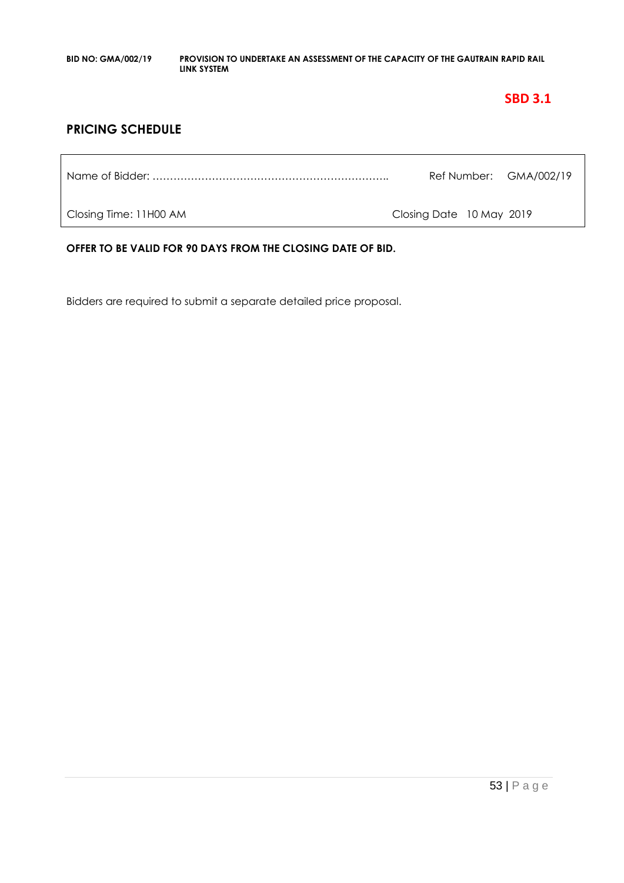# **SBD 3.1**

# **PRICING SCHEDULE**

|                        |                          | Ref Number: GMA/002/19 |
|------------------------|--------------------------|------------------------|
| Closing Time: 11H00 AM | Closing Date 10 May 2019 |                        |

**OFFER TO BE VALID FOR 90 DAYS FROM THE CLOSING DATE OF BID.**

Bidders are required to submit a separate detailed price proposal.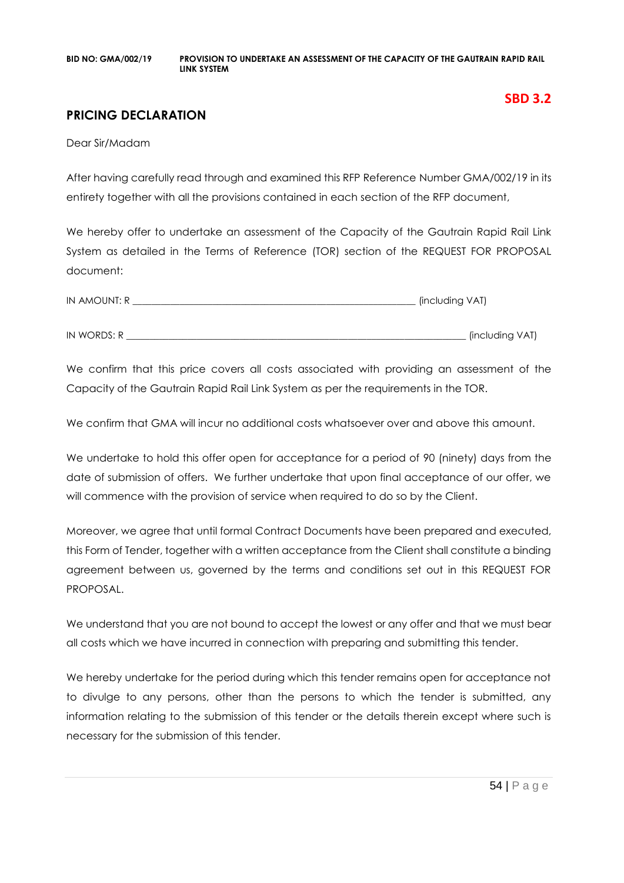# **PRICING DECLARATION**

Dear Sir/Madam

After having carefully read through and examined this RFP Reference Number GMA/002/19 in its entirety together with all the provisions contained in each section of the RFP document,

We hereby offer to undertake an assessment of the Capacity of the Gautrain Rapid Rail Link System as detailed in the Terms of Reference (TOR) section of the REQUEST FOR PROPOSAL document:

| IN AMOUNT: R | (including VAT) |
|--------------|-----------------|
|              |                 |
| IN WORDS: R  | (including VAT) |

We confirm that this price covers all costs associated with providing an assessment of the Capacity of the Gautrain Rapid Rail Link System as per the requirements in the TOR.

We confirm that GMA will incur no additional costs whatsoever over and above this amount.

We undertake to hold this offer open for acceptance for a period of 90 (ninety) days from the date of submission of offers. We further undertake that upon final acceptance of our offer, we will commence with the provision of service when required to do so by the Client.

Moreover, we agree that until formal Contract Documents have been prepared and executed, this Form of Tender, together with a written acceptance from the Client shall constitute a binding agreement between us, governed by the terms and conditions set out in this REQUEST FOR PROPOSAL.

We understand that you are not bound to accept the lowest or any offer and that we must bear all costs which we have incurred in connection with preparing and submitting this tender.

We hereby undertake for the period during which this tender remains open for acceptance not to divulge to any persons, other than the persons to which the tender is submitted, any information relating to the submission of this tender or the details therein except where such is necessary for the submission of this tender.

**SBD 3.2**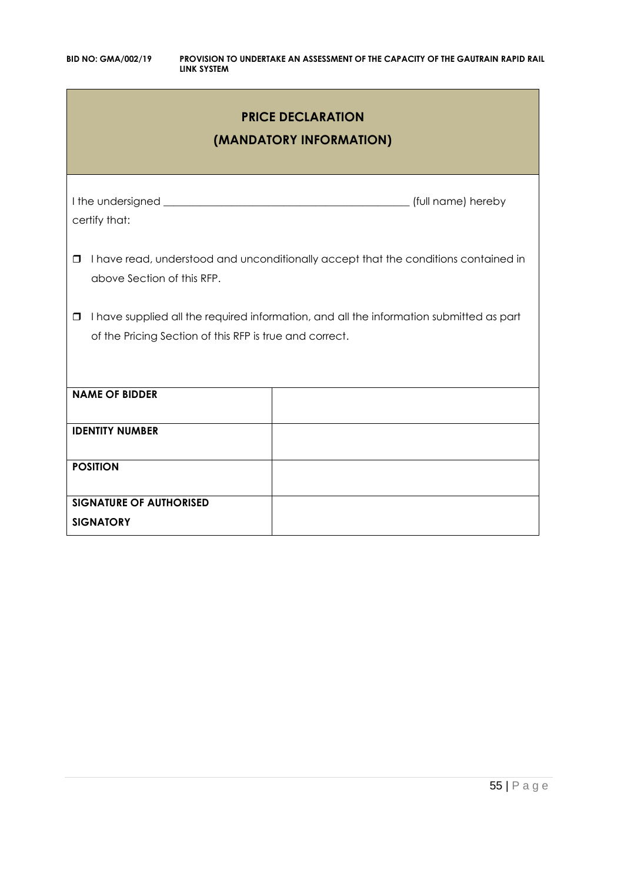| <b>PRICE DECLARATION</b><br>(MANDATORY INFORMATION)                                                                                                          |                                                                                     |  |  |  |
|--------------------------------------------------------------------------------------------------------------------------------------------------------------|-------------------------------------------------------------------------------------|--|--|--|
| certify that:                                                                                                                                                | (full name) hereby                                                                  |  |  |  |
| $\Box$<br>above Section of this RFP.                                                                                                                         | I have read, understood and unconditionally accept that the conditions contained in |  |  |  |
| I have supplied all the required information, and all the information submitted as part<br>$\Box$<br>of the Pricing Section of this RFP is true and correct. |                                                                                     |  |  |  |
| <b>NAME OF BIDDER</b>                                                                                                                                        |                                                                                     |  |  |  |
| <b>IDENTITY NUMBER</b>                                                                                                                                       |                                                                                     |  |  |  |
| <b>POSITION</b>                                                                                                                                              |                                                                                     |  |  |  |
| <b>SIGNATURE OF AUTHORISED</b><br><b>SIGNATORY</b>                                                                                                           |                                                                                     |  |  |  |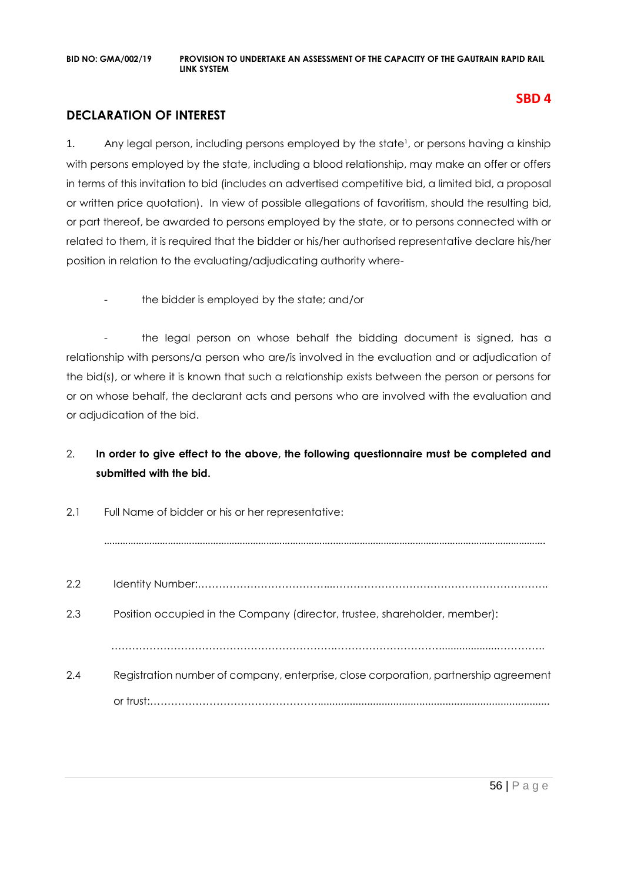# **DECLARATION OF INTEREST**

1. Any legal person, including persons employed by the state<sup>1</sup>, or persons having a kinship with persons employed by the state, including a blood relationship, may make an offer or offers in terms of this invitation to bid (includes an advertised competitive bid, a limited bid, a proposal or written price quotation). In view of possible allegations of favoritism, should the resulting bid, or part thereof, be awarded to persons employed by the state, or to persons connected with or related to them, it is required that the bidder or his/her authorised representative declare his/her position in relation to the evaluating/adjudicating authority where-

the bidder is employed by the state; and/or

- the legal person on whose behalf the bidding document is signed, has a relationship with persons/a person who are/is involved in the evaluation and or adjudication of the bid(s), or where it is known that such a relationship exists between the person or persons for or on whose behalf, the declarant acts and persons who are involved with the evaluation and or adjudication of the bid.

# 2. **In order to give effect to the above, the following questionnaire must be completed and submitted with the bid.**

| 2.1 | Full Name of bidder or his or her representative:                                    |
|-----|--------------------------------------------------------------------------------------|
|     |                                                                                      |
| 2.2 |                                                                                      |
| 2.3 | Position occupied in the Company (director, trustee, shareholder, member):           |
|     |                                                                                      |
| 2.4 | Registration number of company, enterprise, close corporation, partnership agreement |
|     |                                                                                      |

**SBD 4**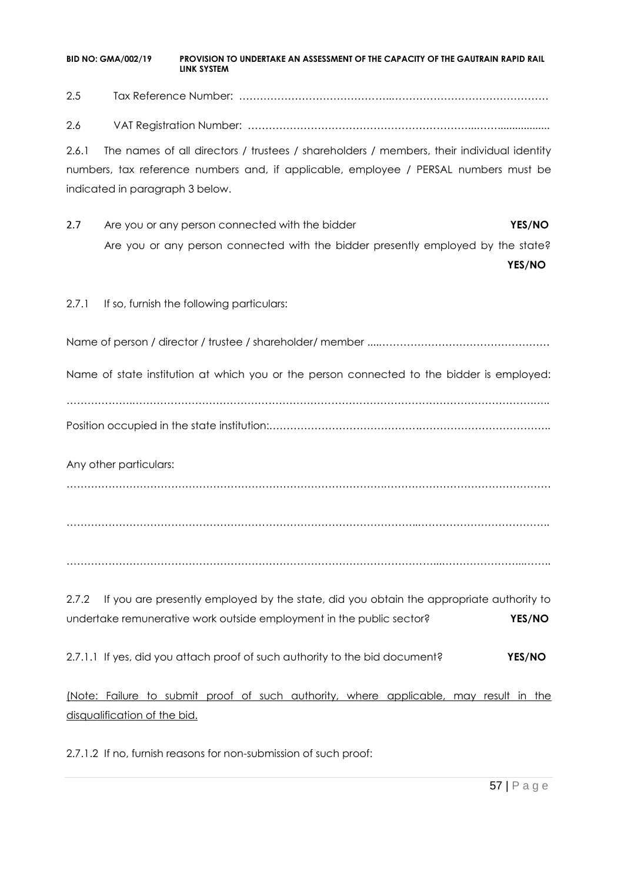2.5 Tax Reference Number: ……………………………………..………………………………………

2.6 VAT Registration Number: ………………………………………………………...……..................

2.6.1 The names of all directors / trustees / shareholders / members, their individual identity numbers, tax reference numbers and, if applicable, employee / PERSAL numbers must be indicated in paragraph 3 below.

2.7 Are you or any person connected with the bidder **YES/NO** Are you or any person connected with the bidder presently employed by the state?

**YES/NO**

2.7.1 If so, furnish the following particulars:

Name of person / director / trustee / shareholder/ member ....………………………………………….

Name of state institution at which you or the person connected to the bidder is employed:

……………….…………………………………………………………………………………………………….….. Position occupied in the state institution:…………………………………….………………………………..

Any other particulars:

……………………………………………………………………………….…………………………………………

………………………………………………………………………………………..………………………………..

……………………………………………………………………………………………...…………………...……..

2.7.2 If you are presently employed by the state, did you obtain the appropriate authority to undertake remunerative work outside employment in the public sector? **YES/NO**

2.7.1.1 If yes, did you attach proof of such authority to the bid document? **YES/NO**

(Note: Failure to submit proof of such authority, where applicable, may result in the disqualification of the bid.

2.7.1.2 If no, furnish reasons for non-submission of such proof: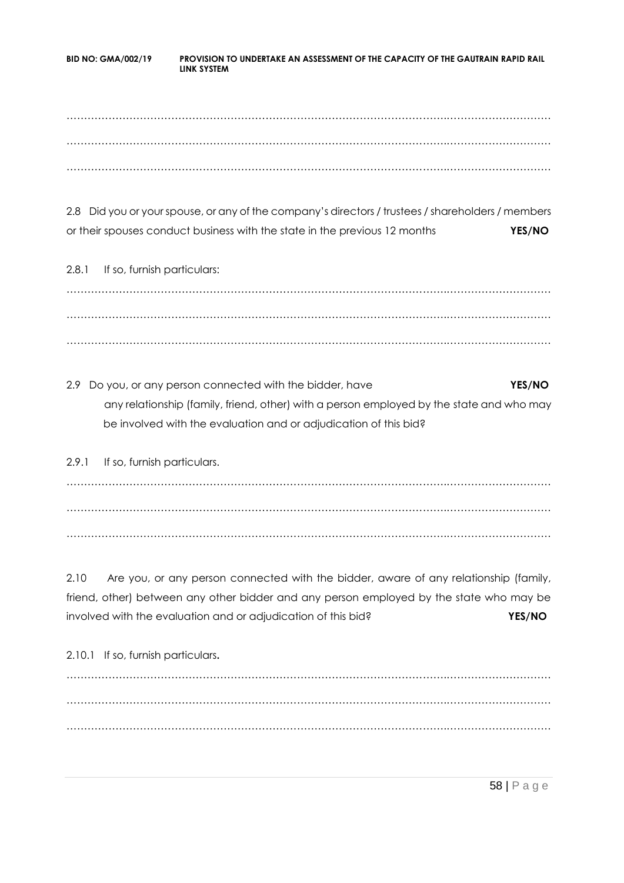……………………………………………………………………………………………….………………………… ……………………………………………………………………………………………….………………………… ……………………………………………………………………………………………….…………………………

2.8 Did you or your spouse, or any of the company's directors / trustees / shareholders / members or their spouses conduct business with the state in the previous 12 months **YES/NO**

2.8.1 If so, furnish particulars: ……………………………………………………………………………………………….………………………… ……………………………………………………………………………………………….………………………… ……………………………………………………………………………………………….…………………………

2.9 Do you, or any person connected with the bidder, have **YES/NO** any relationship (family, friend, other) with a person employed by the state and who may be involved with the evaluation and or adjudication of this bid?

2.9.1 If so, furnish particulars. ……………………………………………………………………………………………….………………………… ……………………………………………………………………………………………….………………………… ……………………………………………………………………………………………….…………………………

2.10 Are you, or any person connected with the bidder, aware of any relationship (family, friend, other) between any other bidder and any person employed by the state who may be involved with the evaluation and or adjudication of this bid? **YES/NO**

2.10.1 If so, furnish particulars**.** ……………………………………………………………………………………………….………………………… ……………………………………………………………………………………………….………………………… ……………………………………………………………………………………………….…………………………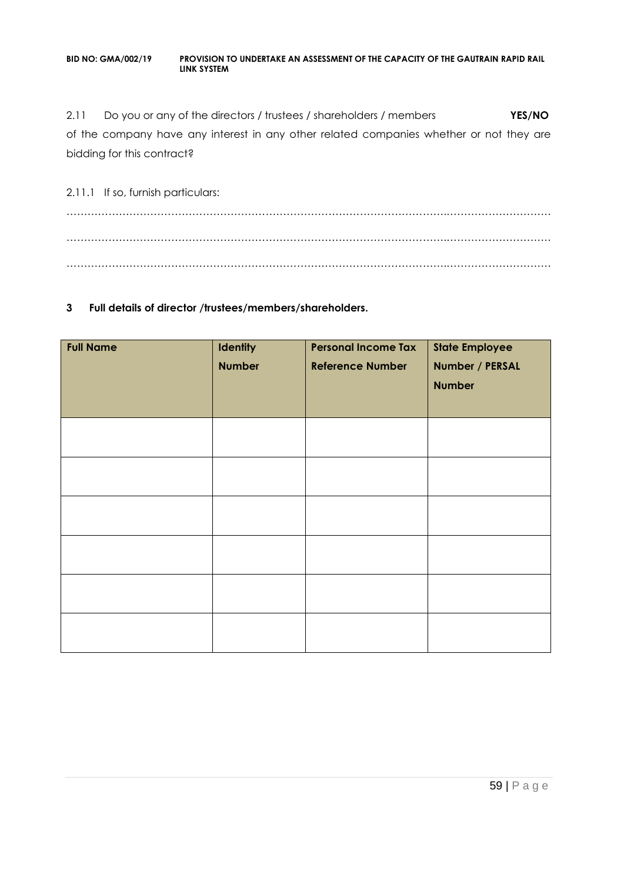2.11 Do you or any of the directors / trustees / shareholders / members **YES/NO** of the company have any interest in any other related companies whether or not they are bidding for this contract?

2.11.1 If so, furnish particulars: ……………………………………………………………………………………………….………………………… ……………………………………………………………………………………………….………………………… ……………………………………………………………………………………………….…………………………

### **3 Full details of director /trustees/members/shareholders.**

| <b>Full Name</b> | Identity<br><b>Number</b> | <b>Personal Income Tax</b><br><b>Reference Number</b> | <b>State Employee</b><br>Number / PERSAL<br><b>Number</b> |
|------------------|---------------------------|-------------------------------------------------------|-----------------------------------------------------------|
|                  |                           |                                                       |                                                           |
|                  |                           |                                                       |                                                           |
|                  |                           |                                                       |                                                           |
|                  |                           |                                                       |                                                           |
|                  |                           |                                                       |                                                           |
|                  |                           |                                                       |                                                           |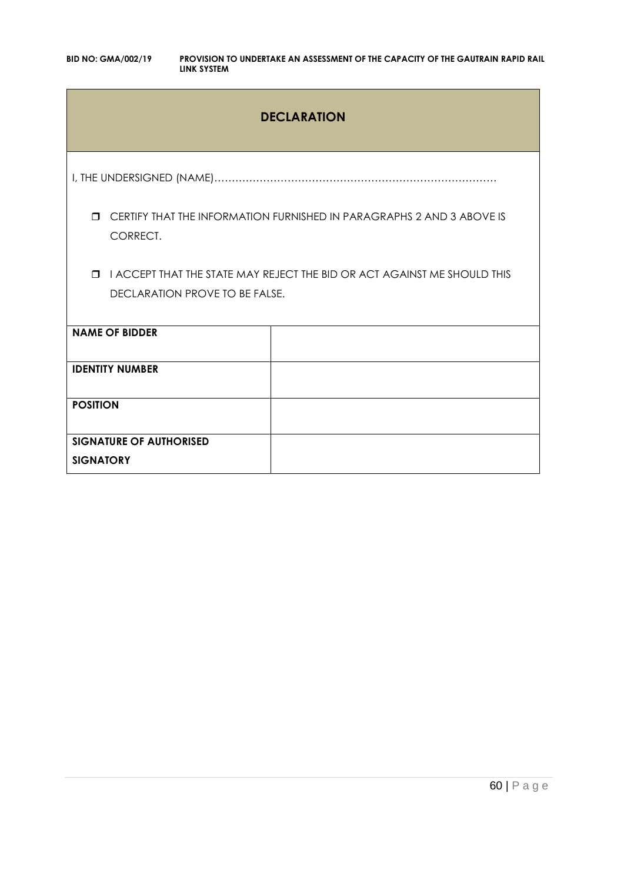# **DECLARATION**

I, THE UNDERSIGNED (NAME)………………………………………………………………………

 CERTIFY THAT THE INFORMATION FURNISHED IN PARAGRAPHS 2 AND 3 ABOVE IS CORRECT.

**I I ACCEPT THAT THE STATE MAY REJECT THE BID OR ACT AGAINST ME SHOULD THIS** DECLARATION PROVE TO BE FALSE.

| <b>NAME OF BIDDER</b>          |  |
|--------------------------------|--|
|                                |  |
| <b>IDENTITY NUMBER</b>         |  |
|                                |  |
|                                |  |
| <b>POSITION</b>                |  |
|                                |  |
|                                |  |
| <b>SIGNATURE OF AUTHORISED</b> |  |
|                                |  |
| <b>SIGNATORY</b>               |  |
|                                |  |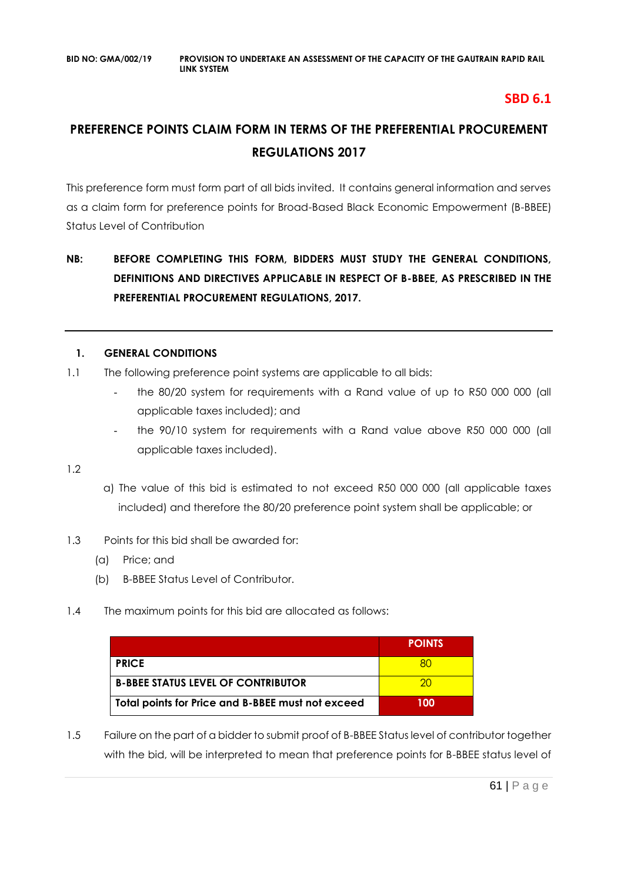# **SBD 6.1**

# **PREFERENCE POINTS CLAIM FORM IN TERMS OF THE PREFERENTIAL PROCUREMENT REGULATIONS 2017**

This preference form must form part of all bids invited. It contains general information and serves as a claim form for preference points for Broad-Based Black Economic Empowerment (B-BBEE) Status Level of Contribution

# **NB: BEFORE COMPLETING THIS FORM, BIDDERS MUST STUDY THE GENERAL CONDITIONS, DEFINITIONS AND DIRECTIVES APPLICABLE IN RESPECT OF B-BBEE, AS PRESCRIBED IN THE PREFERENTIAL PROCUREMENT REGULATIONS, 2017.**

# **1. GENERAL CONDITIONS**

- 1.1 The following preference point systems are applicable to all bids:
	- the 80/20 system for requirements with a Rand value of up to R50 000 000 (all applicable taxes included); and
	- the 90/10 system for requirements with a Rand value above R50 000 000 (all applicable taxes included).

1.2

- a) The value of this bid is estimated to not exceed R50 000 000 (all applicable taxes included) and therefore the 80/20 preference point system shall be applicable; or
- 1.3 Points for this bid shall be awarded for:
	- (a) Price; and
	- (b) B-BBEE Status Level of Contributor.
- 1.4 The maximum points for this bid are allocated as follows:

|                                                   | <b>POINTS</b> |
|---------------------------------------------------|---------------|
| <b>PRICE</b>                                      |               |
| <b>B-BBEE STATUS LEVEL OF CONTRIBUTOR</b>         | ാറ            |
| Total points for Price and B-BBEE must not exceed | 100           |

1.5 Failure on the part of a bidder to submit proof of B-BBEE Status level of contributor together with the bid, will be interpreted to mean that preference points for B-BBEE status level of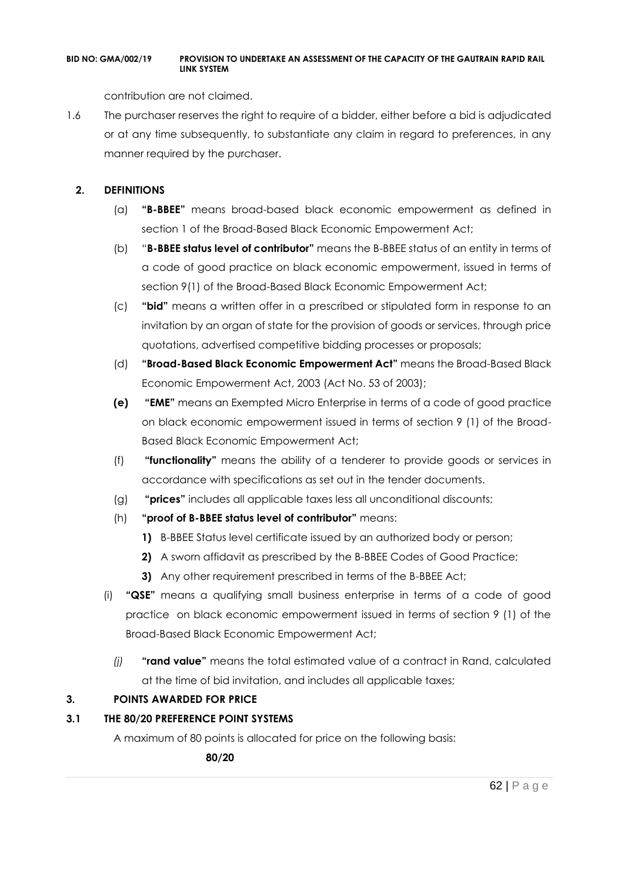contribution are not claimed.

1.6 The purchaser reserves the right to require of a bidder, either before a bid is adjudicated or at any time subsequently, to substantiate any claim in regard to preferences, in any manner required by the purchaser.

# **2. DEFINITIONS**

- (a) **"B-BBEE"** means broad-based black economic empowerment as defined in section 1 of the Broad-Based Black Economic Empowerment Act;
- (b) "**B-BBEE status level of contributor"** means the B-BBEE status of an entity in terms of a code of good practice on black economic empowerment, issued in terms of section 9(1) of the Broad-Based Black Economic Empowerment Act;
- (c) **"bid"** means a written offer in a prescribed or stipulated form in response to an invitation by an organ of state for the provision of goods or services, through price quotations, advertised competitive bidding processes or proposals;
- (d) **"Broad-Based Black Economic Empowerment Act"** means the Broad-Based Black Economic Empowerment Act, 2003 (Act No. 53 of 2003);
- **(e) "EME"** means an Exempted Micro Enterprise in terms of a code of good practice on black economic empowerment issued in terms of section 9 (1) of the Broad-Based Black Economic Empowerment Act;
- (f) **"functionality"** means the ability of a tenderer to provide goods or services in accordance with specifications as set out in the tender documents.
- (g) **"prices"** includes all applicable taxes less all unconditional discounts;
- (h) **"proof of B-BBEE status level of contributor"** means:
	- **1)** B-BBEE Status level certificate issued by an authorized body or person;
	- **2)** A sworn affidavit as prescribed by the B-BBEE Codes of Good Practice;
	- **3)** Any other requirement prescribed in terms of the B-BBEE Act;
- (i) **"QSE"** means a qualifying small business enterprise in terms of a code of good practice on black economic empowerment issued in terms of section 9 (1) of the Broad-Based Black Economic Empowerment Act;
	- *(j)* **"rand value"** means the total estimated value of a contract in Rand, calculated at the time of bid invitation, and includes all applicable taxes;

# **3. POINTS AWARDED FOR PRICE**

# **3.1 THE 80/20 PREFERENCE POINT SYSTEMS**

A maximum of 80 points is allocated for price on the following basis:

 **80/20**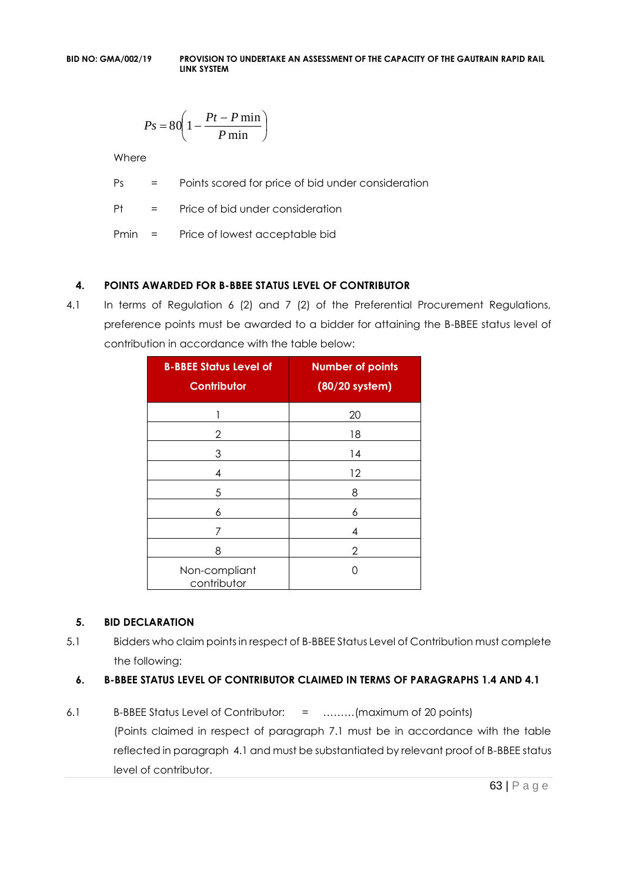$$
Ps = 80 \left( 1 - \frac{Pt - P \min}{P \min} \right)
$$

Where

Ps = Points scored for price of bid under consideration

Pt = Price of bid under consideration

Pmin = Price of lowest acceptable bid

# **4. POINTS AWARDED FOR B-BBEE STATUS LEVEL OF CONTRIBUTOR**

4.1 In terms of Regulation 6 (2) and 7 (2) of the Preferential Procurement Regulations, preference points must be awarded to a bidder for attaining the B-BBEE status level of contribution in accordance with the table below:

| <b>B-BBEE Status Level of</b><br><b>Contributor</b> | <b>Number of points</b><br>(80/20 system) |
|-----------------------------------------------------|-------------------------------------------|
| 1                                                   | 20                                        |
| 2                                                   | 18                                        |
| 3                                                   | 14                                        |
| 4                                                   | 12                                        |
| 5                                                   | 8                                         |
| 6                                                   | 6                                         |
| 7                                                   | 4                                         |
| 8                                                   | 2                                         |
| Non-compliant<br>contributor                        | ( )                                       |

# **5. BID DECLARATION**

5.1 Bidders who claim points in respect of B-BBEE Status Level of Contribution must complete the following:

# **6. B-BBEE STATUS LEVEL OF CONTRIBUTOR CLAIMED IN TERMS OF PARAGRAPHS 1.4 AND 4.1**

6.1 B-BBEE Status Level of Contributor: = ………(maximum of 20 points) (Points claimed in respect of paragraph 7.1 must be in accordance with the table reflected in paragraph 4.1 and must be substantiated by relevant proof of B-BBEE status level of contributor.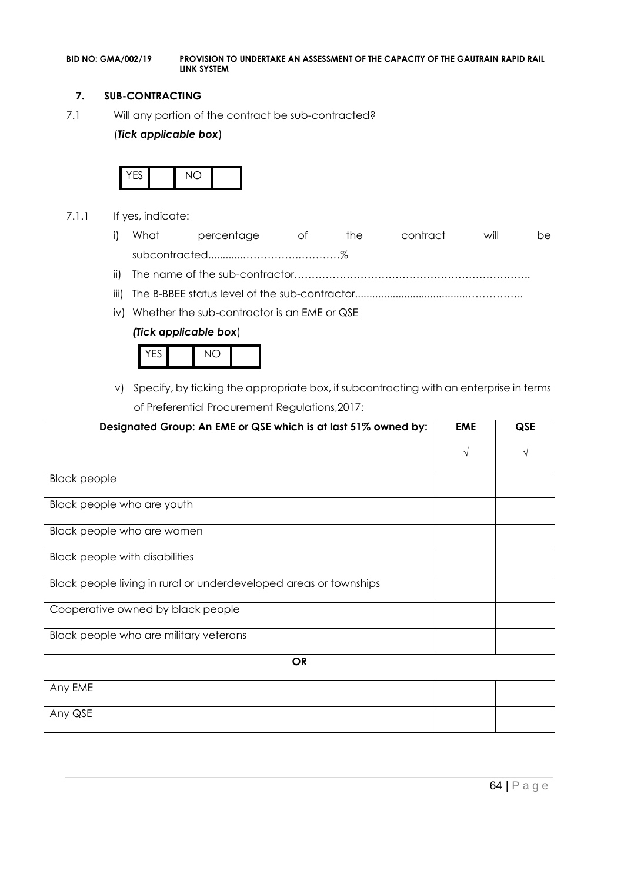#### **7. SUB-CONTRACTING**

7.1 Will any portion of the contract be sub-contracted?

#### (*Tick applicable box*)



- 7.1.1 If yes, indicate:
	- i) What percentage of the contract will be subcontracted............…………….…………%
	- ii) The name of the sub-contractor…………………………………………………………..
	- iii) The B-BBEE status level of the sub-contractor......................................……………..
	- iv) Whether the sub-contractor is an EME or QSE

#### *(Tick applicable box*)



v) Specify, by ticking the appropriate box, if subcontracting with an enterprise in terms of Preferential Procurement Regulations,2017:

| Designated Group: An EME or QSE which is at last 51% owned by:    | <b>EME</b> | <b>QSE</b> |
|-------------------------------------------------------------------|------------|------------|
|                                                                   | $\sqrt{ }$ |            |
| <b>Black people</b>                                               |            |            |
| Black people who are youth                                        |            |            |
| Black people who are women                                        |            |            |
| <b>Black people with disabilities</b>                             |            |            |
| Black people living in rural or underdeveloped areas or townships |            |            |
| Cooperative owned by black people                                 |            |            |
| Black people who are military veterans                            |            |            |
| <b>OR</b>                                                         |            |            |
| Any EME                                                           |            |            |
| Any QSE                                                           |            |            |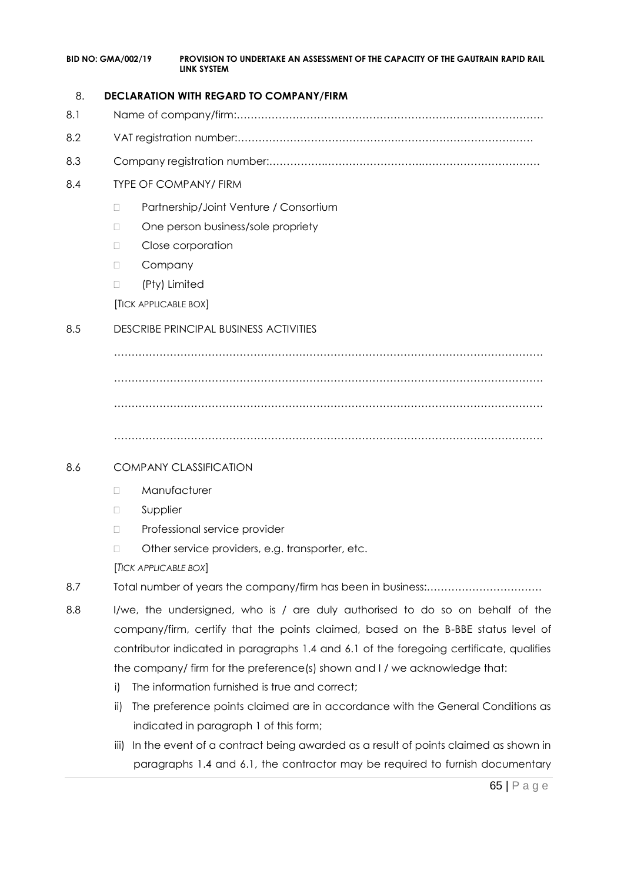| <b>BID NO: GMA/002/19</b> | PROVISION TO UNDERTAKE AN ASSESSMENT OF THE CAPACITY OF THE GAUTRAIN RAPID RAIL |
|---------------------------|---------------------------------------------------------------------------------|
|                           | LINK SYSTEM                                                                     |

### 8. **DECLARATION WITH REGARD TO COMPANY/FIRM**

- 8.1 Name of company/firm:…………………………………………………………………………….
- 8.2 VAT registration number:……………………………………….…………………………………
- 8.3 Company registration number:…………….……………………….…………………………….

# 8.4 TYPE OF COMPANY/ FIRM

- □ Partnership/Joint Venture / Consortium
- □ One person business/sole propriety
- D Close corporation
- D Company
- □ (Pty) Limited

[TICK APPLICABLE BOX]

# 8.5 DESCRIBE PRINCIPAL BUSINESS ACTIVITIES

…………………………………………………………………………………………………………… …………………………………………………………………………………………………………… ……………………………………………………………………………………………………………

……………………………………………………………………………………………………………

# 8.6 COMPANY CLASSIFICATION

- D Manufacturer
- **D** Supplier
- D Professional service provider
- □ Other service providers, e.g. transporter, etc.

[*TICK APPLICABLE BOX*]

- 8.7 Total number of years the company/firm has been in business:……………………………
- 8.8 I/we, the undersigned, who is / are duly authorised to do so on behalf of the company/firm, certify that the points claimed, based on the B-BBE status level of contributor indicated in paragraphs 1.4 and 6.1 of the foregoing certificate, qualifies the company/ firm for the preference(s) shown and I / we acknowledge that:
	- i) The information furnished is true and correct;
	- ii) The preference points claimed are in accordance with the General Conditions as indicated in paragraph 1 of this form;
	- iii) In the event of a contract being awarded as a result of points claimed as shown in paragraphs 1.4 and 6.1, the contractor may be required to furnish documentary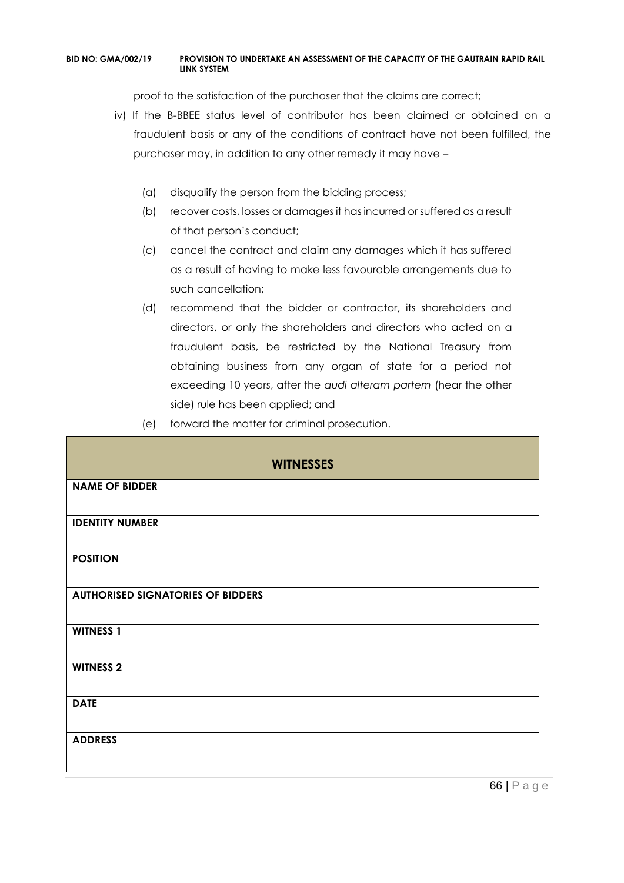proof to the satisfaction of the purchaser that the claims are correct;

- iv) If the B-BBEE status level of contributor has been claimed or obtained on a fraudulent basis or any of the conditions of contract have not been fulfilled, the purchaser may, in addition to any other remedy it may have –
	- (a) disqualify the person from the bidding process;
	- (b) recover costs, losses or damages it has incurred or suffered as a result of that person's conduct;
	- (c) cancel the contract and claim any damages which it has suffered as a result of having to make less favourable arrangements due to such cancellation;
	- (d) recommend that the bidder or contractor, its shareholders and directors, or only the shareholders and directors who acted on a fraudulent basis, be restricted by the National Treasury from obtaining business from any organ of state for a period not exceeding 10 years, after the *audi alteram partem* (hear the other side) rule has been applied; and
	- (e) forward the matter for criminal prosecution.

| <b>WITNESSES</b>                         |  |  |
|------------------------------------------|--|--|
| <b>NAME OF BIDDER</b>                    |  |  |
| <b>IDENTITY NUMBER</b>                   |  |  |
| <b>POSITION</b>                          |  |  |
| <b>AUTHORISED SIGNATORIES OF BIDDERS</b> |  |  |
| <b>WITNESS 1</b>                         |  |  |
| <b>WITNESS 2</b>                         |  |  |
| <b>DATE</b>                              |  |  |
| <b>ADDRESS</b>                           |  |  |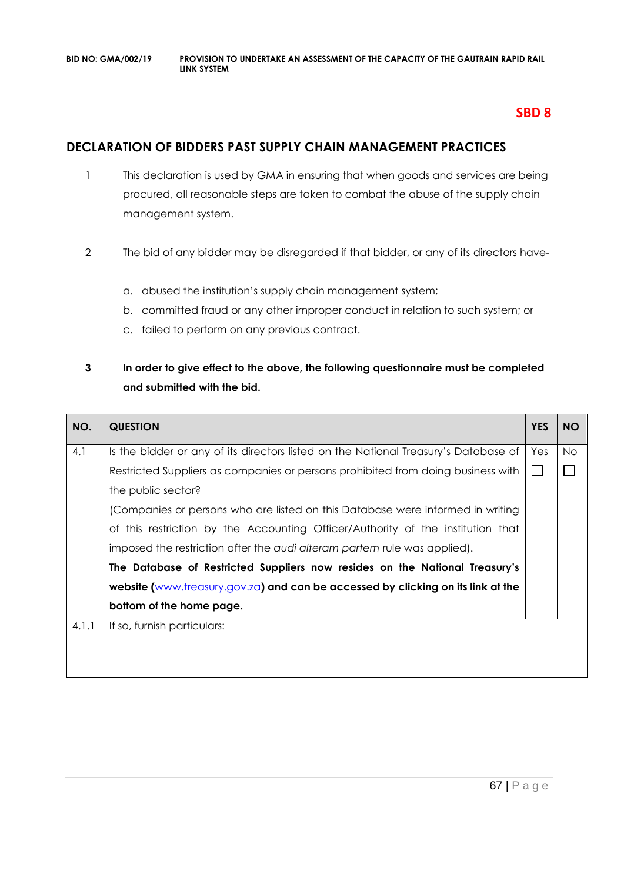# **SBD 8**

# **DECLARATION OF BIDDERS PAST SUPPLY CHAIN MANAGEMENT PRACTICES**

- 1 This declaration is used by GMA in ensuring that when goods and services are being procured, all reasonable steps are taken to combat the abuse of the supply chain management system.
- 2 The bid of any bidder may be disregarded if that bidder, or any of its directors have
	- a. abused the institution's supply chain management system;
	- b. committed fraud or any other improper conduct in relation to such system; or
	- c. failed to perform on any previous contract.

# **3 In order to give effect to the above, the following questionnaire must be completed and submitted with the bid.**

| NO.   | <b>QUESTION</b>                                                                     | <b>YES</b> | <b>NO</b> |
|-------|-------------------------------------------------------------------------------------|------------|-----------|
| 4.1   | Is the bidder or any of its directors listed on the National Treasury's Database of | Yes        | No.       |
|       | Restricted Suppliers as companies or persons prohibited from doing business with    |            |           |
|       | the public sector?                                                                  |            |           |
|       | (Companies or persons who are listed on this Database were informed in writing      |            |           |
|       | of this restriction by the Accounting Officer/Authority of the institution that     |            |           |
|       | imposed the restriction after the audi alteram partem rule was applied).            |            |           |
|       | The Database of Restricted Suppliers now resides on the National Treasury's         |            |           |
|       | website (www.treasury.gov.za) and can be accessed by clicking on its link at the    |            |           |
|       | bottom of the home page.                                                            |            |           |
| 4.1.1 | If so, furnish particulars:                                                         |            |           |
|       |                                                                                     |            |           |
|       |                                                                                     |            |           |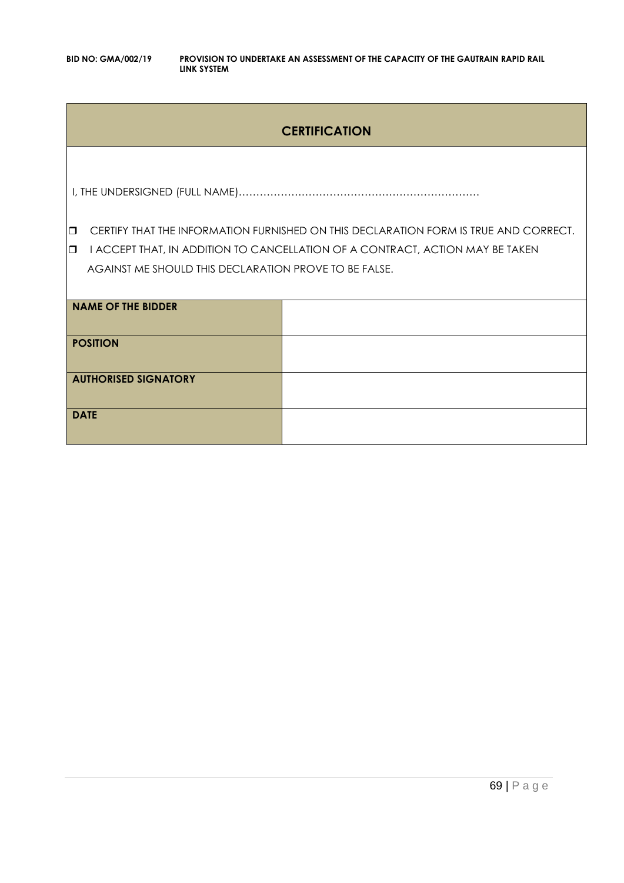# **CERTIFICATION**

I, THE UNDERSIGNED (FULL NAME)……………………………………………………………

**CERTIFY THAT THE INFORMATION FURNISHED ON THIS DECLARATION FORM IS TRUE AND CORRECT.** 

**I I ACCEPT THAT, IN ADDITION TO CANCELLATION OF A CONTRACT, ACTION MAY BE TAKEN** AGAINST ME SHOULD THIS DECLARATION PROVE TO BE FALSE.

| <b>NAME OF THE BIDDER</b>   |  |
|-----------------------------|--|
| <b>POSITION</b>             |  |
| <b>AUTHORISED SIGNATORY</b> |  |
| <b>DATE</b>                 |  |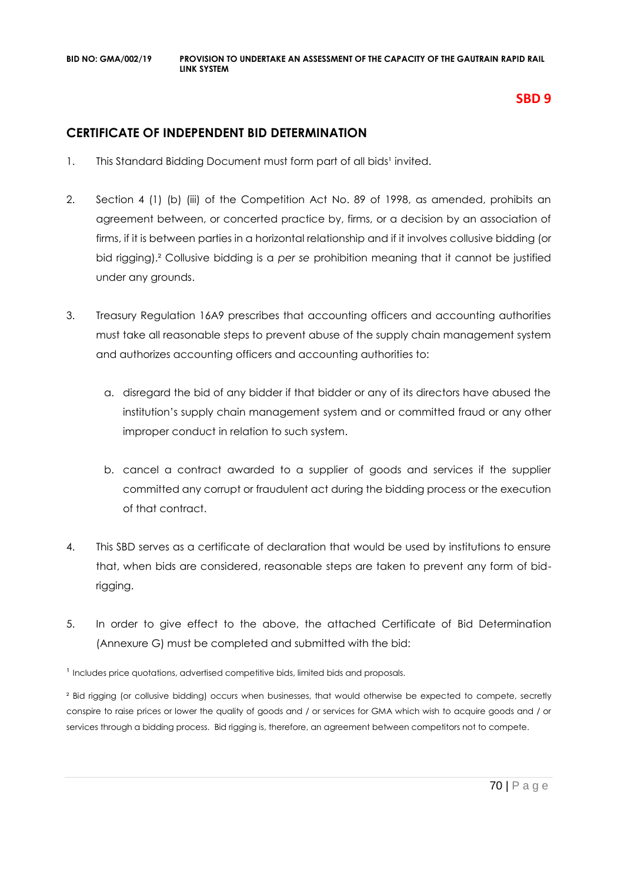# **SBD 9**

# **CERTIFICATE OF INDEPENDENT BID DETERMINATION**

- 1. This Standard Bidding Document must form part of all bids<sup>1</sup> invited.
- 2. Section 4 (1) (b) (iii) of the Competition Act No. 89 of 1998, as amended, prohibits an agreement between, or concerted practice by, firms, or a decision by an association of firms, if it is between parties in a horizontal relationship and if it involves collusive bidding (or bid rigging).² Collusive bidding is a *per se* prohibition meaning that it cannot be justified under any grounds.
- 3. Treasury Regulation 16A9 prescribes that accounting officers and accounting authorities must take all reasonable steps to prevent abuse of the supply chain management system and authorizes accounting officers and accounting authorities to:
	- a. disregard the bid of any bidder if that bidder or any of its directors have abused the institution's supply chain management system and or committed fraud or any other improper conduct in relation to such system.
	- b. cancel a contract awarded to a supplier of goods and services if the supplier committed any corrupt or fraudulent act during the bidding process or the execution of that contract.
- 4. This SBD serves as a certificate of declaration that would be used by institutions to ensure that, when bids are considered, reasonable steps are taken to prevent any form of bidrigging.
- 5. In order to give effect to the above, the attached Certificate of Bid Determination (Annexure G) must be completed and submitted with the bid:

<sup>1</sup> Includes price quotations, advertised competitive bids, limited bids and proposals.

<sup>2</sup> Bid rigging (or collusive bidding) occurs when businesses, that would otherwise be expected to compete, secretly conspire to raise prices or lower the quality of goods and / or services for GMA which wish to acquire goods and / or services through a bidding process. Bid rigging is, therefore, an agreement between competitors not to compete.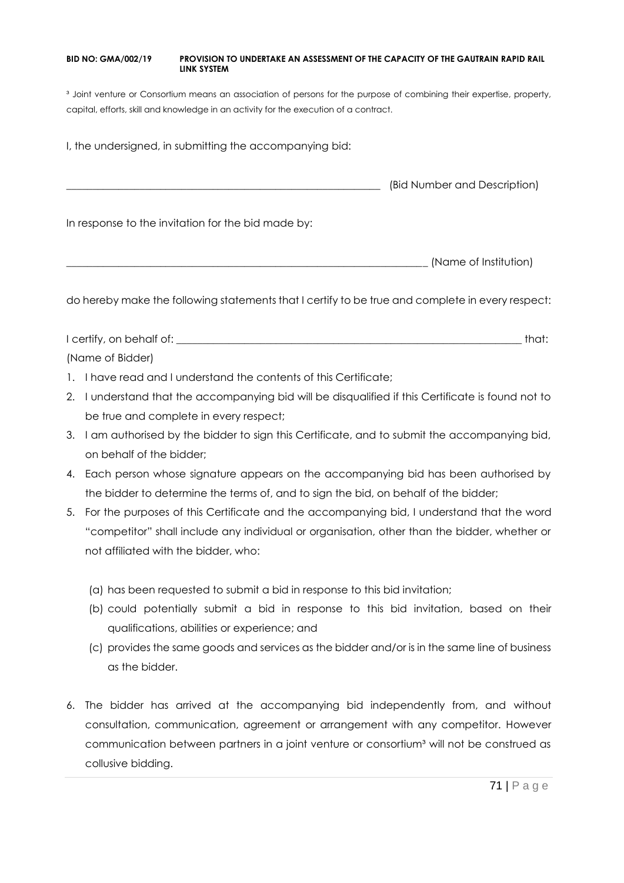<sup>3</sup> Joint venture or Consortium means an association of persons for the purpose of combining their expertise, property, capital, efforts, skill and knowledge in an activity for the execution of a contract.

I, the undersigned, in submitting the accompanying bid:

\_\_\_\_\_\_\_\_\_\_\_\_\_\_\_\_\_\_\_\_\_\_\_\_\_\_\_\_\_\_\_\_\_\_\_\_\_\_\_\_\_\_\_\_\_\_\_\_\_\_\_\_\_\_\_\_\_\_\_\_ (Bid Number and Description)

In response to the invitation for the bid made by:

\_\_\_\_\_\_\_\_\_\_\_\_\_\_\_\_\_\_\_\_\_\_\_\_\_\_\_\_\_\_\_\_\_\_\_\_\_\_\_\_\_\_\_\_\_\_\_\_\_\_\_\_\_\_\_\_\_\_\_\_\_\_\_\_\_\_\_\_\_ (Name of Institution)

do hereby make the following statements that I certify to be true and complete in every respect:

I certify, on behalf of: the state of the state of the state of the state of the state of the state of the state of the state of the state of the state of the state of the state of the state of the state of the state of th (Name of Bidder)

- 1. I have read and I understand the contents of this Certificate;
- 2. I understand that the accompanying bid will be disqualified if this Certificate is found not to be true and complete in every respect;
- 3. I am authorised by the bidder to sign this Certificate, and to submit the accompanying bid, on behalf of the bidder;
- 4. Each person whose signature appears on the accompanying bid has been authorised by the bidder to determine the terms of, and to sign the bid, on behalf of the bidder;
- 5. For the purposes of this Certificate and the accompanying bid, I understand that the word "competitor" shall include any individual or organisation, other than the bidder, whether or not affiliated with the bidder, who:
	- (a) has been requested to submit a bid in response to this bid invitation;
	- (b) could potentially submit a bid in response to this bid invitation, based on their qualifications, abilities or experience; and
	- (c) provides the same goods and services as the bidder and/or is in the same line of business as the bidder.
- 6. The bidder has arrived at the accompanying bid independently from, and without consultation, communication, agreement or arrangement with any competitor. However communication between partners in a joint venture or consortium<sup>3</sup> will not be construed as collusive bidding.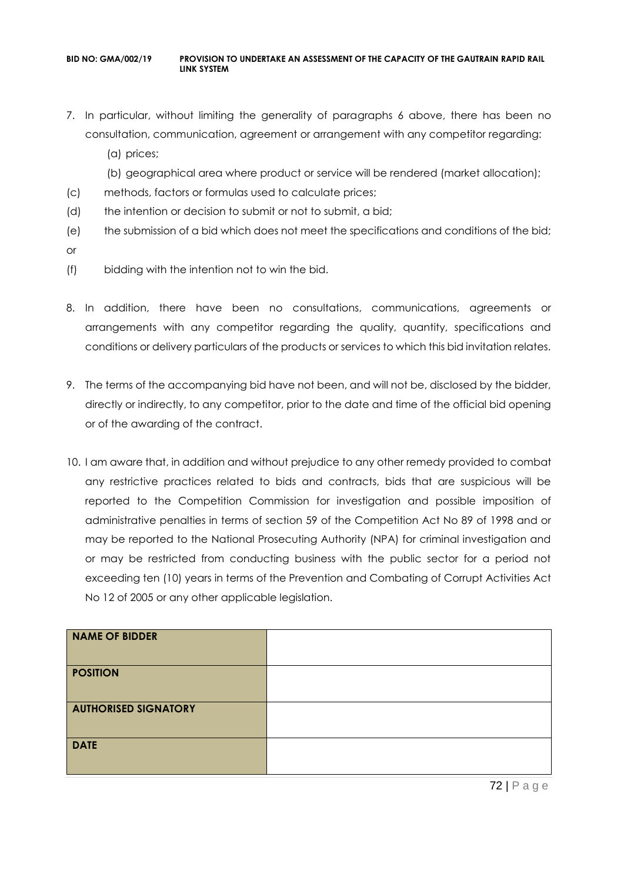- 7. In particular, without limiting the generality of paragraphs 6 above, there has been no consultation, communication, agreement or arrangement with any competitor regarding:
	- (a) prices;
	- (b) geographical area where product or service will be rendered (market allocation);
- (c) methods, factors or formulas used to calculate prices;
- (d) the intention or decision to submit or not to submit, a bid;
- (e) the submission of a bid which does not meet the specifications and conditions of the bid;
- or
- (f) bidding with the intention not to win the bid.
- 8. In addition, there have been no consultations, communications, agreements or arrangements with any competitor regarding the quality, quantity, specifications and conditions or delivery particulars of the products or services to which this bid invitation relates.
- 9. The terms of the accompanying bid have not been, and will not be, disclosed by the bidder, directly or indirectly, to any competitor, prior to the date and time of the official bid opening or of the awarding of the contract.
- 10. I am aware that, in addition and without prejudice to any other remedy provided to combat any restrictive practices related to bids and contracts, bids that are suspicious will be reported to the Competition Commission for investigation and possible imposition of administrative penalties in terms of section 59 of the Competition Act No 89 of 1998 and or may be reported to the National Prosecuting Authority (NPA) for criminal investigation and or may be restricted from conducting business with the public sector for a period not exceeding ten (10) years in terms of the Prevention and Combating of Corrupt Activities Act No 12 of 2005 or any other applicable legislation.

| NAME OF BIDDER              |  |
|-----------------------------|--|
| <b>POSITION</b>             |  |
| <b>AUTHORISED SIGNATORY</b> |  |
| <b>DATE</b>                 |  |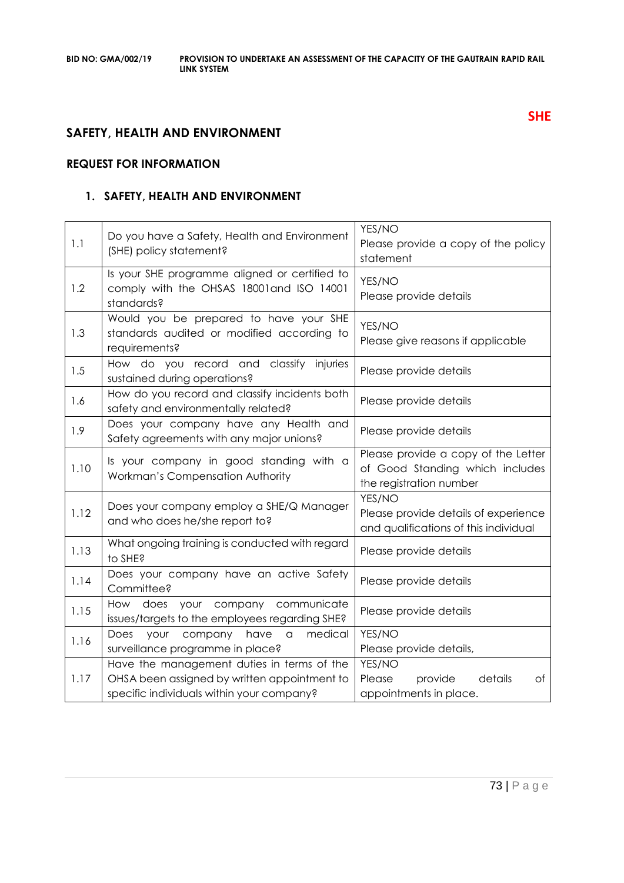# **SAFETY, HEALTH AND ENVIRONMENT**

# **REQUEST FOR INFORMATION**

# **1. SAFETY, HEALTH AND ENVIRONMENT**

| 1.1  | Do you have a Safety, Health and Environment<br>(SHE) policy statement?                                                                 | YES/NO<br>Please provide a copy of the policy<br>statement                                        |
|------|-----------------------------------------------------------------------------------------------------------------------------------------|---------------------------------------------------------------------------------------------------|
| 1.2  | Is your SHE programme aligned or certified to<br>comply with the OHSAS 18001and ISO 14001<br>standards?                                 | YES/NO<br>Please provide details                                                                  |
| 1.3  | Would you be prepared to have your SHE<br>standards audited or modified according to<br>requirements?                                   | YES/NO<br>Please give reasons if applicable                                                       |
| 1.5  | How do you record and classify injuries<br>sustained during operations?                                                                 | Please provide details                                                                            |
| 1.6  | How do you record and classify incidents both<br>safety and environmentally related?                                                    | Please provide details                                                                            |
| 1.9  | Does your company have any Health and<br>Safety agreements with any major unions?                                                       | Please provide details                                                                            |
| 1.10 | Is your company in good standing with a<br>Workman's Compensation Authority                                                             | Please provide a copy of the Letter<br>of Good Standing which includes<br>the registration number |
| 1.12 | Does your company employ a SHE/Q Manager<br>and who does he/she report to?                                                              | YES/NO<br>Please provide details of experience<br>and qualifications of this individual           |
| 1.13 | What ongoing training is conducted with regard<br>to SHE?                                                                               | Please provide details                                                                            |
| 1.14 | Does your company have an active Safety<br>Committee?                                                                                   | Please provide details                                                                            |
| 1.15 | your company<br>communicate<br>How does<br>issues/targets to the employees regarding SHE?                                               | Please provide details                                                                            |
| 1.16 | medical<br>Does<br>your<br>company<br>have<br>$\hbox{\tt\small{a}}$<br>surveillance programme in place?                                 | YES/NO<br>Please provide details,                                                                 |
| 1.17 | Have the management duties in terms of the<br>OHSA been assigned by written appointment to<br>specific individuals within your company? | YES/NO<br>details<br>Please<br>provide<br>Оf<br>appointments in place.                            |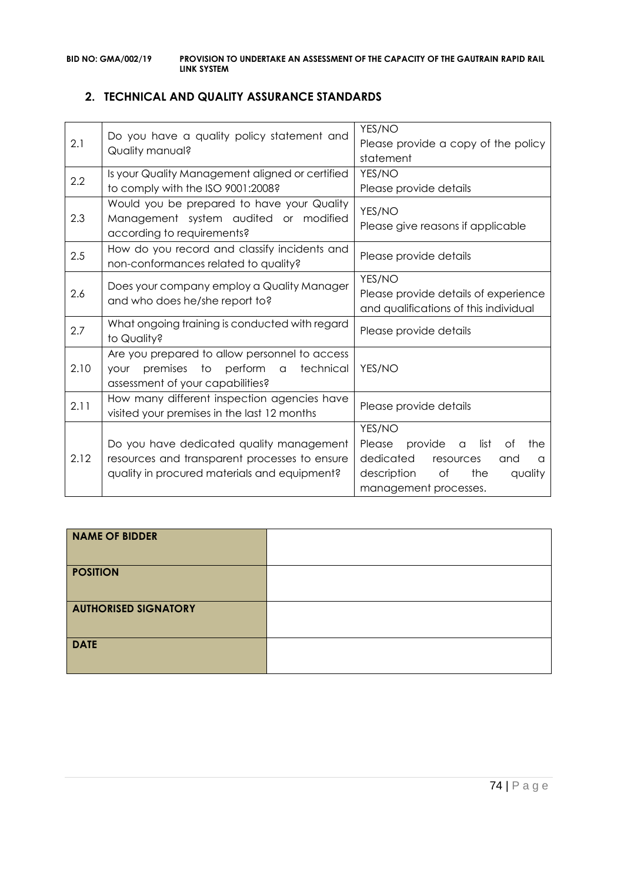# **2. TECHNICAL AND QUALITY ASSURANCE STANDARDS**

| 2.1  | Do you have a quality policy statement and<br>Quality manual?                                                                                       | YES/NO<br>Please provide a copy of the policy<br>statement                                                                                                                |
|------|-----------------------------------------------------------------------------------------------------------------------------------------------------|---------------------------------------------------------------------------------------------------------------------------------------------------------------------------|
| 2.2  | Is your Quality Management aligned or certified<br>to comply with the ISO 9001:2008?                                                                | YES/NO<br>Please provide details                                                                                                                                          |
| 2.3  | Would you be prepared to have your Quality<br>Management system audited or modified<br>according to requirements?                                   | YES/NO<br>Please give reasons if applicable                                                                                                                               |
| 2.5  | How do you record and classify incidents and<br>non-conformances related to quality?                                                                | Please provide details                                                                                                                                                    |
| 2.6  | Does your company employ a Quality Manager<br>and who does he/she report to?                                                                        | YES/NO<br>Please provide details of experience<br>and qualifications of this individual                                                                                   |
| 2.7  | What ongoing training is conducted with regard<br>to Quality?                                                                                       | Please provide details                                                                                                                                                    |
| 2.10 | Are you prepared to allow personnel to access<br>premises to<br>perform<br>technical<br>$\alpha$<br><b>YOUr</b><br>assessment of your capabilities? | YES/NO                                                                                                                                                                    |
| 2.11 | How many different inspection agencies have<br>visited your premises in the last 12 months                                                          | Please provide details                                                                                                                                                    |
| 2.12 | Do you have dedicated quality management<br>resources and transparent processes to ensure<br>quality in procured materials and equipment?           | YES/NO<br>provide<br>Please<br>list<br>Οf<br>the<br>$\alpha$<br>dedicated<br>resources<br>and<br>$\alpha$<br>the<br>description<br>of<br>quality<br>management processes. |

| <b>NAME OF BIDDER</b>       |  |
|-----------------------------|--|
| <b>POSITION</b>             |  |
| <b>AUTHORISED SIGNATORY</b> |  |
| <b>DATE</b>                 |  |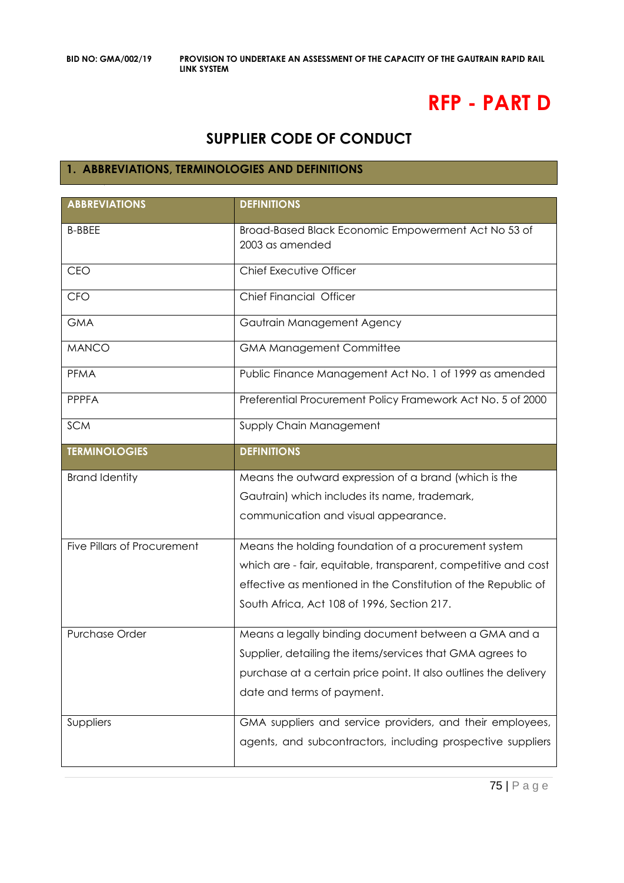# **RFP - PART D**

# **SUPPLIER CODE OF CONDUCT**

#### **1. ABBREVIATIONS, TERMINOLOGIES AND DEFINITIONS**

| <b>ABBREVIATIONS</b>               | <b>DEFINITIONS</b>                                                     |
|------------------------------------|------------------------------------------------------------------------|
| <b>B-BBEE</b>                      | Broad-Based Black Economic Empowerment Act No 53 of<br>2003 as amended |
| CEO                                | Chief Executive Officer                                                |
| <b>CFO</b>                         | Chief Financial Officer                                                |
| <b>GMA</b>                         | Gautrain Management Agency                                             |
| <b>MANCO</b>                       | <b>GMA Management Committee</b>                                        |
| PFMA                               | Public Finance Management Act No. 1 of 1999 as amended                 |
| <b>PPPFA</b>                       | Preferential Procurement Policy Framework Act No. 5 of 2000            |
| <b>SCM</b>                         | Supply Chain Management                                                |
| <b>TERMINOLOGIES</b>               | <b>DEFINITIONS</b>                                                     |
| <b>Brand Identity</b>              | Means the outward expression of a brand (which is the                  |
|                                    | Gautrain) which includes its name, trademark,                          |
|                                    | communication and visual appearance.                                   |
| <b>Five Pillars of Procurement</b> | Means the holding foundation of a procurement system                   |
|                                    | which are - fair, equitable, transparent, competitive and cost         |
|                                    | effective as mentioned in the Constitution of the Republic of          |
|                                    | South Africa, Act 108 of 1996, Section 217.                            |
| Purchase Order                     | Means a legally binding document between a GMA and a                   |
|                                    | Supplier, detailing the items/services that GMA agrees to              |
|                                    | purchase at a certain price point. It also outlines the delivery       |
|                                    | date and terms of payment.                                             |
| Suppliers                          | GMA suppliers and service providers, and their employees,              |
|                                    | agents, and subcontractors, including prospective suppliers            |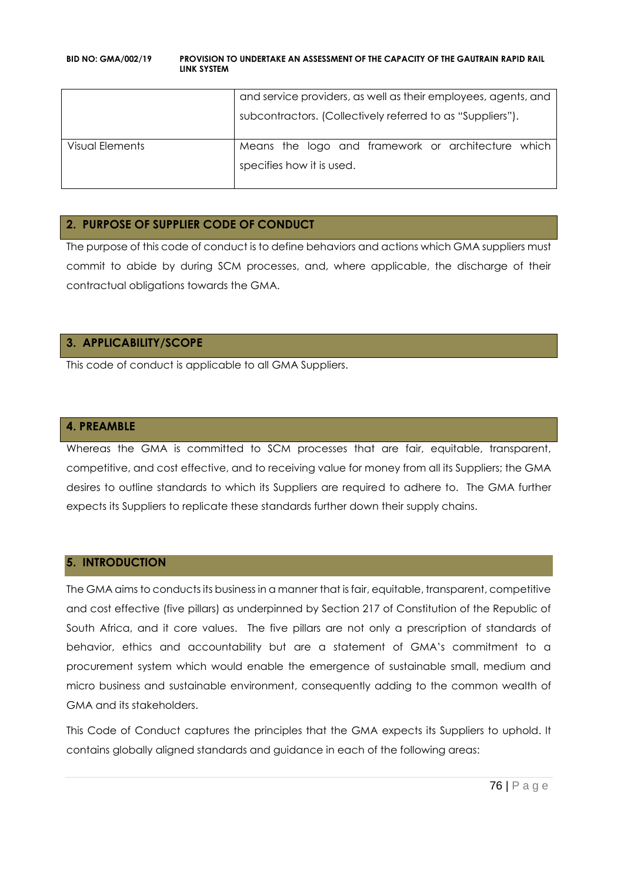|                 | and service providers, as well as their employees, agents, and<br>subcontractors. (Collectively referred to as "Suppliers"). |  |
|-----------------|------------------------------------------------------------------------------------------------------------------------------|--|
| Visual Elements | Means the logo and framework or architecture which<br>specifies how it is used.                                              |  |

## **2. PURPOSE OF SUPPLIER CODE OF CONDUCT**

The purpose of this code of conduct is to define behaviors and actions which GMA suppliers must commit to abide by during SCM processes, and, where applicable, the discharge of their contractual obligations towards the GMA.

#### **3. APPLICABILITY/SCOPE**

This code of conduct is applicable to all GMA Suppliers.

#### **4. PREAMBLE**

Whereas the GMA is committed to SCM processes that are fair, equitable, transparent, competitive, and cost effective, and to receiving value for money from all its Suppliers; the GMA desires to outline standards to which its Suppliers are required to adhere to. The GMA further expects its Suppliers to replicate these standards further down their supply chains.

## **5. INTRODUCTION**

The GMA aims to conducts its business in a manner that is fair, equitable, transparent, competitive and cost effective (five pillars) as underpinned by Section 217 of Constitution of the Republic of South Africa, and it core values. The five pillars are not only a prescription of standards of behavior, ethics and accountability but are a statement of GMA's commitment to a procurement system which would enable the emergence of sustainable small, medium and micro business and sustainable environment, consequently adding to the common wealth of GMA and its stakeholders.

This Code of Conduct captures the principles that the GMA expects its Suppliers to uphold. It contains globally aligned standards and guidance in each of the following areas: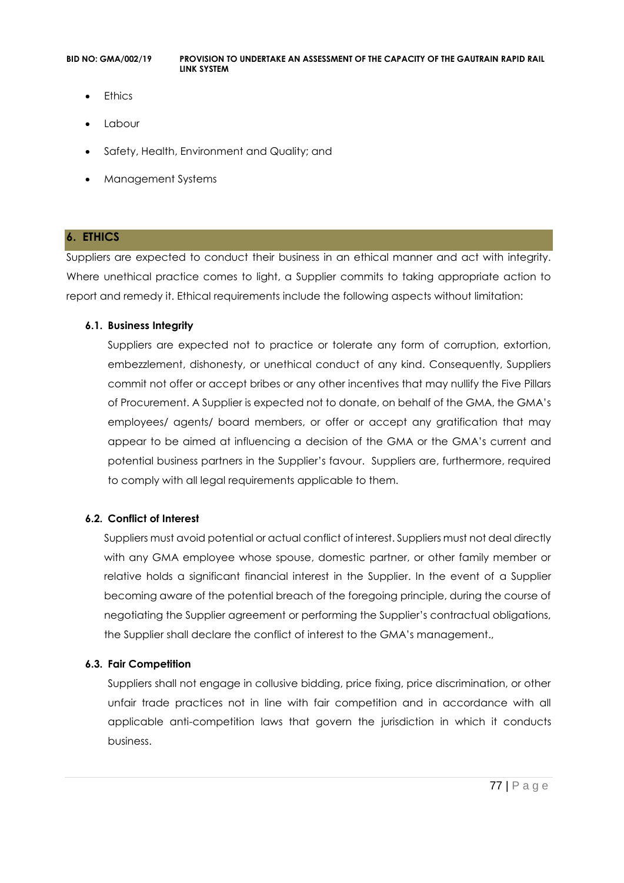- **Ethics**
- Labour
- Safety, Health, Environment and Quality; and
- Management Systems

#### **6. ETHICS**

Suppliers are expected to conduct their business in an ethical manner and act with integrity. Where unethical practice comes to light, a Supplier commits to taking appropriate action to report and remedy it. Ethical requirements include the following aspects without limitation:

#### **6.1. Business Integrity**

Suppliers are expected not to practice or tolerate any form of corruption, extortion, embezzlement, dishonesty, or unethical conduct of any kind. Consequently, Suppliers commit not offer or accept bribes or any other incentives that may nullify the Five Pillars of Procurement. A Supplier is expected not to donate, on behalf of the GMA, the GMA's employees/ agents/ board members, or offer or accept any gratification that may appear to be aimed at influencing a decision of the GMA or the GMA's current and potential business partners in the Supplier's favour. Suppliers are, furthermore, required to comply with all legal requirements applicable to them.

#### **6.2. Conflict of Interest**

Suppliers must avoid potential or actual conflict of interest. Suppliers must not deal directly with any GMA employee whose spouse, domestic partner, or other family member or relative holds a significant financial interest in the Supplier. In the event of a Supplier becoming aware of the potential breach of the foregoing principle, during the course of negotiating the Supplier agreement or performing the Supplier's contractual obligations, the Supplier shall declare the conflict of interest to the GMA's management.,

#### **6.3. Fair Competition**

Suppliers shall not engage in collusive bidding, price fixing, price discrimination, or other unfair trade practices not in line with fair competition and in accordance with all applicable anti-competition laws that govern the jurisdiction in which it conducts business.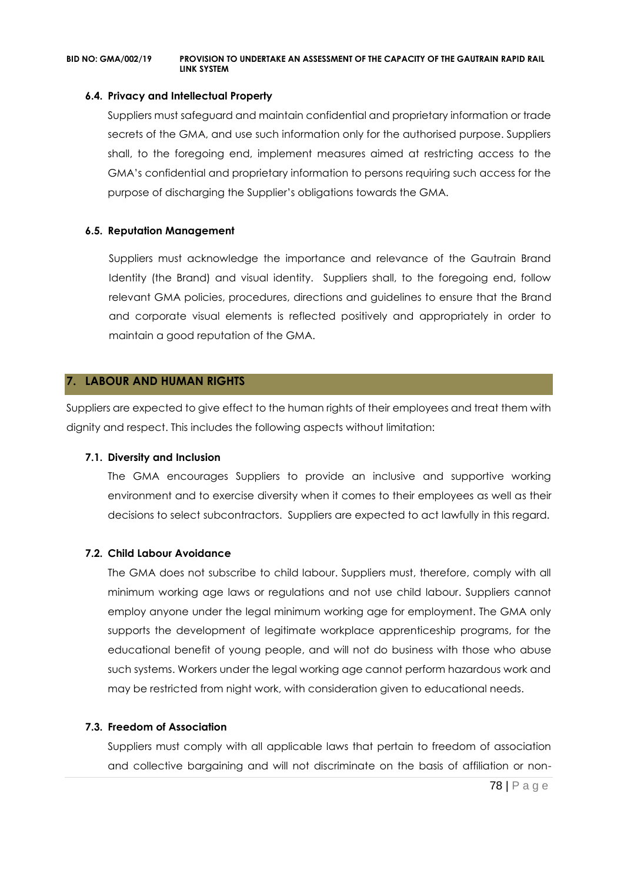#### **6.4. Privacy and Intellectual Property**

Suppliers must safeguard and maintain confidential and proprietary information or trade secrets of the GMA, and use such information only for the authorised purpose. Suppliers shall, to the foregoing end, implement measures aimed at restricting access to the GMA's confidential and proprietary information to persons requiring such access for the purpose of discharging the Supplier's obligations towards the GMA.

#### **6.5. Reputation Management**

Suppliers must acknowledge the importance and relevance of the Gautrain Brand Identity (the Brand) and visual identity. Suppliers shall, to the foregoing end, follow relevant GMA policies, procedures, directions and guidelines to ensure that the Brand and corporate visual elements is reflected positively and appropriately in order to maintain a good reputation of the GMA.

#### **7. LABOUR AND HUMAN RIGHTS**

Suppliers are expected to give effect to the human rights of their employees and treat them with dignity and respect. This includes the following aspects without limitation:

#### **7.1. Diversity and Inclusion**

The GMA encourages Suppliers to provide an inclusive and supportive working environment and to exercise diversity when it comes to their employees as well as their decisions to select subcontractors. Suppliers are expected to act lawfully in this regard.

#### **7.2. Child Labour Avoidance**

The GMA does not subscribe to child labour. Suppliers must, therefore, comply with all minimum working age laws or regulations and not use child labour. Suppliers cannot employ anyone under the legal minimum working age for employment. The GMA only supports the development of legitimate workplace apprenticeship programs, for the educational benefit of young people, and will not do business with those who abuse such systems. Workers under the legal working age cannot perform hazardous work and may be restricted from night work, with consideration given to educational needs.

#### **7.3. Freedom of Association**

Suppliers must comply with all applicable laws that pertain to freedom of association and collective bargaining and will not discriminate on the basis of affiliation or non-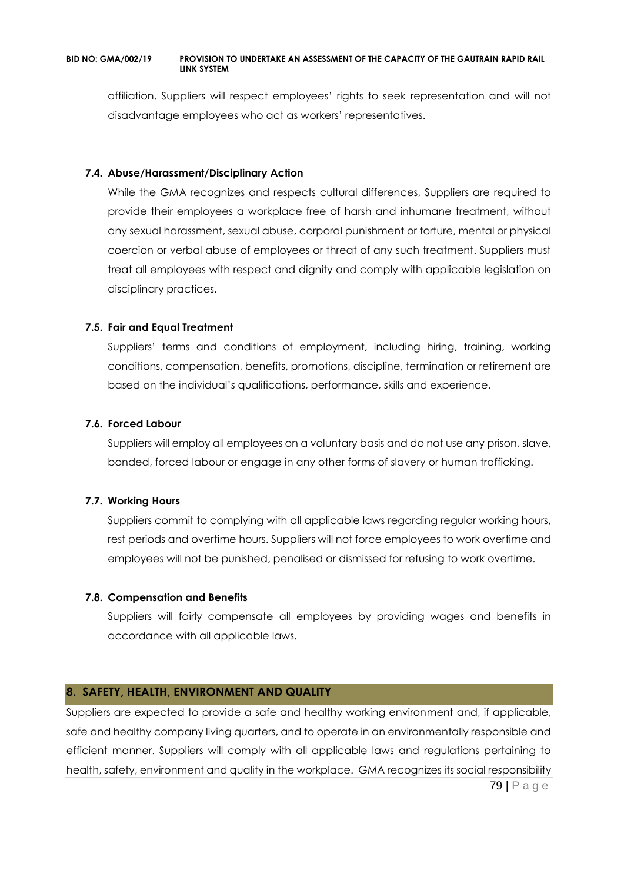affiliation. Suppliers will respect employees' rights to seek representation and will not disadvantage employees who act as workers' representatives.

#### **7.4. Abuse/Harassment/Disciplinary Action**

While the GMA recognizes and respects cultural differences, Suppliers are required to provide their employees a workplace free of harsh and inhumane treatment, without any sexual harassment, sexual abuse, corporal punishment or torture, mental or physical coercion or verbal abuse of employees or threat of any such treatment. Suppliers must treat all employees with respect and dignity and comply with applicable legislation on disciplinary practices.

#### **7.5. Fair and Equal Treatment**

Suppliers' terms and conditions of employment, including hiring, training, working conditions, compensation, benefits, promotions, discipline, termination or retirement are based on the individual's qualifications, performance, skills and experience.

#### **7.6. Forced Labour**

Suppliers will employ all employees on a voluntary basis and do not use any prison, slave, bonded, forced labour or engage in any other forms of slavery or human trafficking.

#### **7.7. Working Hours**

Suppliers commit to complying with all applicable laws regarding regular working hours, rest periods and overtime hours. Suppliers will not force employees to work overtime and employees will not be punished, penalised or dismissed for refusing to work overtime.

#### **7.8. Compensation and Benefits**

Suppliers will fairly compensate all employees by providing wages and benefits in accordance with all applicable laws.

## **8. SAFETY, HEALTH, ENVIRONMENT AND QUALITY**

79 | P a g e Suppliers are expected to provide a safe and healthy working environment and, if applicable, safe and healthy company living quarters, and to operate in an environmentally responsible and efficient manner. Suppliers will comply with all applicable laws and regulations pertaining to health, safety, environment and quality in the workplace. GMA recognizes its social responsibility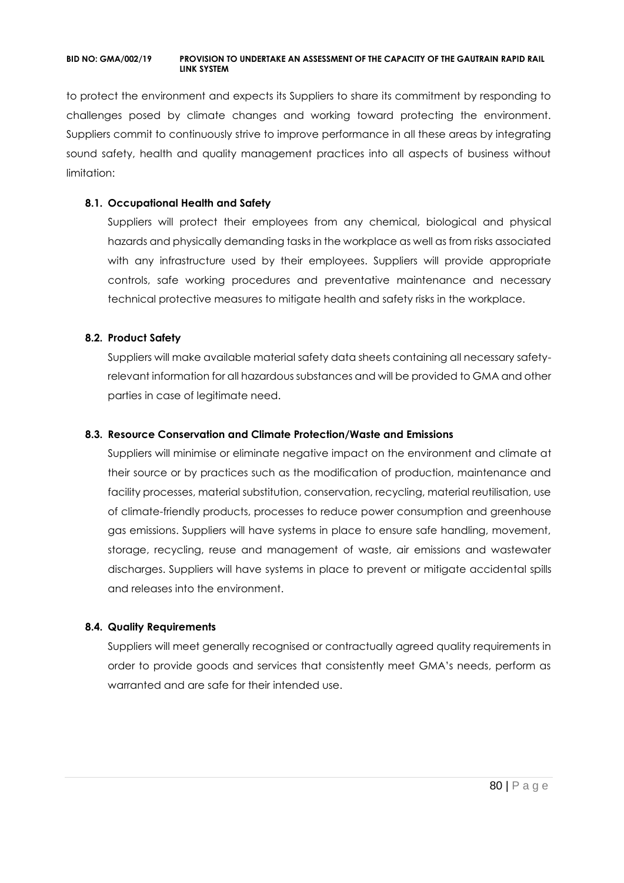to protect the environment and expects its Suppliers to share its commitment by responding to challenges posed by climate changes and working toward protecting the environment. Suppliers commit to continuously strive to improve performance in all these areas by integrating sound safety, health and quality management practices into all aspects of business without limitation:

#### **8.1. Occupational Health and Safety**

Suppliers will protect their employees from any chemical, biological and physical hazards and physically demanding tasks in the workplace as well as from risks associated with any infrastructure used by their employees. Suppliers will provide appropriate controls, safe working procedures and preventative maintenance and necessary technical protective measures to mitigate health and safety risks in the workplace.

## **8.2. Product Safety**

Suppliers will make available material safety data sheets containing all necessary safetyrelevant information for all hazardous substances and will be provided to GMA and other parties in case of legitimate need.

#### **8.3. Resource Conservation and Climate Protection/Waste and Emissions**

Suppliers will minimise or eliminate negative impact on the environment and climate at their source or by practices such as the modification of production, maintenance and facility processes, material substitution, conservation, recycling, material reutilisation, use of climate-friendly products, processes to reduce power consumption and greenhouse gas emissions. Suppliers will have systems in place to ensure safe handling, movement, storage, recycling, reuse and management of waste, air emissions and wastewater discharges. Suppliers will have systems in place to prevent or mitigate accidental spills and releases into the environment.

#### **8.4. Quality Requirements**

Suppliers will meet generally recognised or contractually agreed quality requirements in order to provide goods and services that consistently meet GMA's needs, perform as warranted and are safe for their intended use.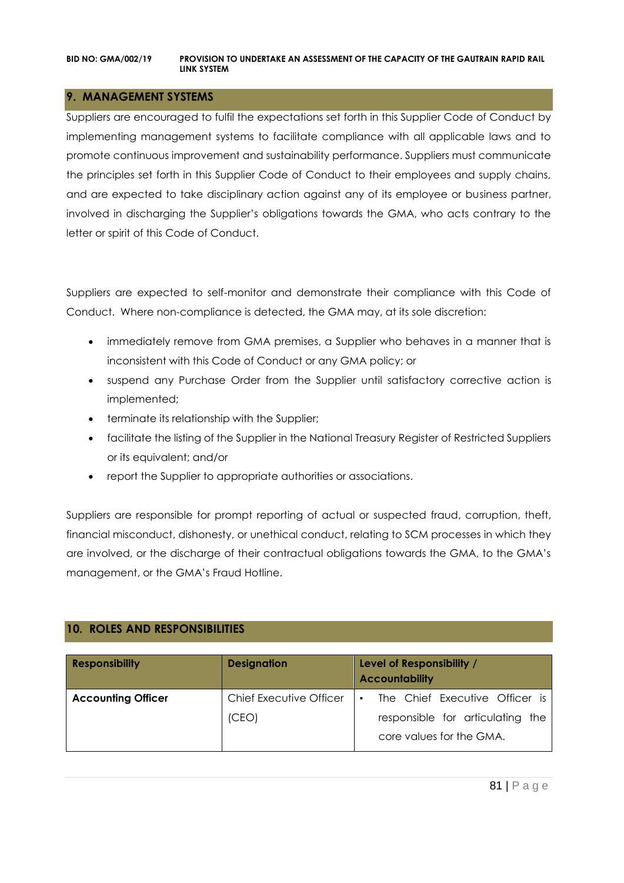## **9. MANAGEMENT SYSTEMS**

Suppliers are encouraged to fulfil the expectations set forth in this Supplier Code of Conduct by implementing management systems to facilitate compliance with all applicable laws and to promote continuous improvement and sustainability performance. Suppliers must communicate the principles set forth in this Supplier Code of Conduct to their employees and supply chains, and are expected to take disciplinary action against any of its employee or business partner, involved in discharging the Supplier's obligations towards the GMA, who acts contrary to the letter or spirit of this Code of Conduct.

Suppliers are expected to self-monitor and demonstrate their compliance with this Code of Conduct. Where non-compliance is detected, the GMA may, at its sole discretion:

- immediately remove from GMA premises, a Supplier who behaves in a manner that is inconsistent with this Code of Conduct or any GMA policy; or
- suspend any Purchase Order from the Supplier until satisfactory corrective action is implemented;
- terminate its relationship with the Supplier;
- facilitate the listing of the Supplier in the National Treasury Register of Restricted Suppliers or its equivalent; and/or
- report the Supplier to appropriate authorities or associations.

Suppliers are responsible for prompt reporting of actual or suspected fraud, corruption, theft, financial misconduct, dishonesty, or unethical conduct, relating to SCM processes in which they are involved, or the discharge of their contractual obligations towards the GMA, to the GMA's management, or the GMA's Fraud Hotline.

## **10. ROLES AND RESPONSIBILITIES**

| <b>Responsibility</b>     | <b>Designation</b>      | Level of Responsibility /<br><b>Accountability</b>           |
|---------------------------|-------------------------|--------------------------------------------------------------|
| <b>Accounting Officer</b> | Chief Executive Officer | The Chief Executive Officer is<br>$\bullet$                  |
|                           | (CEO)                   | responsible for articulating the<br>core values for the GMA. |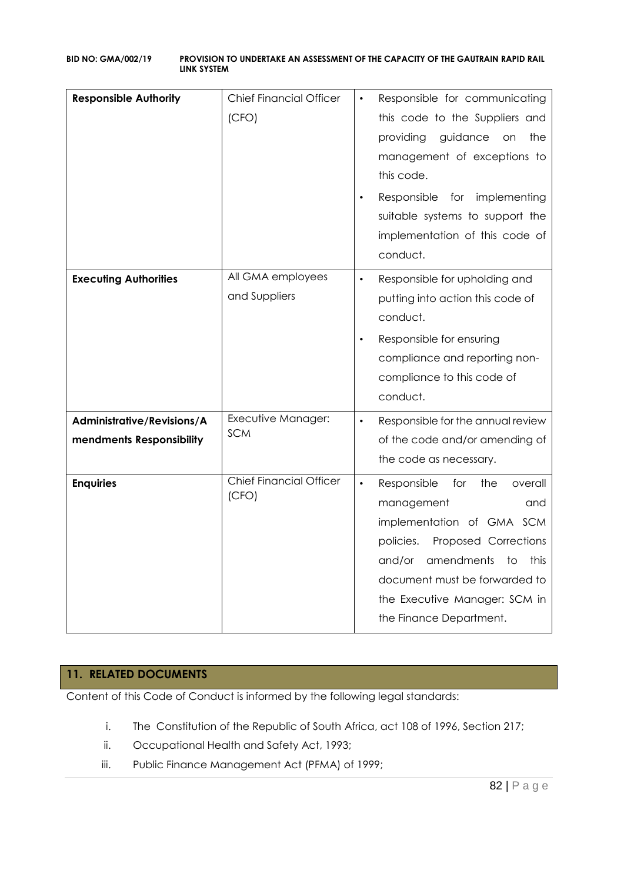| <b>Responsible Authority</b>                           | <b>Chief Financial Officer</b><br>(CFO) | Responsible for communicating<br>this code to the Suppliers and<br>providing<br>guidance<br>the<br><b>on</b><br>management of exceptions to<br>this code.<br>Responsible<br>implementing<br>for<br>suitable systems to support the<br>implementation of this code of<br>conduct. |
|--------------------------------------------------------|-----------------------------------------|----------------------------------------------------------------------------------------------------------------------------------------------------------------------------------------------------------------------------------------------------------------------------------|
| <b>Executing Authorities</b>                           | All GMA employees<br>and Suppliers      | Responsible for upholding and<br>$\bullet$<br>putting into action this code of<br>conduct.<br>Responsible for ensuring<br>$\bullet$<br>compliance and reporting non-<br>compliance to this code of<br>conduct.                                                                   |
| Administrative/Revisions/A<br>mendments Responsibility | Executive Manager:<br><b>SCM</b>        | Responsible for the annual review<br>$\bullet$<br>of the code and/or amending of<br>the code as necessary.                                                                                                                                                                       |
| <b>Enquiries</b>                                       | <b>Chief Financial Officer</b><br>(CFO) | Responsible<br>for<br>the<br>overall<br>$\bullet$<br>management<br>and<br>implementation of GMA SCM<br>policies.<br>Proposed Corrections<br>amendments<br>and/or<br>to<br>this<br>document must be forwarded to<br>the Executive Manager: SCM in<br>the Finance Department.      |

# **11. RELATED DOCUMENTS**

Content of this Code of Conduct is informed by the following legal standards:

- i. The Constitution of the Republic of South Africa, act 108 of 1996, Section 217;
- ii. Occupational Health and Safety Act, 1993;
- iii. Public Finance Management Act (PFMA) of 1999;